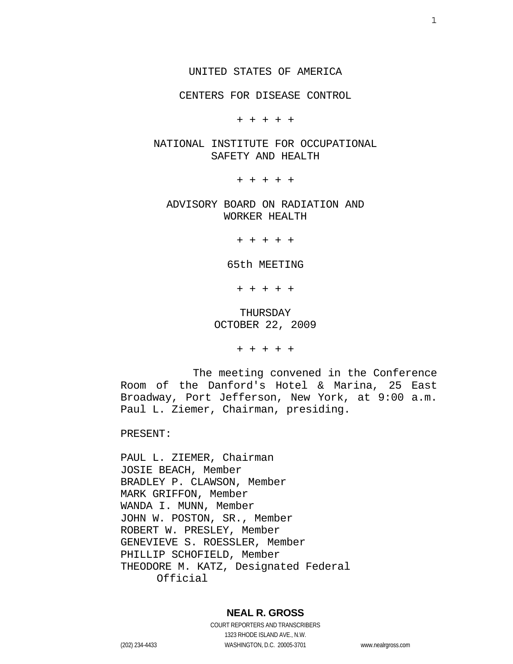#### UNITED STATES OF AMERICA

CENTERS FOR DISEASE CONTROL

+ + + + +

 NATIONAL INSTITUTE FOR OCCUPATIONAL SAFETY AND HEALTH

+ + + + +

 ADVISORY BOARD ON RADIATION AND WORKER HEALTH

+ + + + +

65th MEETING

+ + + + +

 THURSDAY OCTOBER 22, 2009

+ + + + +

 The meeting convened in the Conference Room of the Danford's Hotel & Marina, 25 East Broadway, Port Jefferson, New York, at 9:00 a.m. Paul L. Ziemer, Chairman, presiding.

PRESENT:

PAUL L. ZIEMER, Chairman JOSIE BEACH, Member BRADLEY P. CLAWSON, Member MARK GRIFFON, Member WANDA I. MUNN, Member JOHN W. POSTON, SR., Member ROBERT W. PRESLEY, Member GENEVIEVE S. ROESSLER, Member PHILLIP SCHOFIELD, Member THEODORE M. KATZ, Designated Federal Official

#### **NEAL R. GROSS**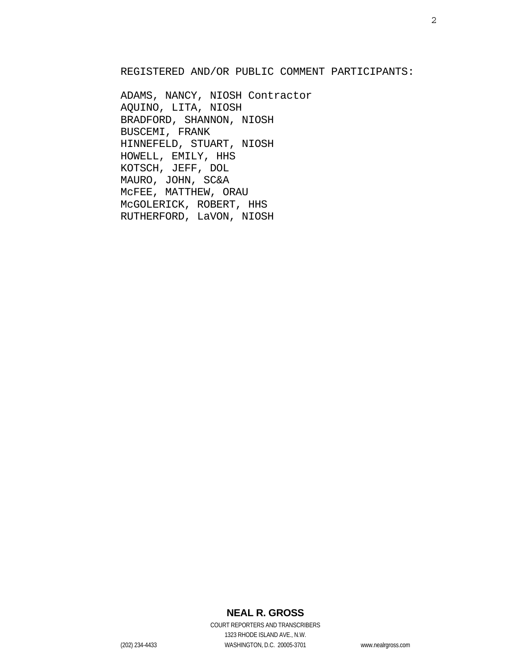REGISTERED AND/OR PUBLIC COMMENT PARTICIPANTS:

ADAMS, NANCY, NIOSH Contractor AQUINO, LITA, NIOSH BRADFORD, SHANNON, NIOSH BUSCEMI, FRANK HINNEFELD, STUART, NIOSH HOWELL, EMILY, HHS KOTSCH, JEFF, DOL MAURO, JOHN, SC&A McFEE, MATTHEW, ORAU McGOLERICK, ROBERT, HHS RUTHERFORD, LaVON, NIOSH

## 2

## **NEAL R. GROSS**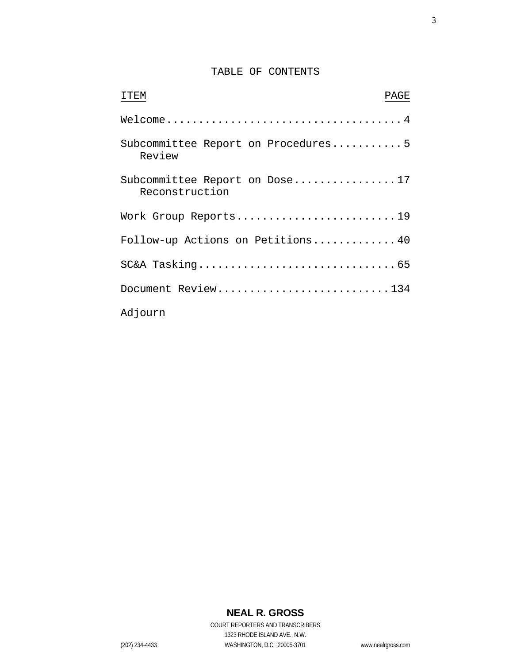### TABLE OF CONTENTS

| <b>TTEM</b><br>PAGE                             |  |
|-------------------------------------------------|--|
|                                                 |  |
| Subcommittee Report on Procedures5<br>Review    |  |
| Subcommittee Report on Dose17<br>Reconstruction |  |
| Work Group Reports19                            |  |
| Follow-up Actions on Petitions 40               |  |
|                                                 |  |
| Document Review134                              |  |
| Adjourn                                         |  |

# **NEAL R. GROSS**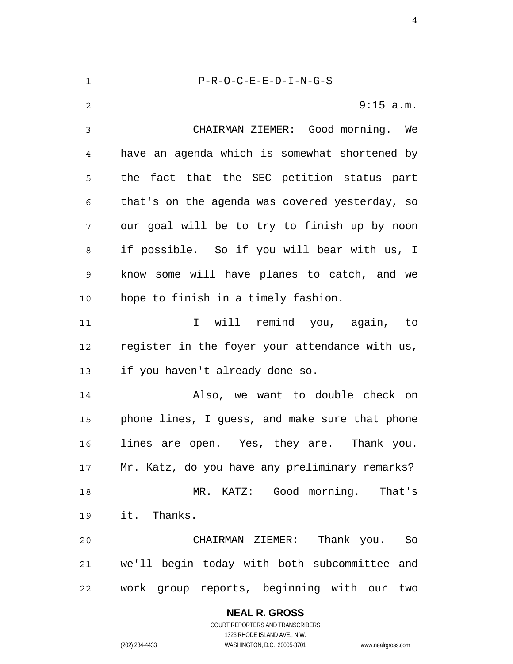1 2 3 4 5 6 7 8 9 10 11 12 13 14 15 16 17 18 19 20 21 22 P-R-O-C-E-E-D-I-N-G-S 9:15 a.m. CHAIRMAN ZIEMER: Good morning. We have an agenda which is somewhat shortened by the fact that the SEC petition status part that's on the agenda was covered yesterday, so our goal will be to try to finish up by noon if possible. So if you will bear with us, I know some will have planes to catch, and we hope to finish in a timely fashion. I will remind you, again, to register in the foyer your attendance with us, if you haven't already done so. Also, we want to double check on phone lines, I guess, and make sure that phone lines are open. Yes, they are. Thank you. Mr. Katz, do you have any preliminary remarks? MR. KATZ: Good morning. That's it. Thanks. CHAIRMAN ZIEMER: Thank you. So we'll begin today with both subcommittee and work group reports, beginning with our two

**NEAL R. GROSS**

COURT REPORTERS AND TRANSCRIBERS 1323 RHODE ISLAND AVE., N.W. (202) 234-4433 WASHINGTON, D.C. 20005-3701 www.nealrgross.com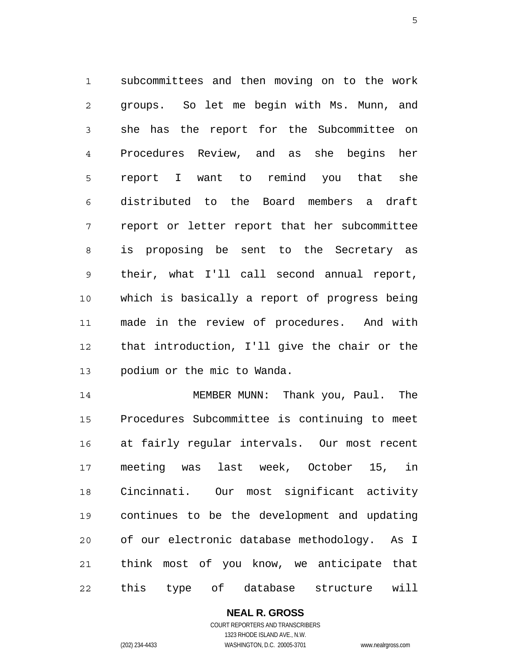1 2 3 4 5 6 7 8 9 10 11 12 13 subcommittees and then moving on to the work groups. So let me begin with Ms. Munn, and she has the report for the Subcommittee on Procedures Review, and as she begins her report I want to remind you that she distributed to the Board members a draft report or letter report that her subcommittee is proposing be sent to the Secretary as their, what I'll call second annual report, which is basically a report of progress being made in the review of procedures. And with that introduction, I'll give the chair or the podium or the mic to Wanda.

14 15 16 17 18 19 20 21 22 MEMBER MUNN: Thank you, Paul. The Procedures Subcommittee is continuing to meet at fairly regular intervals. Our most recent meeting was last week, October 15, in Cincinnati. Our most significant activity continues to be the development and updating of our electronic database methodology. As I think most of you know, we anticipate that this type of database structure will

> **NEAL R. GROSS** COURT REPORTERS AND TRANSCRIBERS 1323 RHODE ISLAND AVE., N.W.

(202) 234-4433 WASHINGTON, D.C. 20005-3701 www.nealrgross.com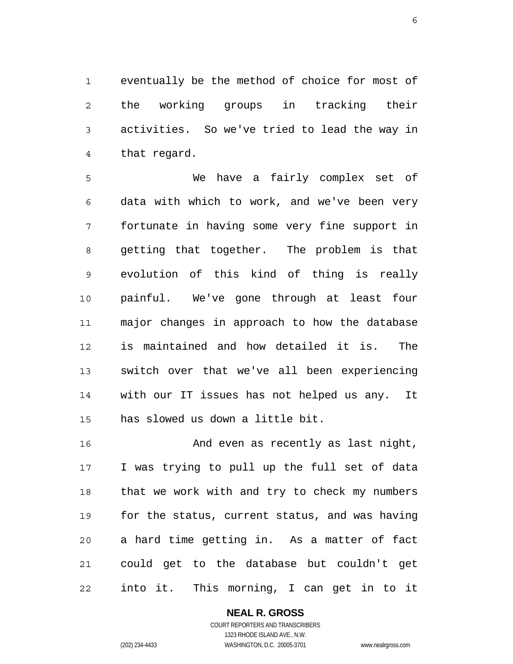1 2 3 4 eventually be the method of choice for most of the working groups in tracking their activities. So we've tried to lead the way in that regard.

5 6 7 8 9 10 11 12 13 14 15 We have a fairly complex set of data with which to work, and we've been very fortunate in having some very fine support in getting that together. The problem is that evolution of this kind of thing is really painful. We've gone through at least four major changes in approach to how the database is maintained and how detailed it is. The switch over that we've all been experiencing with our IT issues has not helped us any. It has slowed us down a little bit.

16 17 18 19 20 21 22 And even as recently as last night, I was trying to pull up the full set of data that we work with and try to check my numbers for the status, current status, and was having a hard time getting in. As a matter of fact could get to the database but couldn't get into it. This morning, I can get in to it

#### **NEAL R. GROSS**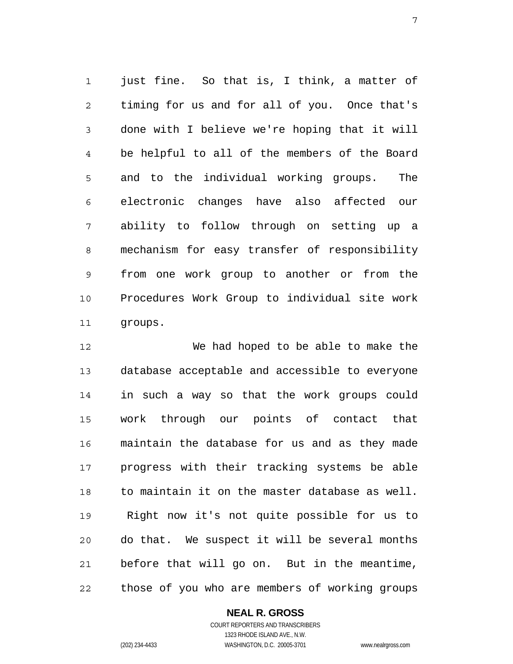1 2 3 4 5 6 7 8 9 10 11 just fine. So that is, I think, a matter of timing for us and for all of you. Once that's done with I believe we're hoping that it will be helpful to all of the members of the Board and to the individual working groups. The electronic changes have also affected our ability to follow through on setting up a mechanism for easy transfer of responsibility from one work group to another or from the Procedures Work Group to individual site work groups.

12 13 14 15 16 17 18 19 20 21 22 We had hoped to be able to make the database acceptable and accessible to everyone in such a way so that the work groups could work through our points of contact that maintain the database for us and as they made progress with their tracking systems be able to maintain it on the master database as well. Right now it's not quite possible for us to do that. We suspect it will be several months before that will go on. But in the meantime, those of you who are members of working groups

#### **NEAL R. GROSS**

COURT REPORTERS AND TRANSCRIBERS 1323 RHODE ISLAND AVE., N.W. (202) 234-4433 WASHINGTON, D.C. 20005-3701 www.nealrgross.com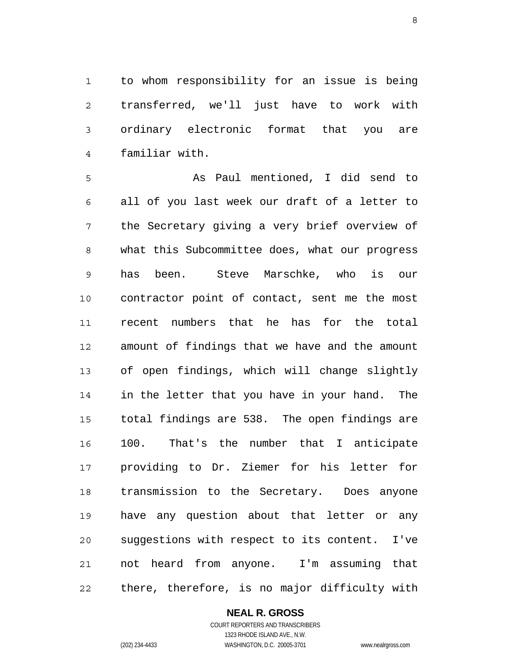1 2 3 4 to whom responsibility for an issue is being transferred, we'll just have to work with ordinary electronic format that you are familiar with.

5 6 7 8 9 10 11 12 13 14 15 16 17 18 19 20 21 22 As Paul mentioned, I did send to all of you last week our draft of a letter to the Secretary giving a very brief overview of what this Subcommittee does, what our progress has been. Steve Marschke, who is our contractor point of contact, sent me the most recent numbers that he has for the total amount of findings that we have and the amount of open findings, which will change slightly in the letter that you have in your hand. The total findings are 538. The open findings are 100. That's the number that I anticipate providing to Dr. Ziemer for his letter for transmission to the Secretary. Does anyone have any question about that letter or any suggestions with respect to its content. I've not heard from anyone. I'm assuming that there, therefore, is no major difficulty with

#### **NEAL R. GROSS** COURT REPORTERS AND TRANSCRIBERS

1323 RHODE ISLAND AVE., N.W. (202) 234-4433 WASHINGTON, D.C. 20005-3701 www.nealrgross.com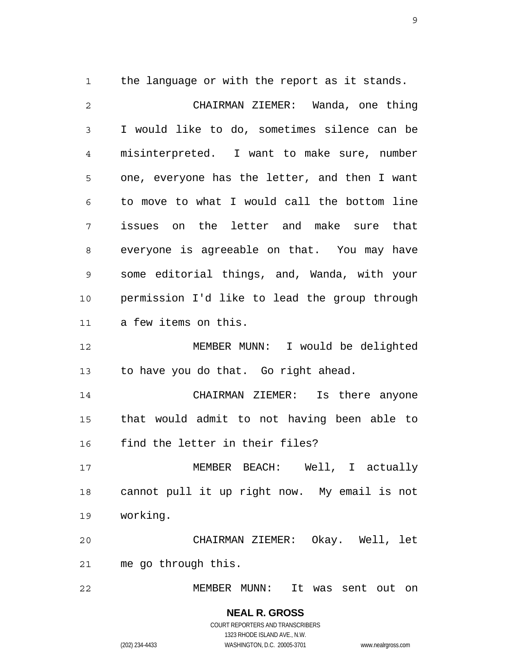1 the language or with the report as it stands.

| $\overline{2}$ | CHAIRMAN ZIEMER: Wanda, one thing             |
|----------------|-----------------------------------------------|
| 3              | I would like to do, sometimes silence can be  |
| $\overline{4}$ | misinterpreted. I want to make sure, number   |
| 5              | one, everyone has the letter, and then I want |
| 6              | to move to what I would call the bottom line  |
| 7              | issues on the letter and make sure that       |
| 8              | everyone is agreeable on that. You may have   |
| 9              | some editorial things, and, Wanda, with your  |
| 10             | permission I'd like to lead the group through |
| 11             | a few items on this.                          |
| 12             | MEMBER MUNN: I would be delighted             |
| 13             | to have you do that. Go right ahead.          |
| 14             | CHAIRMAN ZIEMER: Is there anyone              |
| 15             | that would admit to not having been able to   |
| 16             | find the letter in their files?               |
| 17             | MEMBER BEACH: Well, I actually                |
| 18             | cannot pull it up right now. My email is not  |
| 19             | working.                                      |
| 20             | CHAIRMAN ZIEMER: Okay. Well, let              |
| 21             | me go through this.                           |
| 22             | MEMBER MUNN:<br>It was sent out<br>on         |

**NEAL R. GROSS** COURT REPORTERS AND TRANSCRIBERS 1323 RHODE ISLAND AVE., N.W. (202) 234-4433 WASHINGTON, D.C. 20005-3701 www.nealrgross.com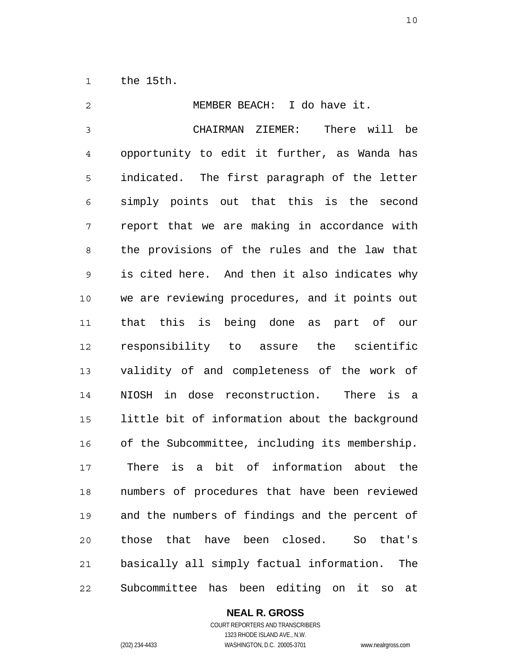1 the 15th.

| 2              | MEMBER BEACH: I do have it.                                 |
|----------------|-------------------------------------------------------------|
| $\mathfrak{Z}$ | CHAIRMAN ZIEMER:<br>There will be                           |
| $\overline{4}$ | opportunity to edit it further, as Wanda has                |
| 5              | indicated. The first paragraph of the letter                |
| 6              | simply points out that this is the second                   |
| 7              | report that we are making in accordance with                |
| 8              | the provisions of the rules and the law that                |
| $\mathsf 9$    | is cited here. And then it also indicates why               |
| 10             | we are reviewing procedures, and it points out              |
| 11             | that this is being done as part of our                      |
| 12             | responsibility to assure the scientific                     |
| 13             | validity of and completeness of the work of                 |
| 14             | NIOSH in dose reconstruction. There is a                    |
| 15             | little bit of information about the background              |
| 16             | of the Subcommittee, including its membership.              |
| 17             | is a bit of information about the<br>There                  |
| 18             | numbers of procedures that have been reviewed               |
| 19             | and the numbers of findings and the percent of              |
| 20             | those that have been closed.<br>So that's                   |
| 21             | basically all simply factual information.<br>The            |
| 22             | Subcommittee<br>has been editing on it<br>at<br>$_{\rm SO}$ |

**NEAL R. GROSS** COURT REPORTERS AND TRANSCRIBERS 1323 RHODE ISLAND AVE., N.W.

(202) 234-4433 WASHINGTON, D.C. 20005-3701 www.nealrgross.com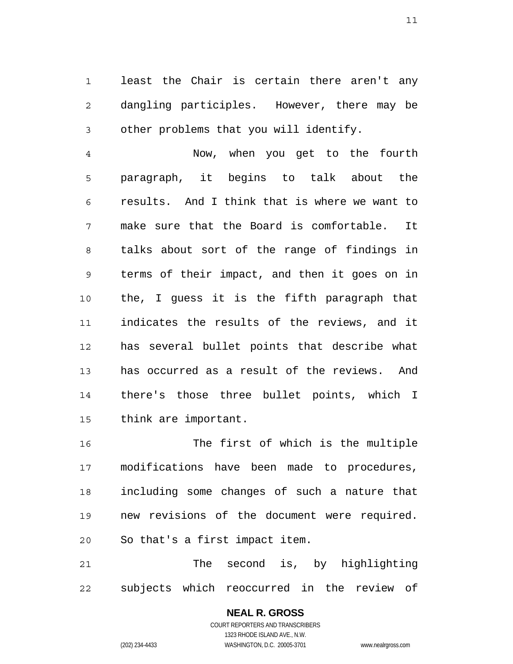1 2 3 least the Chair is certain there aren't any dangling participles. However, there may be other problems that you will identify.

4 5 6 7 8 9 10 11 12 13 14 15 Now, when you get to the fourth paragraph, it begins to talk about the results. And I think that is where we want to make sure that the Board is comfortable. It talks about sort of the range of findings in terms of their impact, and then it goes on in the, I guess it is the fifth paragraph that indicates the results of the reviews, and it has several bullet points that describe what has occurred as a result of the reviews. And there's those three bullet points, which I think are important.

16 17 18 19 20 The first of which is the multiple modifications have been made to procedures, including some changes of such a nature that new revisions of the document were required. So that's a first impact item.

21 22 The second is, by highlighting subjects which reoccurred in the review of

#### **NEAL R. GROSS** COURT REPORTERS AND TRANSCRIBERS

1323 RHODE ISLAND AVE., N.W. (202) 234-4433 WASHINGTON, D.C. 20005-3701 www.nealrgross.com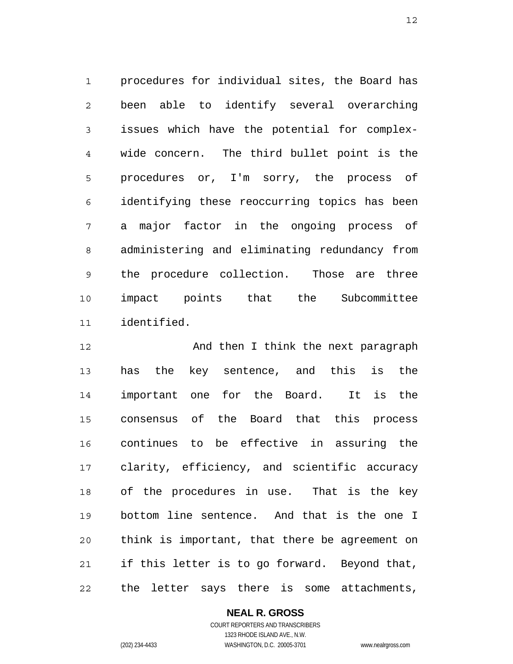1 2 3 4 5 6 7 8 9 10 11 procedures for individual sites, the Board has been able to identify several overarching issues which have the potential for complexwide concern. The third bullet point is the procedures or, I'm sorry, the process of identifying these reoccurring topics has been a major factor in the ongoing process of administering and eliminating redundancy from the procedure collection. Those are three impact points that the Subcommittee identified.

12 13 14 15 16 17 18 19 20 21 22 And then I think the next paragraph has the key sentence, and this is the important one for the Board. It is the consensus of the Board that this process continues to be effective in assuring the clarity, efficiency, and scientific accuracy of the procedures in use. That is the key bottom line sentence. And that is the one I think is important, that there be agreement on if this letter is to go forward. Beyond that, the letter says there is some attachments,

**NEAL R. GROSS**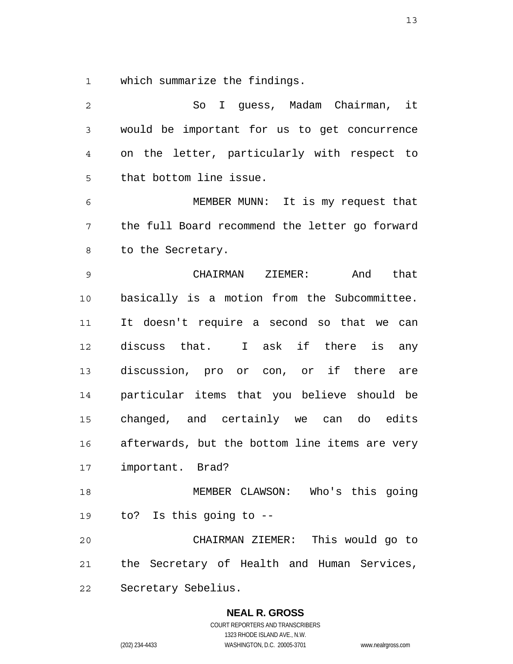1 which summarize the findings.

| $\overline{2}$ | I guess, Madam Chairman, it<br>So              |
|----------------|------------------------------------------------|
| $\mathsf 3$    | would be important for us to get concurrence   |
| 4              | on the letter, particularly with respect to    |
| 5              | that bottom line issue.                        |
| 6              | MEMBER MUNN: It is my request that             |
| 7              | the full Board recommend the letter go forward |
| 8              | to the Secretary.                              |
| $\mathsf 9$    | And<br>CHAIRMAN ZIEMER:<br>that                |
| 10             | basically is a motion from the Subcommittee.   |
| 11             | It doesn't require a second so that we can     |
| 12             | discuss that. I ask if there<br>is<br>any      |
| 13             | discussion, pro or con, or if there are        |
| 14             | particular items that you believe should be    |
| 15             | changed, and certainly we can do edits         |
| 16             | afterwards, but the bottom line items are very |
| 17             | important. Brad?                               |
| 18             | MEMBER CLAWSON: Who's this going               |
|                | 19 to? Is this going to --                     |
| 20             | CHAIRMAN ZIEMER: This would go to              |
| 21             | the Secretary of Health and Human Services,    |
| 22             | Secretary Sebelius.                            |

**NEAL R. GROSS** COURT REPORTERS AND TRANSCRIBERS

1323 RHODE ISLAND AVE., N.W. (202) 234-4433 WASHINGTON, D.C. 20005-3701 www.nealrgross.com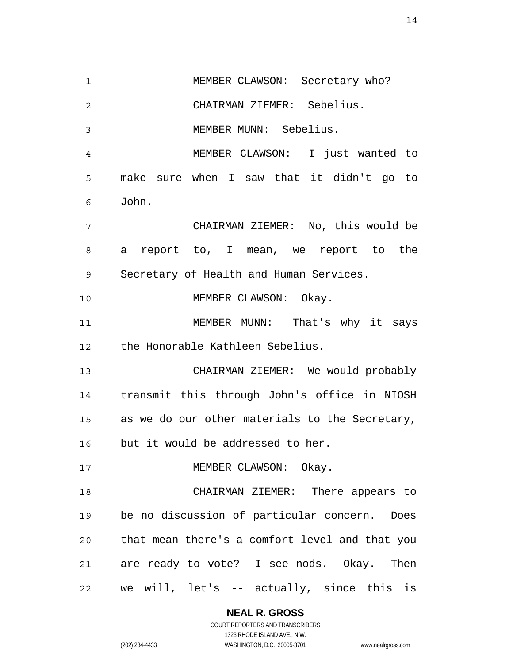1 2 3 4 5 6 7 8 9 10 11 12 13 14 15 16 17 18 19 20 21 22 MEMBER CLAWSON: Secretary who? CHAIRMAN ZIEMER: Sebelius. MEMBER MUNN: Sebelius. MEMBER CLAWSON: I just wanted to make sure when I saw that it didn't go to John. CHAIRMAN ZIEMER: No, this would be a report to, I mean, we report to the Secretary of Health and Human Services. MEMBER CLAWSON: Okay. MEMBER MUNN: That's why it says the Honorable Kathleen Sebelius. CHAIRMAN ZIEMER: We would probably transmit this through John's office in NIOSH as we do our other materials to the Secretary, but it would be addressed to her. MEMBER CLAWSON: Okay. CHAIRMAN ZIEMER: There appears to be no discussion of particular concern. Does that mean there's a comfort level and that you are ready to vote? I see nods. Okay. Then we will, let's -- actually, since this is

**NEAL R. GROSS**

COURT REPORTERS AND TRANSCRIBERS 1323 RHODE ISLAND AVE., N.W. (202) 234-4433 WASHINGTON, D.C. 20005-3701 www.nealrgross.com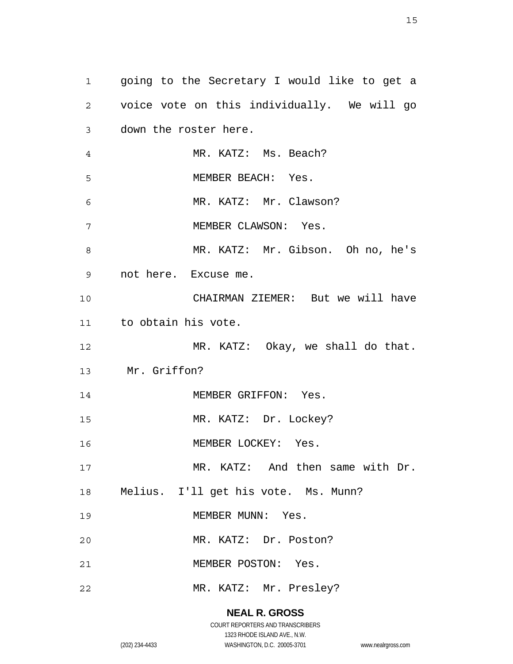1 2 3 4 5 6 7 8 9 10 11 12 13 14 15 16 17 18 19 20 21 22 going to the Secretary I would like to get a voice vote on this individually. We will go down the roster here. MR. KATZ: Ms. Beach? MEMBER BEACH: Yes. MR. KATZ: Mr. Clawson? MEMBER CLAWSON: Yes. MR. KATZ: Mr. Gibson. Oh no, he's not here. Excuse me. CHAIRMAN ZIEMER: But we will have to obtain his vote. MR. KATZ: Okay, we shall do that. Mr. Griffon? MEMBER GRIFFON: Yes. MR. KATZ: Dr. Lockey? MEMBER LOCKEY: Yes. MR. KATZ: And then same with Dr. Melius. I'll get his vote. Ms. Munn? MEMBER MUNN: Yes. MR. KATZ: Dr. Poston? MEMBER POSTON: Yes. MR. KATZ: Mr. Presley?

#### **NEAL R. GROSS**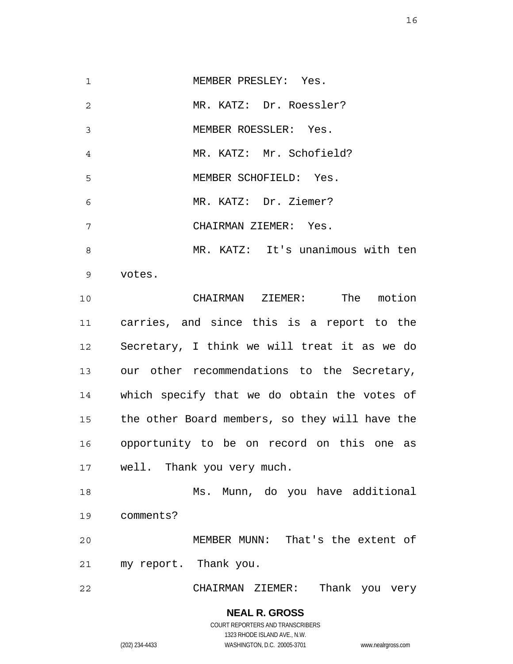1 2 3 4 5 6 7 8 9 10 11 12 13 14 15 16 17 18 19 20 21 22 MEMBER PRESLEY: Yes. MR. KATZ: Dr. Roessler? MEMBER ROESSLER: Yes. MR. KATZ: Mr. Schofield? MEMBER SCHOFIELD: Yes. MR. KATZ: Dr. Ziemer? CHAIRMAN ZIEMER: Yes. MR. KATZ: It's unanimous with ten votes. CHAIRMAN ZIEMER: The motion carries, and since this is a report to the Secretary, I think we will treat it as we do our other recommendations to the Secretary, which specify that we do obtain the votes of the other Board members, so they will have the opportunity to be on record on this one as well. Thank you very much. Ms. Munn, do you have additional comments? MEMBER MUNN: That's the extent of my report. Thank you. CHAIRMAN ZIEMER: Thank you very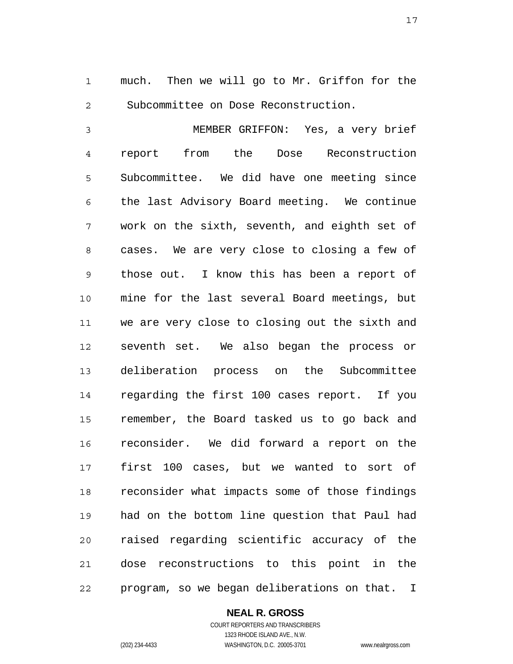1 2 much. Then we will go to Mr. Griffon for the Subcommittee on Dose Reconstruction.

3 4 5 6 7 8 9 10 11 12 13 14 15 16 17 18 19 20 21 22 MEMBER GRIFFON: Yes, a very brief report from the Dose Reconstruction Subcommittee. We did have one meeting since the last Advisory Board meeting. We continue work on the sixth, seventh, and eighth set of cases. We are very close to closing a few of those out. I know this has been a report of mine for the last several Board meetings, but we are very close to closing out the sixth and seventh set. We also began the process or deliberation process on the Subcommittee regarding the first 100 cases report. If you remember, the Board tasked us to go back and reconsider. We did forward a report on the first 100 cases, but we wanted to sort of reconsider what impacts some of those findings had on the bottom line question that Paul had raised regarding scientific accuracy of the dose reconstructions to this point in the program, so we began deliberations on that. I

#### **NEAL R. GROSS**

COURT REPORTERS AND TRANSCRIBERS 1323 RHODE ISLAND AVE., N.W. (202) 234-4433 WASHINGTON, D.C. 20005-3701 www.nealrgross.com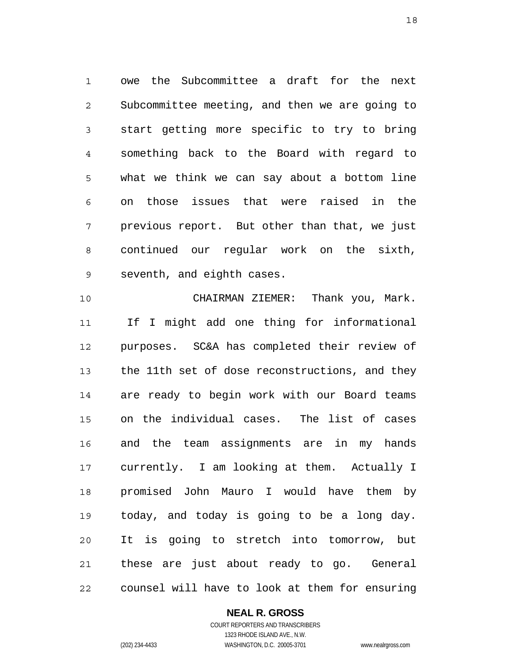1 2 3 4 5 6 7 8 9 owe the Subcommittee a draft for the next Subcommittee meeting, and then we are going to start getting more specific to try to bring something back to the Board with regard to what we think we can say about a bottom line on those issues that were raised in the previous report. But other than that, we just continued our regular work on the sixth, seventh, and eighth cases.

10 11 12 13 14 15 16 17 18 19 20 21 22 CHAIRMAN ZIEMER: Thank you, Mark. If I might add one thing for informational purposes. SC&A has completed their review of the 11th set of dose reconstructions, and they are ready to begin work with our Board teams on the individual cases. The list of cases and the team assignments are in my hands currently. I am looking at them. Actually I promised John Mauro I would have them by today, and today is going to be a long day. It is going to stretch into tomorrow, but these are just about ready to go. General counsel will have to look at them for ensuring

#### **NEAL R. GROSS**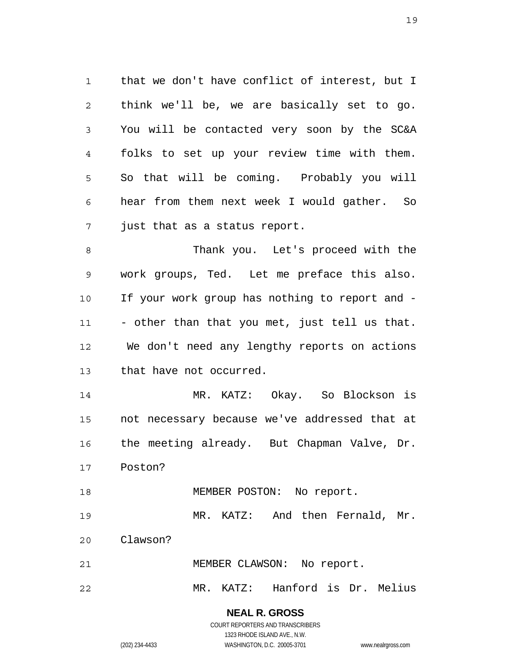1 2 3 4 5 6 7 that we don't have conflict of interest, but I think we'll be, we are basically set to go. You will be contacted very soon by the SC&A folks to set up your review time with them. So that will be coming. Probably you will hear from them next week I would gather. So just that as a status report.

8 9 10 11 12 13 Thank you. Let's proceed with the work groups, Ted. Let me preface this also. If your work group has nothing to report and - - other than that you met, just tell us that. We don't need any lengthy reports on actions that have not occurred.

14 15 16 17 MR. KATZ: Okay. So Blockson is not necessary because we've addressed that at the meeting already. But Chapman Valve, Dr. Poston?

18 MEMBER POSTON: No report.

19 MR. KATZ: And then Fernald, Mr.

20 Clawson?

21 MEMBER CLAWSON: No report.

22 MR. KATZ: Hanford is Dr. Melius

> **NEAL R. GROSS** COURT REPORTERS AND TRANSCRIBERS

1323 RHODE ISLAND AVE., N.W. (202) 234-4433 WASHINGTON, D.C. 20005-3701 www.nealrgross.com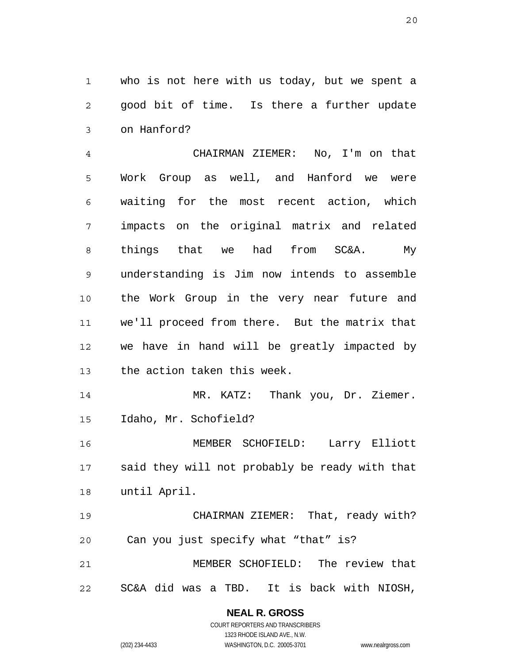1 2 3 who is not here with us today, but we spent a good bit of time. Is there a further update on Hanford?

4 5 6 7 8 9 10 11 12 13 CHAIRMAN ZIEMER: No, I'm on that Work Group as well, and Hanford we were waiting for the most recent action, which impacts on the original matrix and related things that we had from SC&A. My understanding is Jim now intends to assemble the Work Group in the very near future and we'll proceed from there. But the matrix that we have in hand will be greatly impacted by the action taken this week.

14 15 MR. KATZ: Thank you, Dr. Ziemer. Idaho, Mr. Schofield?

16 17 18 MEMBER SCHOFIELD: Larry Elliott said they will not probably be ready with that until April.

19 20 21 22 CHAIRMAN ZIEMER: That, ready with? Can you just specify what "that" is? MEMBER SCHOFIELD: The review that SC&A did was a TBD. It is back with NIOSH,

> **NEAL R. GROSS** COURT REPORTERS AND TRANSCRIBERS

1323 RHODE ISLAND AVE., N.W. (202) 234-4433 WASHINGTON, D.C. 20005-3701 www.nealrgross.com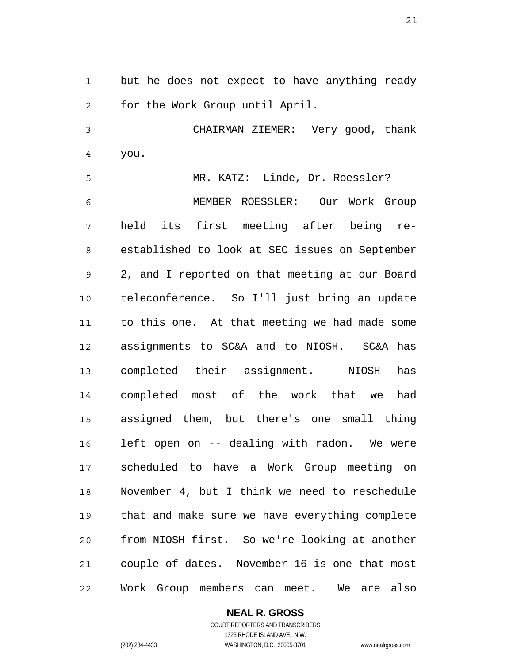1 2 but he does not expect to have anything ready for the Work Group until April.

3 4 CHAIRMAN ZIEMER: Very good, thank you.

5 6 7 8 9 10 11 12 13 14 15 16 17 18 19 20 21 22 MR. KATZ: Linde, Dr. Roessler? MEMBER ROESSLER: Our Work Group held its first meeting after being reestablished to look at SEC issues on September 2, and I reported on that meeting at our Board teleconference. So I'll just bring an update to this one. At that meeting we had made some assignments to SC&A and to NIOSH. SC&A has completed their assignment. NIOSH has completed most of the work that we had assigned them, but there's one small thing left open on -- dealing with radon. We were scheduled to have a Work Group meeting on November 4, but I think we need to reschedule that and make sure we have everything complete from NIOSH first. So we're looking at another couple of dates. November 16 is one that most Work Group members can meet. We are also

**NEAL R. GROSS**

COURT REPORTERS AND TRANSCRIBERS 1323 RHODE ISLAND AVE., N.W. (202) 234-4433 WASHINGTON, D.C. 20005-3701 www.nealrgross.com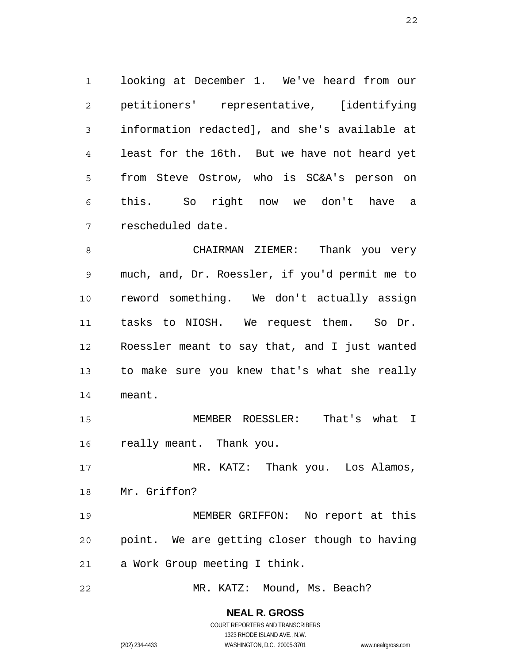1 2 3 4 5 6 7 looking at December 1. We've heard from our petitioners' representative, [identifying information redacted], and she's available at least for the 16th. But we have not heard yet from Steve Ostrow, who is SC&A's person on this. So right now we don't have a rescheduled date.

8 9 10 11 12 13 14 CHAIRMAN ZIEMER: Thank you very much, and, Dr. Roessler, if you'd permit me to reword something. We don't actually assign tasks to NIOSH. We request them. So Dr. Roessler meant to say that, and I just wanted to make sure you knew that's what she really meant.

15 16 MEMBER ROESSLER: That's what I really meant. Thank you.

17 18 MR. KATZ: Thank you. Los Alamos, Mr. Griffon?

19 20 21 MEMBER GRIFFON: No report at this point. We are getting closer though to having a Work Group meeting I think.

22 MR. KATZ: Mound, Ms. Beach?

> **NEAL R. GROSS** COURT REPORTERS AND TRANSCRIBERS

1323 RHODE ISLAND AVE., N.W. (202) 234-4433 WASHINGTON, D.C. 20005-3701 www.nealrgross.com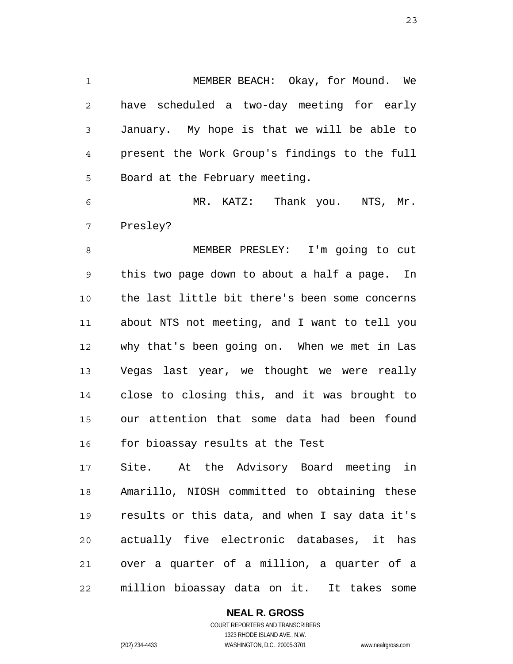1 2 3 4 5 MEMBER BEACH: Okay, for Mound. We have scheduled a two-day meeting for early January. My hope is that we will be able to present the Work Group's findings to the full Board at the February meeting.

6 7 MR. KATZ: Thank you. NTS, Mr. Presley?

8 9 10 11 12 13 14 15 16 MEMBER PRESLEY: I'm going to cut this two page down to about a half a page. In the last little bit there's been some concerns about NTS not meeting, and I want to tell you why that's been going on. When we met in Las Vegas last year, we thought we were really close to closing this, and it was brought to our attention that some data had been found for bioassay results at the Test

17 18 19 20 21 22 Site. At the Advisory Board meeting in Amarillo, NIOSH committed to obtaining these results or this data, and when I say data it's actually five electronic databases, it has over a quarter of a million, a quarter of a million bioassay data on it. It takes some

> **NEAL R. GROSS** COURT REPORTERS AND TRANSCRIBERS

1323 RHODE ISLAND AVE., N.W. (202) 234-4433 WASHINGTON, D.C. 20005-3701 www.nealrgross.com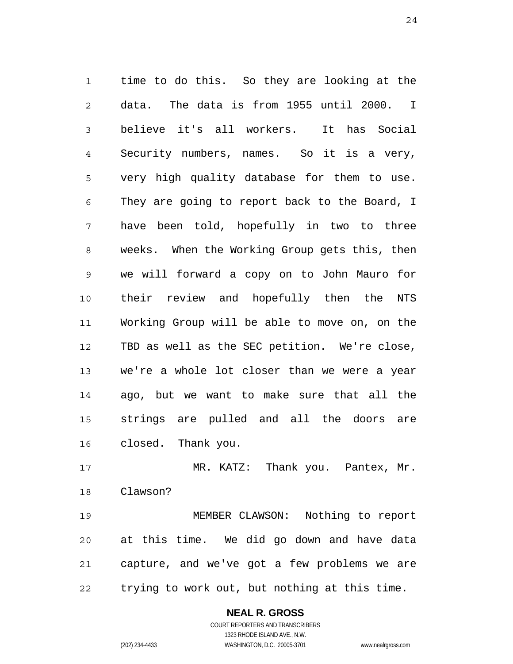1 2 3 4 5 6 7 8 9 10 11 12 13 14 15 16 time to do this. So they are looking at the data. The data is from 1955 until 2000. I believe it's all workers. It has Social Security numbers, names. So it is a very, very high quality database for them to use. They are going to report back to the Board, I have been told, hopefully in two to three weeks. When the Working Group gets this, then we will forward a copy on to John Mauro for their review and hopefully then the NTS Working Group will be able to move on, on the TBD as well as the SEC petition. We're close, we're a whole lot closer than we were a year ago, but we want to make sure that all the strings are pulled and all the doors are closed. Thank you.

17 18 MR. KATZ: Thank you. Pantex, Mr. Clawson?

19 20 21 22 MEMBER CLAWSON: Nothing to report at this time. We did go down and have data capture, and we've got a few problems we are trying to work out, but nothing at this time.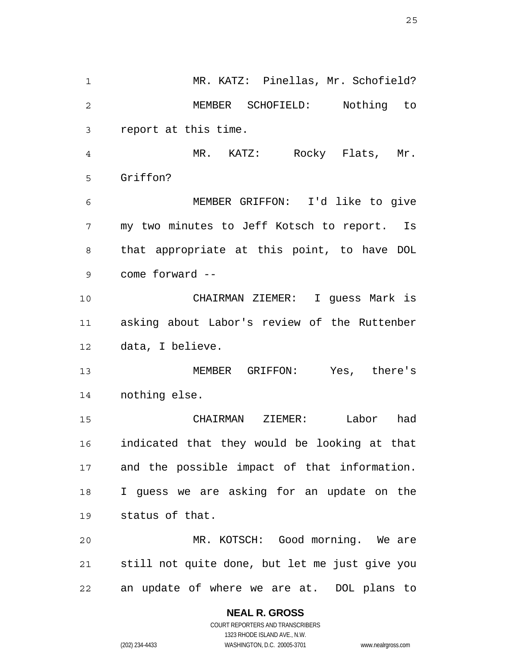1 2 3 4 5 6 7 8 9 10 11 12 13 14 15 16 17 18 19 20 21 22 MR. KATZ: Pinellas, Mr. Schofield? MEMBER SCHOFIELD: Nothing to report at this time. MR. KATZ: Rocky Flats, Mr. Griffon? MEMBER GRIFFON: I'd like to give my two minutes to Jeff Kotsch to report. Is that appropriate at this point, to have DOL come forward -- CHAIRMAN ZIEMER: I guess Mark is asking about Labor's review of the Ruttenber data, I believe. MEMBER GRIFFON: Yes, there's nothing else. CHAIRMAN ZIEMER: Labor had indicated that they would be looking at that and the possible impact of that information. I guess we are asking for an update on the status of that. MR. KOTSCH: Good morning. We are still not quite done, but let me just give you an update of where we are at. DOL plans to

# **NEAL R. GROSS**

COURT REPORTERS AND TRANSCRIBERS 1323 RHODE ISLAND AVE., N.W. (202) 234-4433 WASHINGTON, D.C. 20005-3701 www.nealrgross.com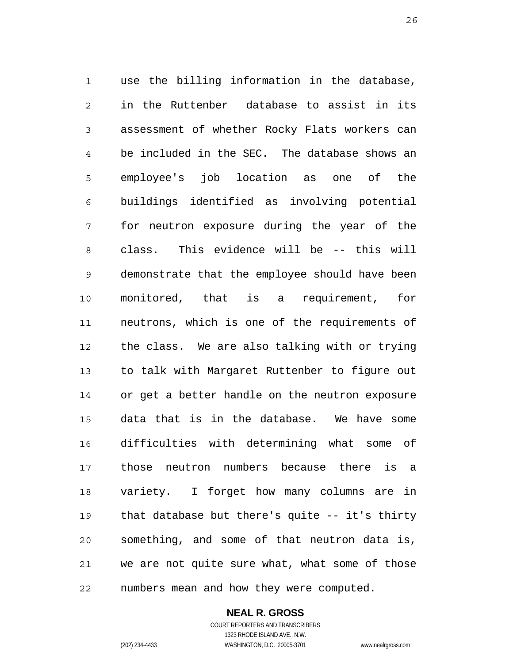1 2 3 4 5 6 7 8 9 10 11 12 13 14 15 16 17 18 19 20 21 22 use the billing information in the database, in the Ruttenber database to assist in its assessment of whether Rocky Flats workers can be included in the SEC. The database shows an employee's job location as one of the buildings identified as involving potential for neutron exposure during the year of the class. This evidence will be -- this will demonstrate that the employee should have been monitored, that is a requirement, for neutrons, which is one of the requirements of the class. We are also talking with or trying to talk with Margaret Ruttenber to figure out or get a better handle on the neutron exposure data that is in the database. We have some difficulties with determining what some of those neutron numbers because there is a variety. I forget how many columns are in that database but there's quite -- it's thirty something, and some of that neutron data is, we are not quite sure what, what some of those numbers mean and how they were computed.

**NEAL R. GROSS**

COURT REPORTERS AND TRANSCRIBERS 1323 RHODE ISLAND AVE., N.W. (202) 234-4433 WASHINGTON, D.C. 20005-3701 www.nealrgross.com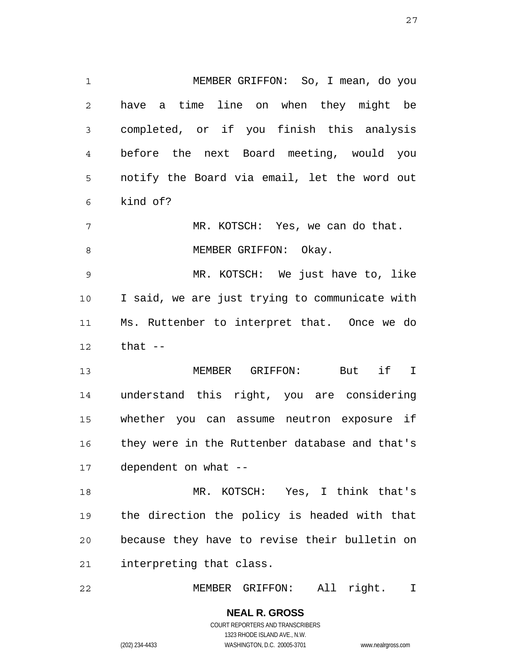1 2 3 4 5 6 7 8 9 10 11 12 13 14 15 16 17 18 MEMBER GRIFFON: So, I mean, do you have a time line on when they might be completed, or if you finish this analysis before the next Board meeting, would you notify the Board via email, let the word out kind of? MR. KOTSCH: Yes, we can do that. MEMBER GRIFFON: Okay. MR. KOTSCH: We just have to, like I said, we are just trying to communicate with Ms. Ruttenber to interpret that. Once we do that  $--$  MEMBER GRIFFON: But if I understand this right, you are considering whether you can assume neutron exposure if they were in the Ruttenber database and that's dependent on what -- MR. KOTSCH: Yes, I think that's

19 20 21 the direction the policy is headed with that because they have to revise their bulletin on interpreting that class.

22 MEMBER GRIFFON: All right. I

> **NEAL R. GROSS** COURT REPORTERS AND TRANSCRIBERS 1323 RHODE ISLAND AVE., N.W.

(202) 234-4433 WASHINGTON, D.C. 20005-3701 www.nealrgross.com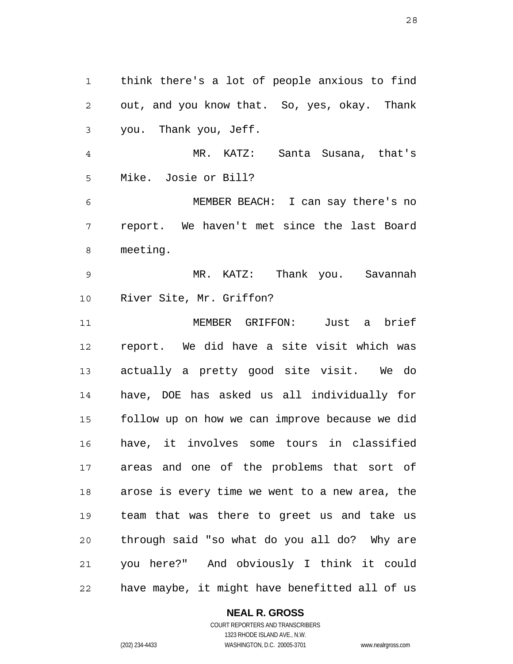1 2 3 4 5 6 7 8 9 10 11 12 13 14 15 16 17 18 19 20 21 22 think there's a lot of people anxious to find out, and you know that. So, yes, okay. Thank you. Thank you, Jeff. MR. KATZ: Santa Susana, that's Mike. Josie or Bill? MEMBER BEACH: I can say there's no report. We haven't met since the last Board meeting. MR. KATZ: Thank you. Savannah River Site, Mr. Griffon? MEMBER GRIFFON: Just a brief report. We did have a site visit which was actually a pretty good site visit. We do have, DOE has asked us all individually for follow up on how we can improve because we did have, it involves some tours in classified areas and one of the problems that sort of arose is every time we went to a new area, the team that was there to greet us and take us through said "so what do you all do? Why are you here?" And obviously I think it could have maybe, it might have benefitted all of us

#### **NEAL R. GROSS**

COURT REPORTERS AND TRANSCRIBERS 1323 RHODE ISLAND AVE., N.W. (202) 234-4433 WASHINGTON, D.C. 20005-3701 www.nealrgross.com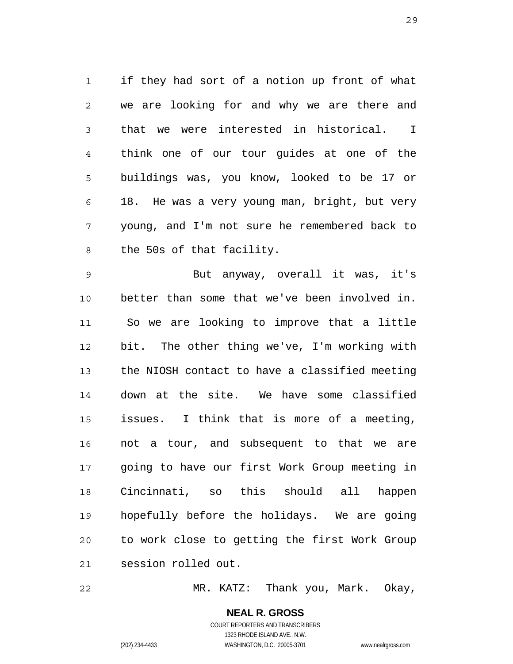1 2 3 4 5 6 7 8 if they had sort of a notion up front of what we are looking for and why we are there and that we were interested in historical. I think one of our tour guides at one of the buildings was, you know, looked to be 17 or 18. He was a very young man, bright, but very young, and I'm not sure he remembered back to the 50s of that facility.

9 10 11 12 13 14 15 16 17 18 19 20 21 But anyway, overall it was, it's better than some that we've been involved in. So we are looking to improve that a little bit. The other thing we've, I'm working with the NIOSH contact to have a classified meeting down at the site. We have some classified issues. I think that is more of a meeting, not a tour, and subsequent to that we are going to have our first Work Group meeting in Cincinnati, so this should all happen hopefully before the holidays. We are going to work close to getting the first Work Group session rolled out.

22 MR. KATZ: Thank you, Mark. Okay,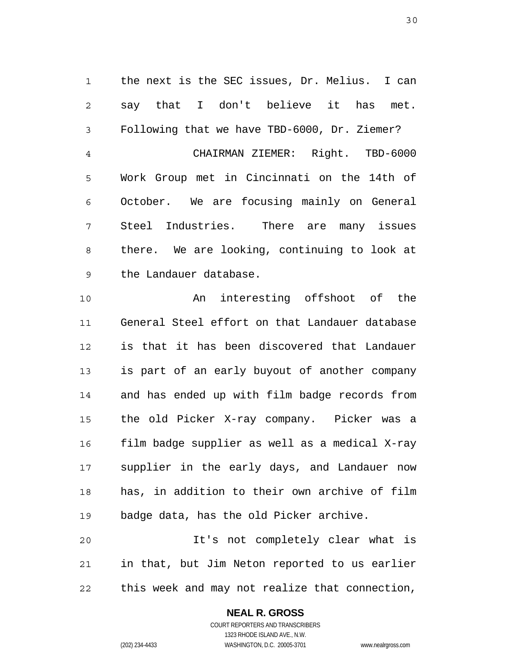1 2 3 4 5 6 7 8 9 the next is the SEC issues, Dr. Melius. I can say that I don't believe it has met. Following that we have TBD-6000, Dr. Ziemer? CHAIRMAN ZIEMER: Right. TBD-6000 Work Group met in Cincinnati on the 14th of October. We are focusing mainly on General Steel Industries. There are many issues there. We are looking, continuing to look at the Landauer database.

10 11 12 13 14 15 16 17 18 19 An interesting offshoot of the General Steel effort on that Landauer database is that it has been discovered that Landauer is part of an early buyout of another company and has ended up with film badge records from the old Picker X-ray company. Picker was a film badge supplier as well as a medical X-ray supplier in the early days, and Landauer now has, in addition to their own archive of film badge data, has the old Picker archive.

20 21 22 It's not completely clear what is in that, but Jim Neton reported to us earlier this week and may not realize that connection,

#### **NEAL R. GROSS**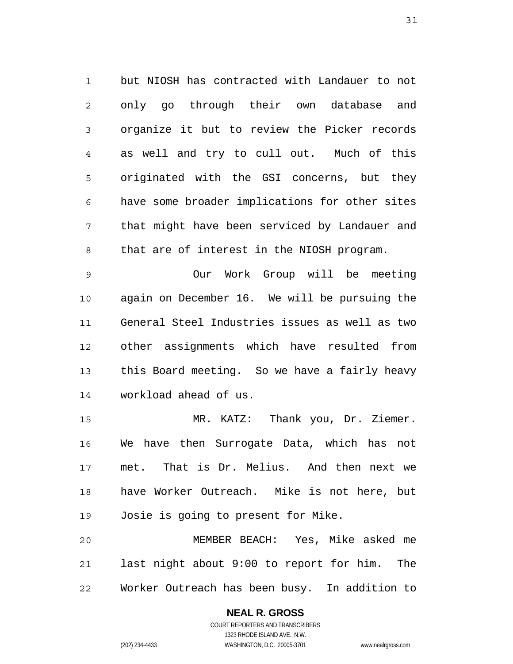1 2 3 4 5 6 7 8 but NIOSH has contracted with Landauer to not only go through their own database and organize it but to review the Picker records as well and try to cull out. Much of this originated with the GSI concerns, but they have some broader implications for other sites that might have been serviced by Landauer and that are of interest in the NIOSH program.

9 10 11 12 13 14 Our Work Group will be meeting again on December 16. We will be pursuing the General Steel Industries issues as well as two other assignments which have resulted from this Board meeting. So we have a fairly heavy workload ahead of us.

15 16 17 18 19 MR. KATZ: Thank you, Dr. Ziemer. We have then Surrogate Data, which has not met. That is Dr. Melius. And then next we have Worker Outreach. Mike is not here, but Josie is going to present for Mike.

20 21 22 MEMBER BEACH: Yes, Mike asked me last night about 9:00 to report for him. The Worker Outreach has been busy. In addition to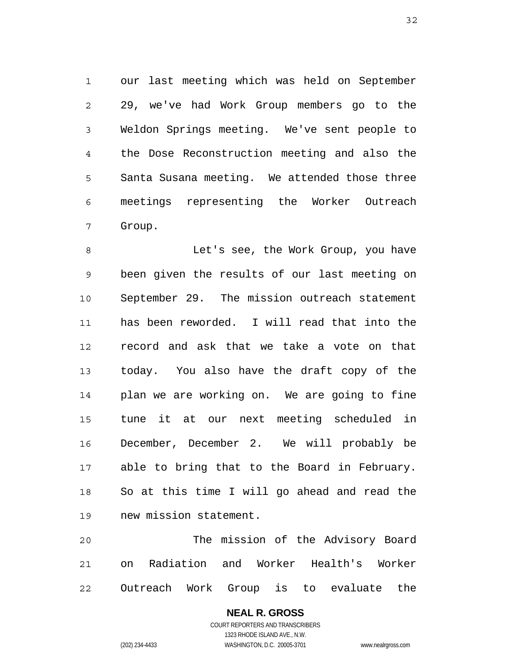1 2 3 4 5 6 7 our last meeting which was held on September 29, we've had Work Group members go to the Weldon Springs meeting. We've sent people to the Dose Reconstruction meeting and also the Santa Susana meeting. We attended those three meetings representing the Worker Outreach Group.

8 9 10 11 12 13 14 15 16 17 18 19 Let's see, the Work Group, you have been given the results of our last meeting on September 29. The mission outreach statement has been reworded. I will read that into the record and ask that we take a vote on that today. You also have the draft copy of the plan we are working on. We are going to fine tune it at our next meeting scheduled in December, December 2. We will probably be able to bring that to the Board in February. So at this time I will go ahead and read the new mission statement.

20 21 22 The mission of the Advisory Board on Radiation and Worker Health's Worker Outreach Work Group is to evaluate the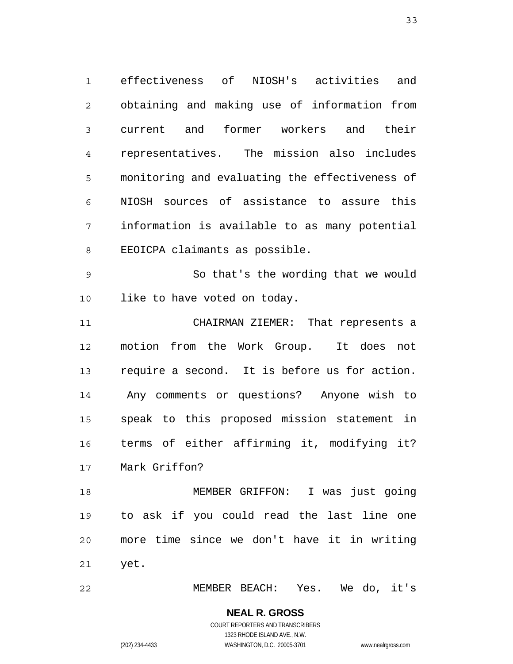1 2 3 4 5 6 7 8 effectiveness of NIOSH's activities and obtaining and making use of information from current and former workers and their representatives. The mission also includes monitoring and evaluating the effectiveness of NIOSH sources of assistance to assure this information is available to as many potential EEOICPA claimants as possible.

9 10 So that's the wording that we would like to have voted on today.

11 12 13 14 15 16 17 CHAIRMAN ZIEMER: That represents a motion from the Work Group. It does not require a second. It is before us for action. Any comments or questions? Anyone wish to speak to this proposed mission statement in terms of either affirming it, modifying it? Mark Griffon?

18 19 20 21 MEMBER GRIFFON: I was just going to ask if you could read the last line one more time since we don't have it in writing yet.

22 MEMBER BEACH: Yes. We do, it's

#### **NEAL R. GROSS** COURT REPORTERS AND TRANSCRIBERS 1323 RHODE ISLAND AVE., N.W.

(202) 234-4433 WASHINGTON, D.C. 20005-3701 www.nealrgross.com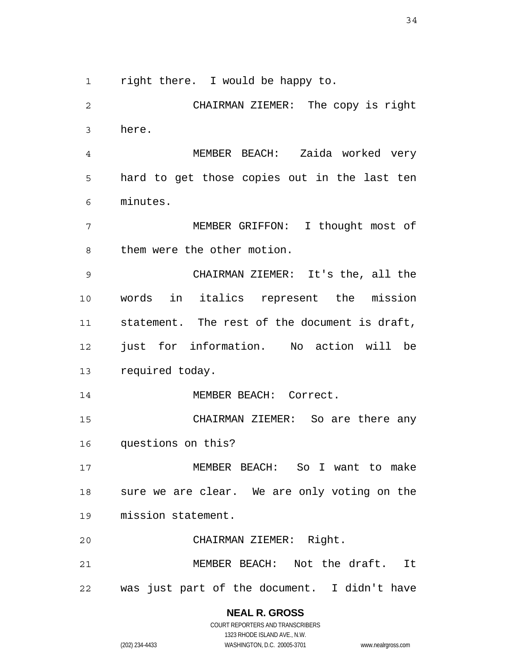1

right there. I would be happy to.

2 3 4 5 6 7 8 9 10 11 12 13 14 15 16 17 18 19 20 21 CHAIRMAN ZIEMER: The copy is right here. MEMBER BEACH: Zaida worked very hard to get those copies out in the last ten minutes. MEMBER GRIFFON: I thought most of them were the other motion. CHAIRMAN ZIEMER: It's the, all the words in italics represent the mission statement. The rest of the document is draft, just for information. No action will be required today. MEMBER BEACH: Correct. CHAIRMAN ZIEMER: So are there any questions on this? MEMBER BEACH: So I want to make sure we are clear. We are only voting on the mission statement. CHAIRMAN ZIEMER: Right. MEMBER BEACH: Not the draft. It

22 was just part of the document. I didn't have

> **NEAL R. GROSS** COURT REPORTERS AND TRANSCRIBERS 1323 RHODE ISLAND AVE., N.W.

(202) 234-4433 WASHINGTON, D.C. 20005-3701 www.nealrgross.com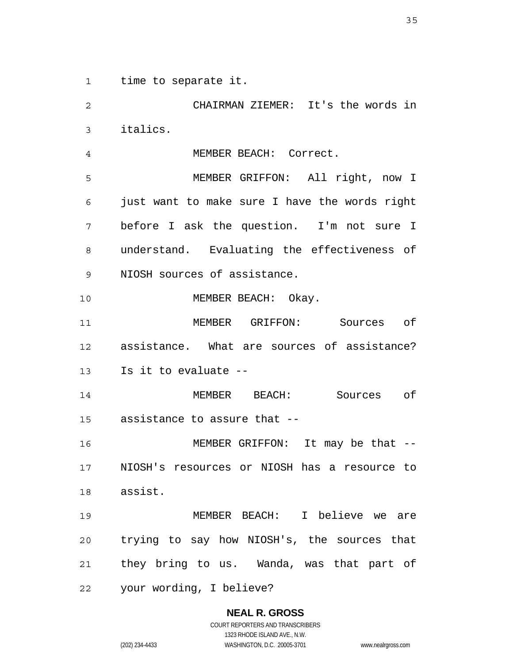1 time to separate it.

2 3 4 5 6 7 8 9 10 11 12 13 14 15 16 17 18 19 20 21 22 CHAIRMAN ZIEMER: It's the words in italics. MEMBER BEACH: Correct. MEMBER GRIFFON: All right, now I just want to make sure I have the words right before I ask the question. I'm not sure I understand. Evaluating the effectiveness of NIOSH sources of assistance. MEMBER BEACH: Okay. MEMBER GRIFFON: Sources of assistance. What are sources of assistance? Is it to evaluate -- MEMBER BEACH: Sources of assistance to assure that -- MEMBER GRIFFON: It may be that -- NIOSH's resources or NIOSH has a resource to assist. MEMBER BEACH: I believe we are trying to say how NIOSH's, the sources that they bring to us. Wanda, was that part of your wording, I believe?

# **NEAL R. GROSS**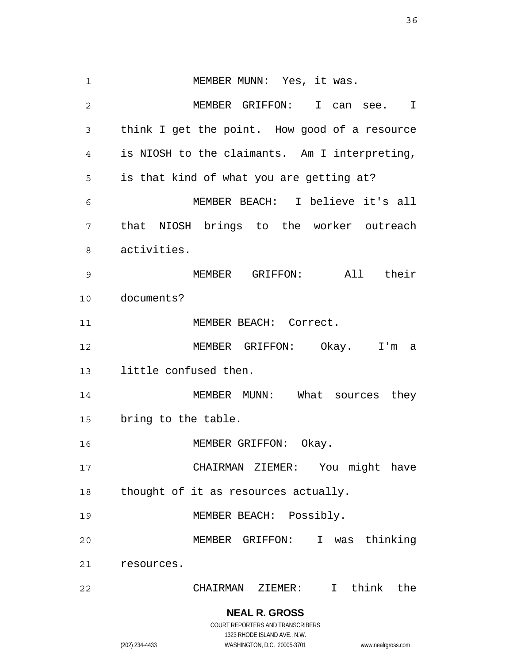1 2 3 4 5 6 7 8 9 10 11 12 13 14 15 16 17 18 19 20 21 22 MEMBER MUNN: Yes, it was. MEMBER GRIFFON: I can see. I think I get the point. How good of a resource is NIOSH to the claimants. Am I interpreting, is that kind of what you are getting at? MEMBER BEACH: I believe it's all that NIOSH brings to the worker outreach activities. MEMBER GRIFFON: All their documents? MEMBER BEACH: Correct. MEMBER GRIFFON: Okay. I'm a little confused then. MEMBER MUNN: What sources they bring to the table. MEMBER GRIFFON: Okay. CHAIRMAN ZIEMER: You might have thought of it as resources actually. MEMBER BEACH: Possibly. MEMBER GRIFFON: I was thinking resources. CHAIRMAN ZIEMER: I think the

> **NEAL R. GROSS** COURT REPORTERS AND TRANSCRIBERS

1323 RHODE ISLAND AVE., N.W. (202) 234-4433 WASHINGTON, D.C. 20005-3701 www.nealrgross.com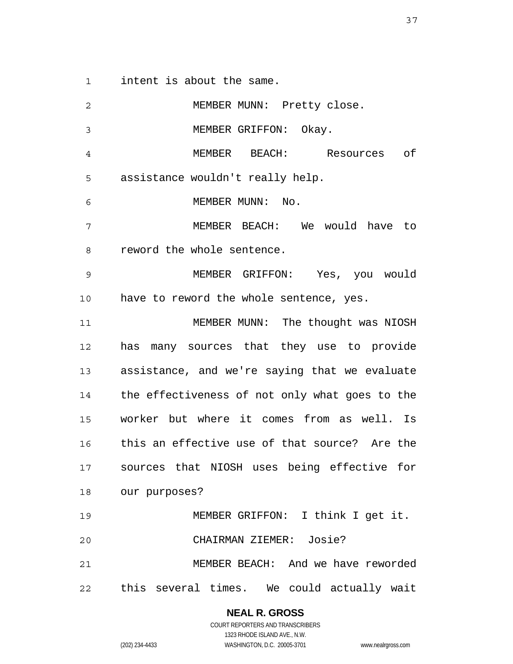1 intent is about the same.

2 3 4 5 6 7 8 9 10 11 12 13 14 15 16 17 18 19 20 21 22 MEMBER MUNN: Pretty close. MEMBER GRIFFON: Okay. MEMBER BEACH: Resources of assistance wouldn't really help. MEMBER MUNN: No. MEMBER BEACH: We would have to reword the whole sentence. MEMBER GRIFFON: Yes, you would have to reword the whole sentence, yes. MEMBER MUNN: The thought was NIOSH has many sources that they use to provide assistance, and we're saying that we evaluate the effectiveness of not only what goes to the worker but where it comes from as well. Is this an effective use of that source? Are the sources that NIOSH uses being effective for our purposes? MEMBER GRIFFON: I think I get it. CHAIRMAN ZIEMER: Josie? MEMBER BEACH: And we have reworded this several times. We could actually wait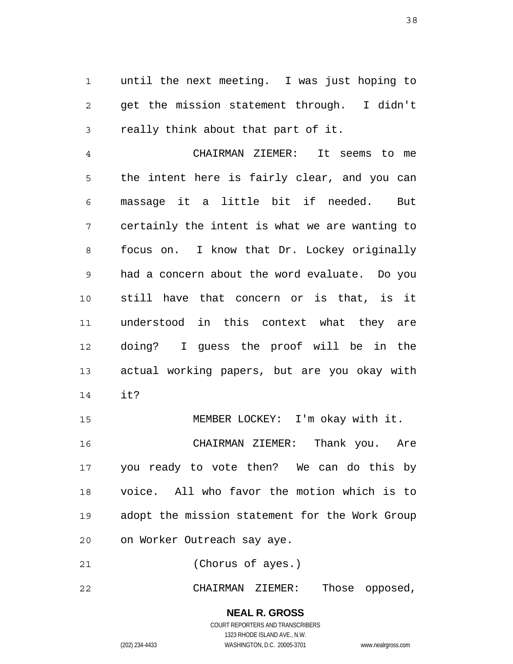1 2 3 until the next meeting. I was just hoping to get the mission statement through. I didn't really think about that part of it.

4 5 6 7 8 9 10 11 12 13 14 CHAIRMAN ZIEMER: It seems to me the intent here is fairly clear, and you can massage it a little bit if needed. But certainly the intent is what we are wanting to focus on. I know that Dr. Lockey originally had a concern about the word evaluate. Do you still have that concern or is that, is it understood in this context what they are doing? I guess the proof will be in the actual working papers, but are you okay with it?

15 16 17 18 19 20 MEMBER LOCKEY: I'm okay with it. CHAIRMAN ZIEMER: Thank you. Are you ready to vote then? We can do this by voice. All who favor the motion which is to adopt the mission statement for the Work Group on Worker Outreach say aye.

21 (Chorus of ayes.)

22 CHAIRMAN ZIEMER: Those opposed,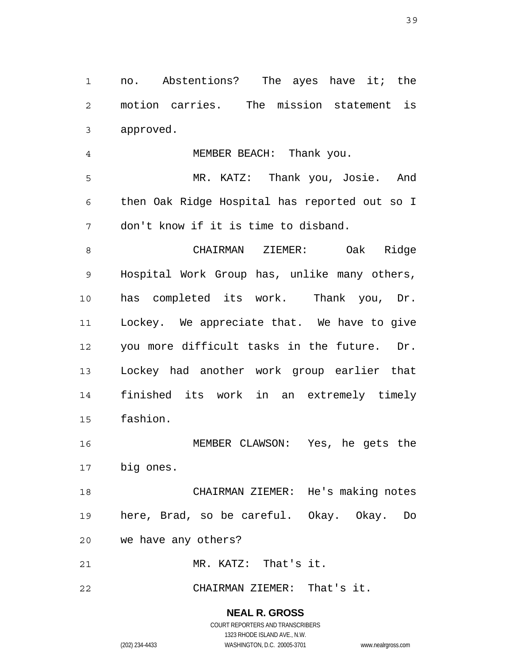1 2 3 no. Abstentions? The ayes have it; the motion carries. The mission statement is approved.

4 MEMBER BEACH: Thank you.

5 6 7 MR. KATZ: Thank you, Josie. And then Oak Ridge Hospital has reported out so I don't know if it is time to disband.

8 9 10 11 12 13 14 15 CHAIRMAN ZIEMER: Oak Ridge Hospital Work Group has, unlike many others, has completed its work. Thank you, Dr. Lockey. We appreciate that. We have to give you more difficult tasks in the future. Dr. Lockey had another work group earlier that finished its work in an extremely timely fashion.

16 17 MEMBER CLAWSON: Yes, he gets the big ones.

18 19 20 CHAIRMAN ZIEMER: He's making notes here, Brad, so be careful. Okay. Okay. Do we have any others?

21 MR. KATZ: That's it.

22 CHAIRMAN ZIEMER: That's it.

> **NEAL R. GROSS** COURT REPORTERS AND TRANSCRIBERS

1323 RHODE ISLAND AVE., N.W. (202) 234-4433 WASHINGTON, D.C. 20005-3701 www.nealrgross.com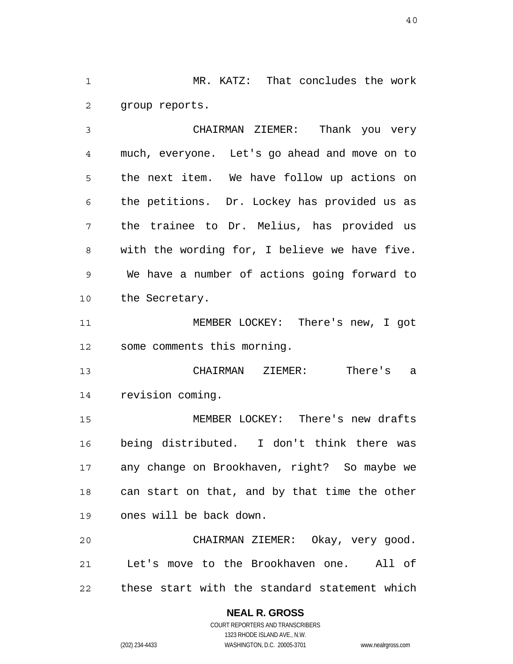1 2 MR. KATZ: That concludes the work group reports.

3 4 5 6 7 8 9 10 CHAIRMAN ZIEMER: Thank you very much, everyone. Let's go ahead and move on to the next item. We have follow up actions on the petitions. Dr. Lockey has provided us as the trainee to Dr. Melius, has provided us with the wording for, I believe we have five. We have a number of actions going forward to the Secretary.

11 12 MEMBER LOCKEY: There's new, I got some comments this morning.

13 14 CHAIRMAN ZIEMER: There's a revision coming.

15 16 17 18 19 MEMBER LOCKEY: There's new drafts being distributed. I don't think there was any change on Brookhaven, right? So maybe we can start on that, and by that time the other ones will be back down.

20 21 22 CHAIRMAN ZIEMER: Okay, very good. Let's move to the Brookhaven one. All of these start with the standard statement which

# **NEAL R. GROSS**

COURT REPORTERS AND TRANSCRIBERS 1323 RHODE ISLAND AVE., N.W. (202) 234-4433 WASHINGTON, D.C. 20005-3701 www.nealrgross.com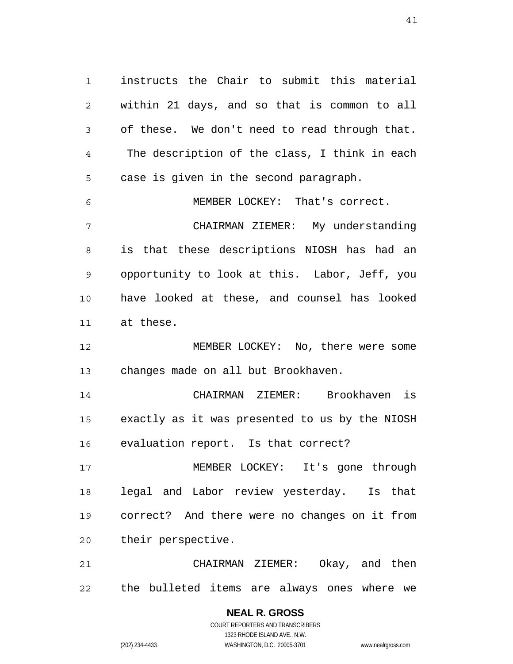1 2 3 4 5 6 instructs the Chair to submit this material within 21 days, and so that is common to all of these. We don't need to read through that. The description of the class, I think in each case is given in the second paragraph. MEMBER LOCKEY: That's correct.

7 8 9 10 11 CHAIRMAN ZIEMER: My understanding is that these descriptions NIOSH has had an opportunity to look at this. Labor, Jeff, you have looked at these, and counsel has looked at these.

12 13 MEMBER LOCKEY: No, there were some changes made on all but Brookhaven.

14 15 16 CHAIRMAN ZIEMER: Brookhaven is exactly as it was presented to us by the NIOSH evaluation report. Is that correct?

17 18 19 20 MEMBER LOCKEY: It's gone through legal and Labor review yesterday. Is that correct? And there were no changes on it from their perspective.

21 22 CHAIRMAN ZIEMER: Okay, and then the bulleted items are always ones where we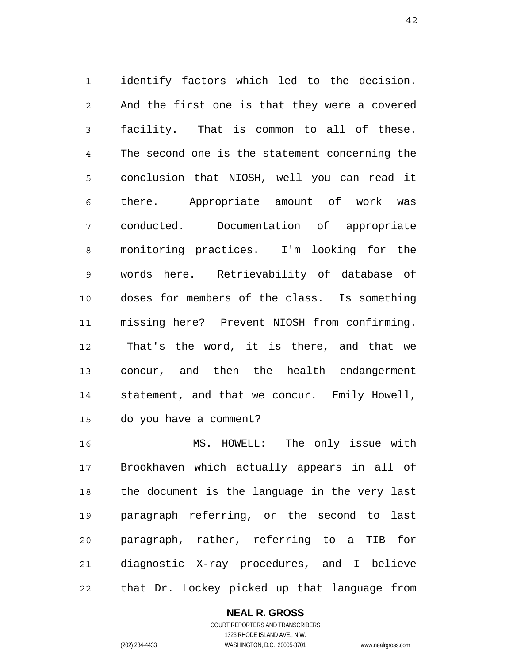1 2 3 4 5 6 7 8 9 10 11 12 13 14 15 identify factors which led to the decision. And the first one is that they were a covered facility. That is common to all of these. The second one is the statement concerning the conclusion that NIOSH, well you can read it there. Appropriate amount of work was conducted. Documentation of appropriate monitoring practices. I'm looking for the words here. Retrievability of database of doses for members of the class. Is something missing here? Prevent NIOSH from confirming. That's the word, it is there, and that we concur, and then the health endangerment statement, and that we concur. Emily Howell, do you have a comment?

16 17 18 19 20 21 22 MS. HOWELL: The only issue with Brookhaven which actually appears in all of the document is the language in the very last paragraph referring, or the second to last paragraph, rather, referring to a TIB for diagnostic X-ray procedures, and I believe that Dr. Lockey picked up that language from

### **NEAL R. GROSS**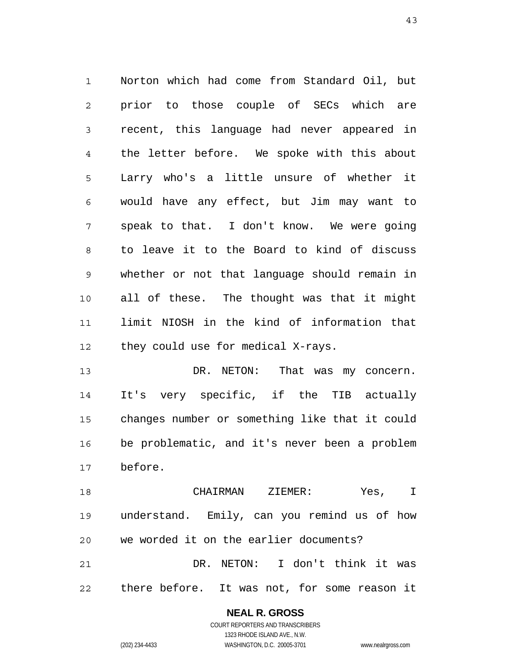1 2 3 4 5 6 7 8 9 10 11 12 Norton which had come from Standard Oil, but prior to those couple of SECs which are recent, this language had never appeared in the letter before. We spoke with this about Larry who's a little unsure of whether it would have any effect, but Jim may want to speak to that. I don't know. We were going to leave it to the Board to kind of discuss whether or not that language should remain in all of these. The thought was that it might limit NIOSH in the kind of information that they could use for medical X-rays.

13 14 15 16 17 DR. NETON: That was my concern. It's very specific, if the TIB actually changes number or something like that it could be problematic, and it's never been a problem before.

18 19 20 21 22 CHAIRMAN ZIEMER: Yes, I understand. Emily, can you remind us of how we worded it on the earlier documents? DR. NETON: I don't think it was there before. It was not, for some reason it

> **NEAL R. GROSS** COURT REPORTERS AND TRANSCRIBERS 1323 RHODE ISLAND AVE., N.W.

(202) 234-4433 WASHINGTON, D.C. 20005-3701 www.nealrgross.com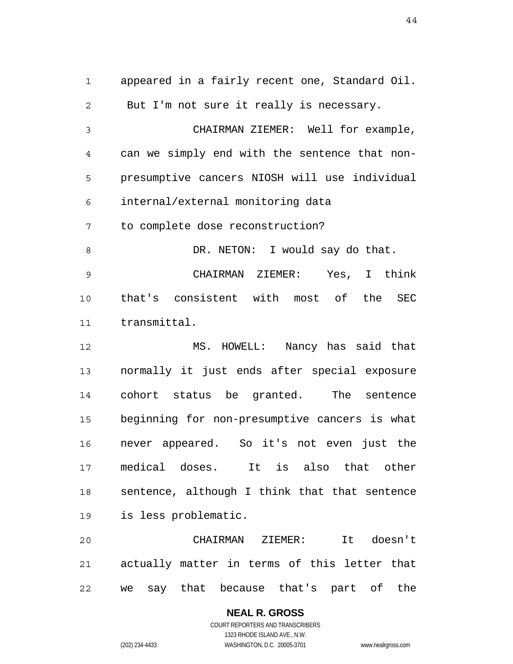1 2 3 4 5 6 7 8 9 10 11 12 13 14 15 16 17 18 19 20 appeared in a fairly recent one, Standard Oil. But I'm not sure it really is necessary. CHAIRMAN ZIEMER: Well for example, can we simply end with the sentence that nonpresumptive cancers NIOSH will use individual internal/external monitoring data to complete dose reconstruction? DR. NETON: I would say do that. CHAIRMAN ZIEMER: Yes, I think that's consistent with most of the SEC transmittal. MS. HOWELL: Nancy has said that normally it just ends after special exposure cohort status be granted. The sentence beginning for non-presumptive cancers is what never appeared. So it's not even just the medical doses. It is also that other sentence, although I think that that sentence is less problematic. CHAIRMAN ZIEMER: It doesn't

22 we say that because that's part of the

> **NEAL R. GROSS** COURT REPORTERS AND TRANSCRIBERS 1323 RHODE ISLAND AVE., N.W. (202) 234-4433 WASHINGTON, D.C. 20005-3701 www.nealrgross.com

actually matter in terms of this letter that

21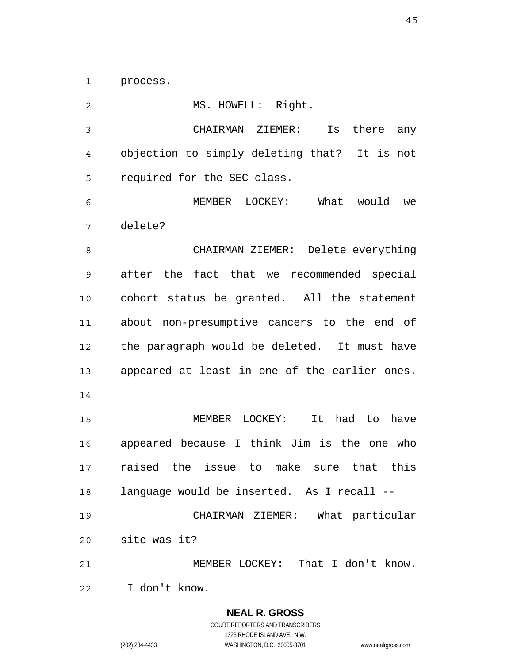1 process.

| $\mathbf 2$ | MS. HOWELL: Right.                            |
|-------------|-----------------------------------------------|
| $\mathsf 3$ | CHAIRMAN ZIEMER:<br>Is<br>there any           |
| 4           | objection to simply deleting that? It is not  |
| 5           | required for the SEC class.                   |
| 6           | MEMBER LOCKEY: What would<br>we               |
| 7           | delete?                                       |
| 8           | CHAIRMAN ZIEMER: Delete everything            |
| 9           | after the fact that we recommended special    |
| 10          | cohort status be granted. All the statement   |
| 11          | about non-presumptive cancers to the end of   |
| 12          | the paragraph would be deleted. It must have  |
| 13          | appeared at least in one of the earlier ones. |
| 14          |                                               |
| 15          | LOCKEY:<br>It<br>had to<br>MEMBER<br>have     |
| 16          | appeared because I think Jim is the one who   |
| 17          | raised the issue to make sure that<br>this    |
| 18          | language would be inserted. As I recall --    |
| 19          | CHAIRMAN ZIEMER: What particular              |
| 20          | site was it?                                  |
| 21          | MEMBER LOCKEY: That I don't know.             |
| 22          | I don't know.                                 |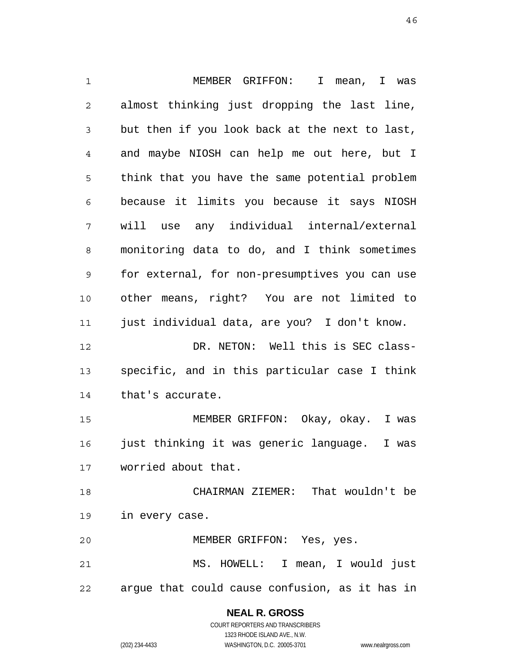1 2 3 4 5 6 7 8 9 10 11 12 13 14 15 16 17 18 19 20 21 22 MEMBER GRIFFON: I mean, I was almost thinking just dropping the last line, but then if you look back at the next to last, and maybe NIOSH can help me out here, but I think that you have the same potential problem because it limits you because it says NIOSH will use any individual internal/external monitoring data to do, and I think sometimes for external, for non-presumptives you can use other means, right? You are not limited to just individual data, are you? I don't know. DR. NETON: Well this is SEC classspecific, and in this particular case I think that's accurate. MEMBER GRIFFON: Okay, okay. I was just thinking it was generic language. I was worried about that. CHAIRMAN ZIEMER: That wouldn't be in every case. MEMBER GRIFFON: Yes, yes. MS. HOWELL: I mean, I would just argue that could cause confusion, as it has in

# **NEAL R. GROSS**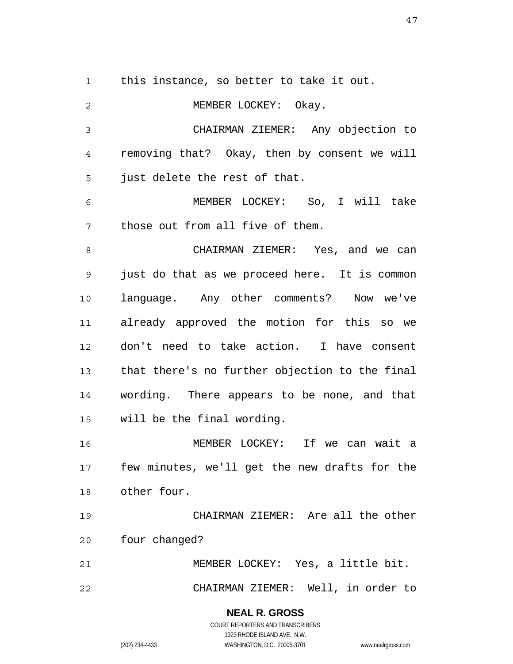1 this instance, so better to take it out.

2 3 4 5 6 7 8 9 10 11 12 13 14 15 16 17 18 19 20 21 22 MEMBER LOCKEY: Okay. CHAIRMAN ZIEMER: Any objection to removing that? Okay, then by consent we will just delete the rest of that. MEMBER LOCKEY: So, I will take those out from all five of them. CHAIRMAN ZIEMER: Yes, and we can just do that as we proceed here. It is common language. Any other comments? Now we've already approved the motion for this so we don't need to take action. I have consent that there's no further objection to the final wording. There appears to be none, and that will be the final wording. MEMBER LOCKEY: If we can wait a few minutes, we'll get the new drafts for the other four. CHAIRMAN ZIEMER: Are all the other four changed? MEMBER LOCKEY: Yes, a little bit. CHAIRMAN ZIEMER: Well, in order to

> **NEAL R. GROSS** COURT REPORTERS AND TRANSCRIBERS 1323 RHODE ISLAND AVE., N.W. (202) 234-4433 WASHINGTON, D.C. 20005-3701 www.nealrgross.com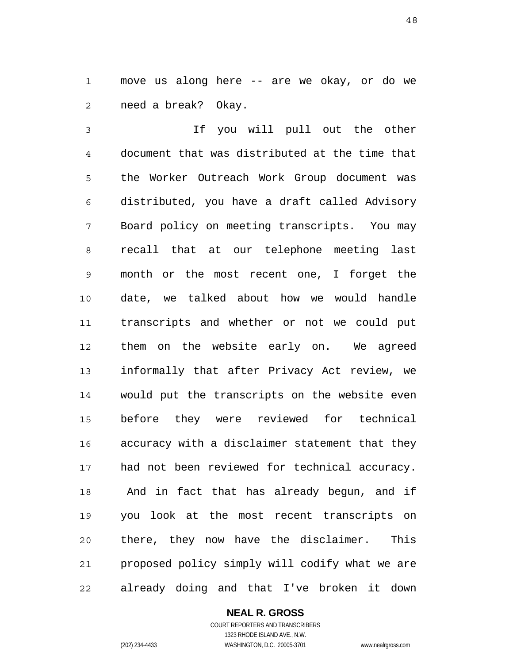1 2 move us along here -- are we okay, or do we need a break? Okay.

3 4 5 6 7 8 9 10 11 12 13 14 15 16 17 18 19 20 21 22 If you will pull out the other document that was distributed at the time that the Worker Outreach Work Group document was distributed, you have a draft called Advisory Board policy on meeting transcripts. You may recall that at our telephone meeting last month or the most recent one, I forget the date, we talked about how we would handle transcripts and whether or not we could put them on the website early on. We agreed informally that after Privacy Act review, we would put the transcripts on the website even before they were reviewed for technical accuracy with a disclaimer statement that they had not been reviewed for technical accuracy. And in fact that has already begun, and if you look at the most recent transcripts on there, they now have the disclaimer. This proposed policy simply will codify what we are already doing and that I've broken it down

**NEAL R. GROSS**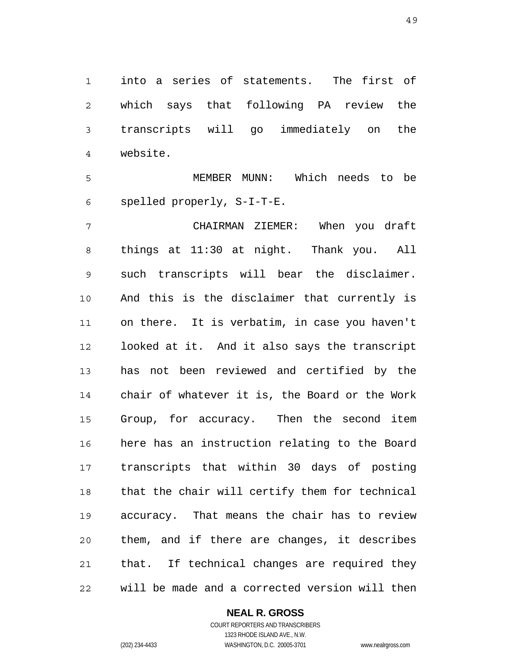1 2 3 4 into a series of statements. The first of which says that following PA review the transcripts will go immediately on the website.

5 6 MEMBER MUNN: Which needs to be spelled properly, S-I-T-E.

7 8 9 10 11 12 13 14 15 16 17 18 19 20 21 22 CHAIRMAN ZIEMER: When you draft things at 11:30 at night. Thank you. All such transcripts will bear the disclaimer. And this is the disclaimer that currently is on there. It is verbatim, in case you haven't looked at it. And it also says the transcript has not been reviewed and certified by the chair of whatever it is, the Board or the Work Group, for accuracy. Then the second item here has an instruction relating to the Board transcripts that within 30 days of posting that the chair will certify them for technical accuracy. That means the chair has to review them, and if there are changes, it describes that. If technical changes are required they will be made and a corrected version will then

#### **NEAL R. GROSS**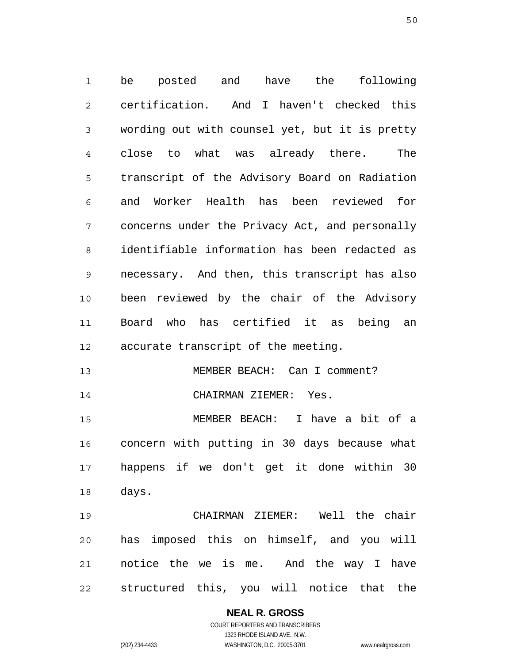1 2 3 4 5 6 7 8 9 10 11 12 be posted and have the following certification. And I haven't checked this wording out with counsel yet, but it is pretty close to what was already there. The transcript of the Advisory Board on Radiation and Worker Health has been reviewed for concerns under the Privacy Act, and personally identifiable information has been redacted as necessary. And then, this transcript has also been reviewed by the chair of the Advisory Board who has certified it as being an accurate transcript of the meeting.

13 MEMBER BEACH: Can I comment?

15 16 17 18 MEMBER BEACH: I have a bit of a concern with putting in 30 days because what happens if we don't get it done within 30 days.

CHAIRMAN ZIEMER: Yes.

19 20 21 22 CHAIRMAN ZIEMER: Well the chair has imposed this on himself, and you will notice the we is me. And the way I have structured this, you will notice that the

> **NEAL R. GROSS** COURT REPORTERS AND TRANSCRIBERS 1323 RHODE ISLAND AVE., N.W. (202) 234-4433 WASHINGTON, D.C. 20005-3701 www.nealrgross.com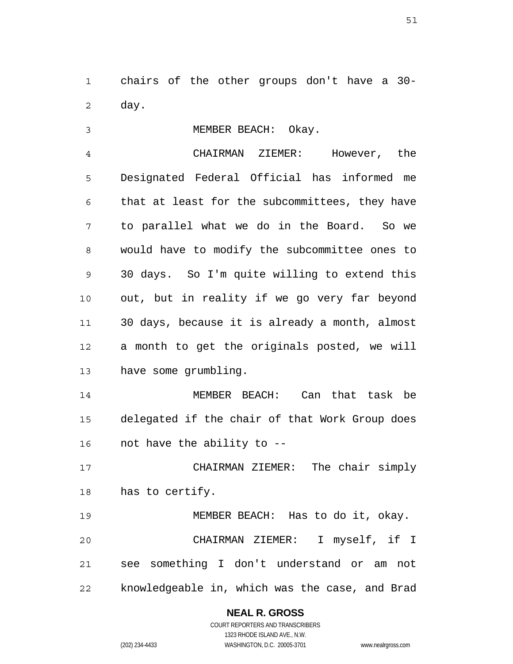1 2 chairs of the other groups don't have a 30 day.

3 MEMBER BEACH: Okay.

4 5 6 7 8 9 10 11 12 13 CHAIRMAN ZIEMER: However, the Designated Federal Official has informed me that at least for the subcommittees, they have to parallel what we do in the Board. So we would have to modify the subcommittee ones to 30 days. So I'm quite willing to extend this out, but in reality if we go very far beyond 30 days, because it is already a month, almost a month to get the originals posted, we will have some grumbling.

14 15 16 MEMBER BEACH: Can that task be delegated if the chair of that Work Group does not have the ability to --

17 18 CHAIRMAN ZIEMER: The chair simply has to certify.

19 20 21 22 MEMBER BEACH: Has to do it, okay. CHAIRMAN ZIEMER: I myself, if I see something I don't understand or am not knowledgeable in, which was the case, and Brad

### **NEAL R. GROSS**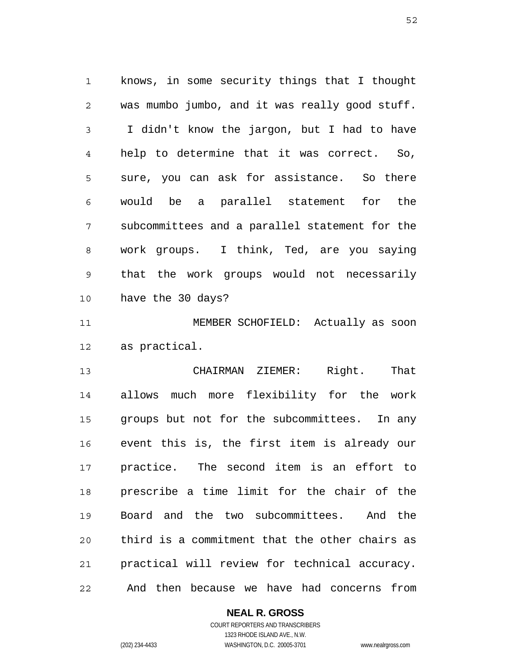1 2 3 4 5 6 7 8 9 10 knows, in some security things that I thought was mumbo jumbo, and it was really good stuff. I didn't know the jargon, but I had to have help to determine that it was correct. So, sure, you can ask for assistance. So there would be a parallel statement for the subcommittees and a parallel statement for the work groups. I think, Ted, are you saying that the work groups would not necessarily have the 30 days?

11 12 MEMBER SCHOFIELD: Actually as soon as practical.

13 14 15 16 17 18 19 20 21 22 CHAIRMAN ZIEMER: Right. That allows much more flexibility for the work groups but not for the subcommittees. In any event this is, the first item is already our practice. The second item is an effort to prescribe a time limit for the chair of the Board and the two subcommittees. And the third is a commitment that the other chairs as practical will review for technical accuracy. And then because we have had concerns from

# **NEAL R. GROSS**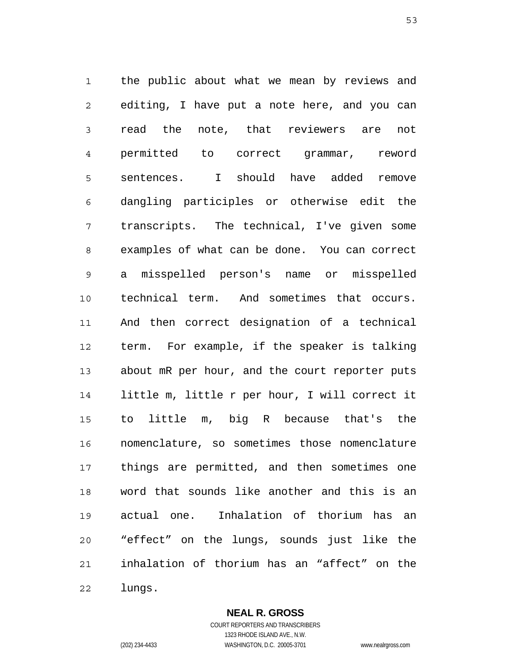1 2 3 4 5 6 7 8 9 10 11 12 13 14 15 16 17 18 19 20 21 22 the public about what we mean by reviews and editing, I have put a note here, and you can read the note, that reviewers are not permitted to correct grammar, reword sentences. I should have added remove dangling participles or otherwise edit the transcripts. The technical, I've given some examples of what can be done. You can correct a misspelled person's name or misspelled technical term. And sometimes that occurs. And then correct designation of a technical term. For example, if the speaker is talking about mR per hour, and the court reporter puts little m, little r per hour, I will correct it to little m, big R because that's the nomenclature, so sometimes those nomenclature things are permitted, and then sometimes one word that sounds like another and this is an actual one. Inhalation of thorium has an "effect" on the lungs, sounds just like the inhalation of thorium has an "affect" on the lungs.

> **NEAL R. GROSS** COURT REPORTERS AND TRANSCRIBERS

1323 RHODE ISLAND AVE., N.W. (202) 234-4433 WASHINGTON, D.C. 20005-3701 www.nealrgross.com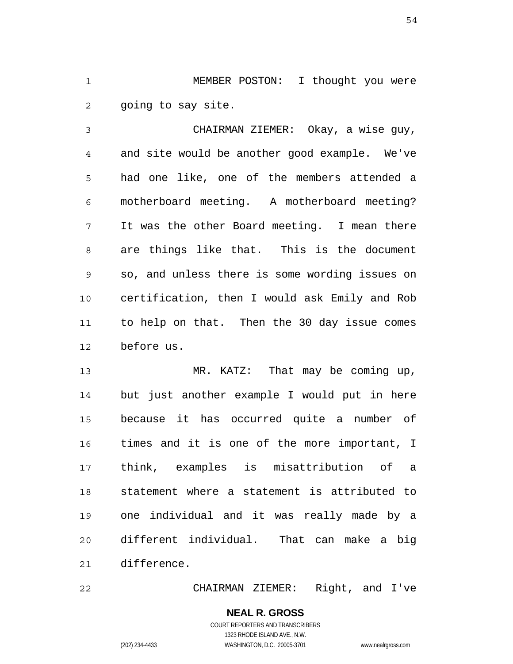1 2 MEMBER POSTON: I thought you were going to say site.

3 4 5 6 7 8 9 10 11 12 CHAIRMAN ZIEMER: Okay, a wise guy, and site would be another good example. We've had one like, one of the members attended a motherboard meeting. A motherboard meeting? It was the other Board meeting. I mean there are things like that. This is the document so, and unless there is some wording issues on certification, then I would ask Emily and Rob to help on that. Then the 30 day issue comes before us.

13 14 15 16 17 18 19 20 21 MR. KATZ: That may be coming up, but just another example I would put in here because it has occurred quite a number of times and it is one of the more important, I think, examples is misattribution of a statement where a statement is attributed to one individual and it was really made by a different individual. That can make a big difference.

22 CHAIRMAN ZIEMER: Right, and I've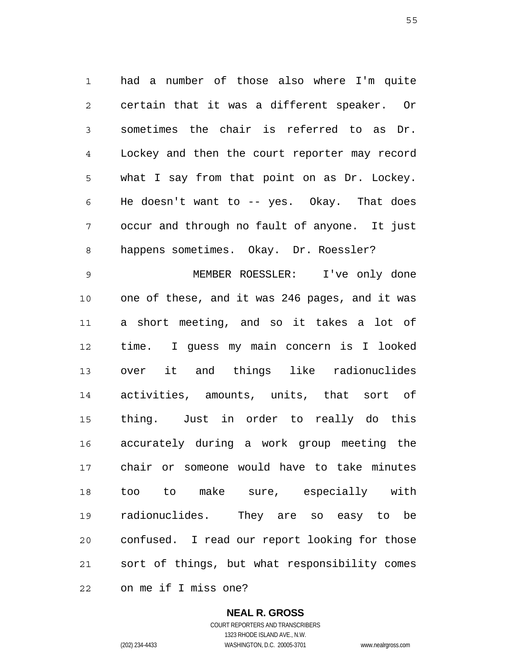1 2 3 4 5 6 7 8 had a number of those also where I'm quite certain that it was a different speaker. Or sometimes the chair is referred to as Dr. Lockey and then the court reporter may record what I say from that point on as Dr. Lockey. He doesn't want to -- yes. Okay. That does occur and through no fault of anyone. It just happens sometimes. Okay. Dr. Roessler?

9 10 11 12 13 14 15 16 17 18 19 20 21 22 MEMBER ROESSLER: I've only done one of these, and it was 246 pages, and it was a short meeting, and so it takes a lot of time. I guess my main concern is I looked over it and things like radionuclides activities, amounts, units, that sort of thing. Just in order to really do this accurately during a work group meeting the chair or someone would have to take minutes too to make sure, especially with radionuclides. They are so easy to be confused. I read our report looking for those sort of things, but what responsibility comes on me if I miss one?

> **NEAL R. GROSS** COURT REPORTERS AND TRANSCRIBERS

> > 1323 RHODE ISLAND AVE., N.W.

(202) 234-4433 WASHINGTON, D.C. 20005-3701 www.nealrgross.com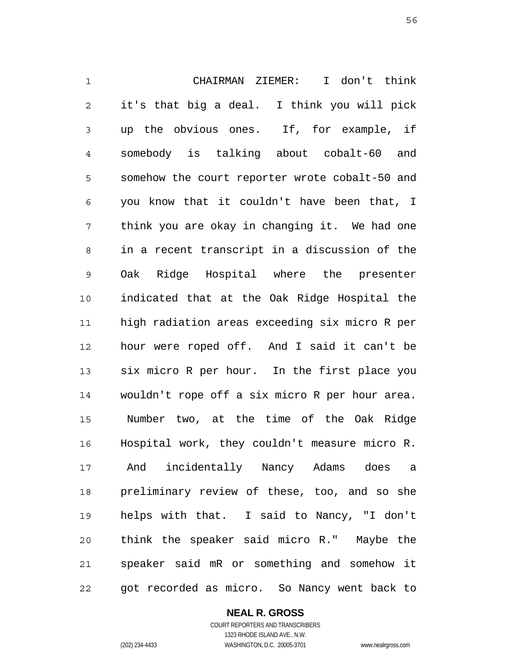1 2 3 4 5 6 7 8 9 10 11 12 13 14 15 16 17 18 19 20 21 22 CHAIRMAN ZIEMER: I don't think it's that big a deal. I think you will pick up the obvious ones. If, for example, if somebody is talking about cobalt-60 and somehow the court reporter wrote cobalt-50 and you know that it couldn't have been that, I think you are okay in changing it. We had one in a recent transcript in a discussion of the Oak Ridge Hospital where the presenter indicated that at the Oak Ridge Hospital the high radiation areas exceeding six micro R per hour were roped off. And I said it can't be six micro R per hour. In the first place you wouldn't rope off a six micro R per hour area. Number two, at the time of the Oak Ridge Hospital work, they couldn't measure micro R. And incidentally Nancy Adams does a preliminary review of these, too, and so she helps with that. I said to Nancy, "I don't think the speaker said micro R." Maybe the speaker said mR or something and somehow it got recorded as micro. So Nancy went back to

**NEAL R. GROSS**

COURT REPORTERS AND TRANSCRIBERS 1323 RHODE ISLAND AVE., N.W. (202) 234-4433 WASHINGTON, D.C. 20005-3701 www.nealrgross.com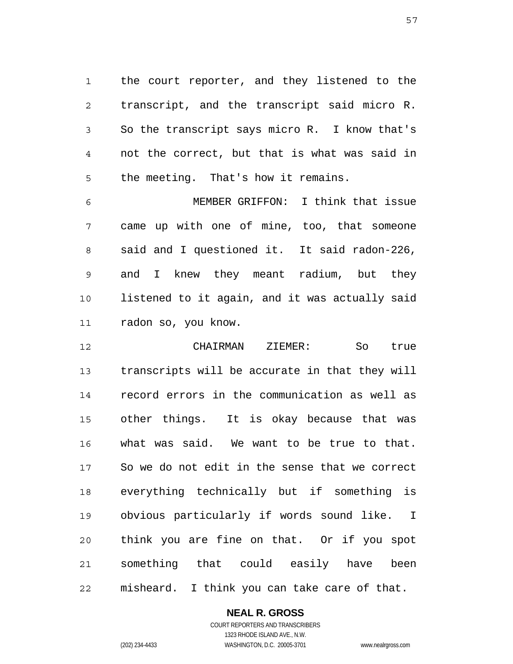1 2 3 4 5 the court reporter, and they listened to the transcript, and the transcript said micro R. So the transcript says micro R. I know that's not the correct, but that is what was said in the meeting. That's how it remains.

6 7 8 9 10 11 MEMBER GRIFFON: I think that issue came up with one of mine, too, that someone said and I questioned it. It said radon-226, and I knew they meant radium, but they listened to it again, and it was actually said radon so, you know.

12 13 14 15 16 17 18 19 20 21 22 CHAIRMAN ZIEMER: So true transcripts will be accurate in that they will record errors in the communication as well as other things. It is okay because that was what was said. We want to be true to that. So we do not edit in the sense that we correct everything technically but if something is obvious particularly if words sound like. I think you are fine on that. Or if you spot something that could easily have been misheard. I think you can take care of that.

> **NEAL R. GROSS** COURT REPORTERS AND TRANSCRIBERS

1323 RHODE ISLAND AVE., N.W. (202) 234-4433 WASHINGTON, D.C. 20005-3701 www.nealrgross.com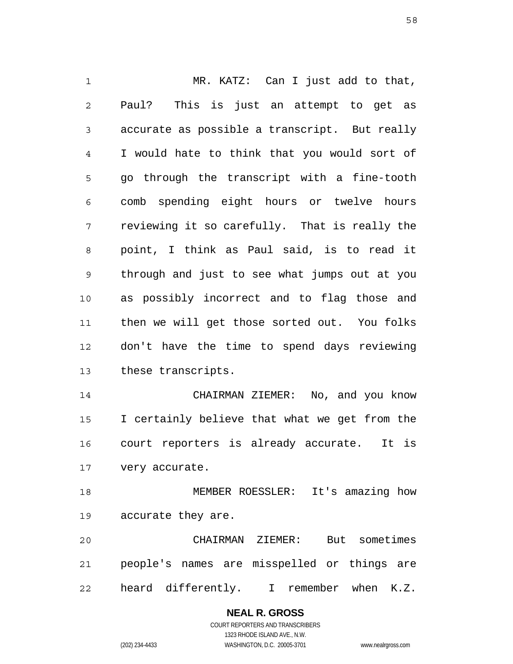1 2 3 4 5 6 7 8 9 10 11 12 13 14 15 16 17 18 19 20 21 MR. KATZ: Can I just add to that, Paul? This is just an attempt to get as accurate as possible a transcript. But really I would hate to think that you would sort of go through the transcript with a fine-tooth comb spending eight hours or twelve hours reviewing it so carefully. That is really the point, I think as Paul said, is to read it through and just to see what jumps out at you as possibly incorrect and to flag those and then we will get those sorted out. You folks don't have the time to spend days reviewing these transcripts. CHAIRMAN ZIEMER: No, and you know I certainly believe that what we get from the court reporters is already accurate. It is very accurate. MEMBER ROESSLER: It's amazing how accurate they are. CHAIRMAN ZIEMER: But sometimes people's names are misspelled or things are

22 heard differently. I remember when K.Z.

# **NEAL R. GROSS**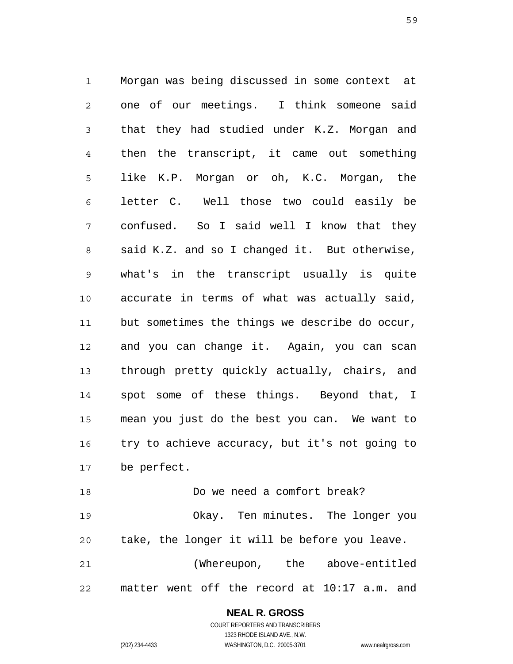1 2 3 4 5 6 7 8 9 10 11 12 13 14 15 16 17 Morgan was being discussed in some context at one of our meetings. I think someone said that they had studied under K.Z. Morgan and then the transcript, it came out something like K.P. Morgan or oh, K.C. Morgan, the letter C. Well those two could easily be confused. So I said well I know that they said K.Z. and so I changed it. But otherwise, what's in the transcript usually is quite accurate in terms of what was actually said, but sometimes the things we describe do occur, and you can change it. Again, you can scan through pretty quickly actually, chairs, and spot some of these things. Beyond that, I mean you just do the best you can. We want to try to achieve accuracy, but it's not going to be perfect.

18 19 20 21 22 Do we need a comfort break? Okay. Ten minutes. The longer you take, the longer it will be before you leave. (Whereupon, the above-entitled matter went off the record at 10:17 a.m. and

> **NEAL R. GROSS** COURT REPORTERS AND TRANSCRIBERS 1323 RHODE ISLAND AVE., N.W. (202) 234-4433 WASHINGTON, D.C. 20005-3701 www.nealrgross.com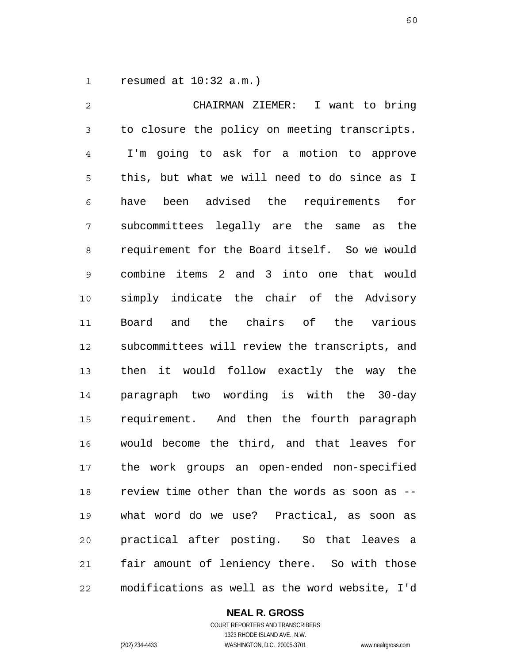1 resumed at 10:32 a.m.)

2 3 4 5 6 7 8 9 10 11 12 13 14 15 16 17 18 19 20 21 22 CHAIRMAN ZIEMER: I want to bring to closure the policy on meeting transcripts. I'm going to ask for a motion to approve this, but what we will need to do since as I have been advised the requirements for subcommittees legally are the same as the requirement for the Board itself. So we would combine items 2 and 3 into one that would simply indicate the chair of the Advisory Board and the chairs of the various subcommittees will review the transcripts, and then it would follow exactly the way the paragraph two wording is with the 30-day requirement. And then the fourth paragraph would become the third, and that leaves for the work groups an open-ended non-specified review time other than the words as soon as - what word do we use? Practical, as soon as practical after posting. So that leaves a fair amount of leniency there. So with those modifications as well as the word website, I'd

### **NEAL R. GROSS**

COURT REPORTERS AND TRANSCRIBERS 1323 RHODE ISLAND AVE., N.W. (202) 234-4433 WASHINGTON, D.C. 20005-3701 www.nealrgross.com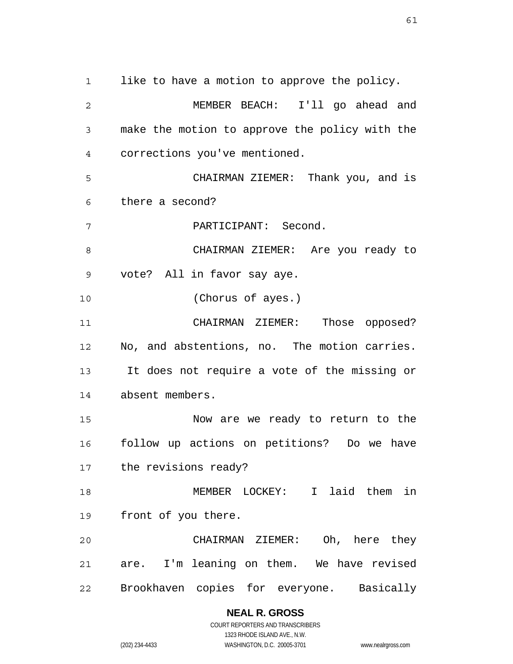1 2 3 4 5 6 7 8 9 10 11 12 13 14 15 16 17 18 19 20 21 22 like to have a motion to approve the policy. MEMBER BEACH: I'll go ahead and make the motion to approve the policy with the corrections you've mentioned. CHAIRMAN ZIEMER: Thank you, and is there a second? PARTICIPANT: Second. CHAIRMAN ZIEMER: Are you ready to vote? All in favor say aye. (Chorus of ayes.) CHAIRMAN ZIEMER: Those opposed? No, and abstentions, no. The motion carries. It does not require a vote of the missing or absent members. Now are we ready to return to the follow up actions on petitions? Do we have the revisions ready? MEMBER LOCKEY: I laid them in front of you there. CHAIRMAN ZIEMER: Oh, here they are. I'm leaning on them. We have revised Brookhaven copies for everyone. Basically

> **NEAL R. GROSS** COURT REPORTERS AND TRANSCRIBERS

> > 1323 RHODE ISLAND AVE., N.W.

(202) 234-4433 WASHINGTON, D.C. 20005-3701 www.nealrgross.com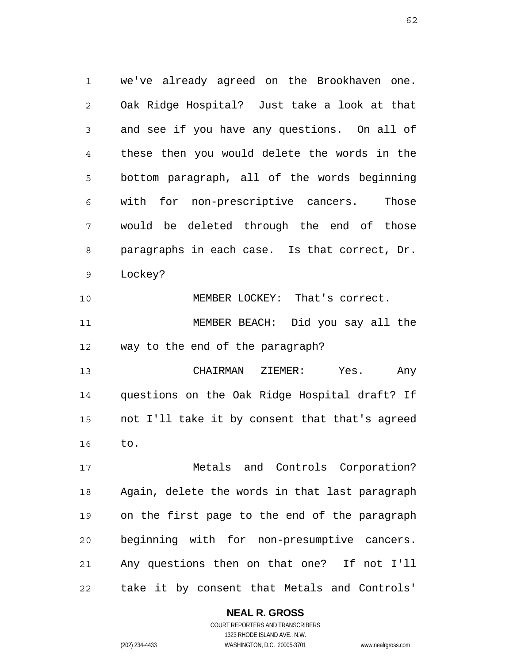1 2 3 4 5 6 7 8 9 we've already agreed on the Brookhaven one. Oak Ridge Hospital? Just take a look at that and see if you have any questions. On all of these then you would delete the words in the bottom paragraph, all of the words beginning with for non-prescriptive cancers. Those would be deleted through the end of those paragraphs in each case. Is that correct, Dr. Lockey?

10 11 12 MEMBER LOCKEY: That's correct. MEMBER BEACH: Did you say all the way to the end of the paragraph?

13 14 15 16 CHAIRMAN ZIEMER: Yes. Any questions on the Oak Ridge Hospital draft? If not I'll take it by consent that that's agreed to.

17 18 19 20 21 22 Metals and Controls Corporation? Again, delete the words in that last paragraph on the first page to the end of the paragraph beginning with for non-presumptive cancers. Any questions then on that one? If not I'll take it by consent that Metals and Controls'

### **NEAL R. GROSS**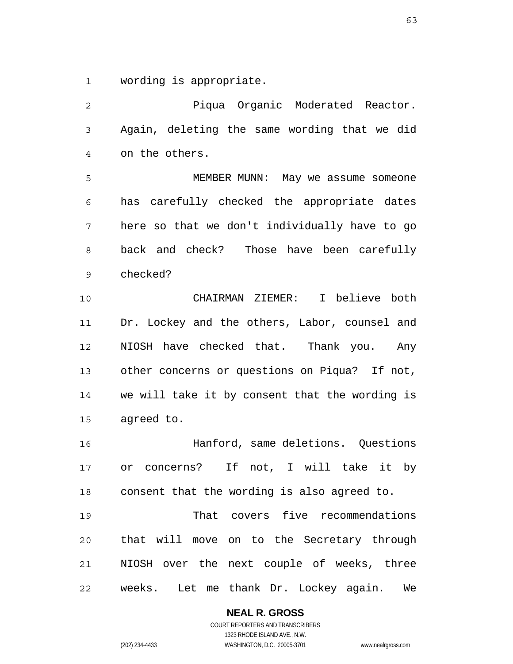1 wording is appropriate.

2 3 4 5 6 7 8 9 10 11 12 13 14 15 16 17 18 19 20 21 22 Piqua Organic Moderated Reactor. Again, deleting the same wording that we did on the others. MEMBER MUNN: May we assume someone has carefully checked the appropriate dates here so that we don't individually have to go back and check? Those have been carefully checked? CHAIRMAN ZIEMER: I believe both Dr. Lockey and the others, Labor, counsel and NIOSH have checked that. Thank you. Any other concerns or questions on Piqua? If not, we will take it by consent that the wording is agreed to. Hanford, same deletions. Questions or concerns? If not, I will take it by consent that the wording is also agreed to. That covers five recommendations that will move on to the Secretary through NIOSH over the next couple of weeks, three weeks. Let me thank Dr. Lockey again. We

#### **NEAL R. GROSS**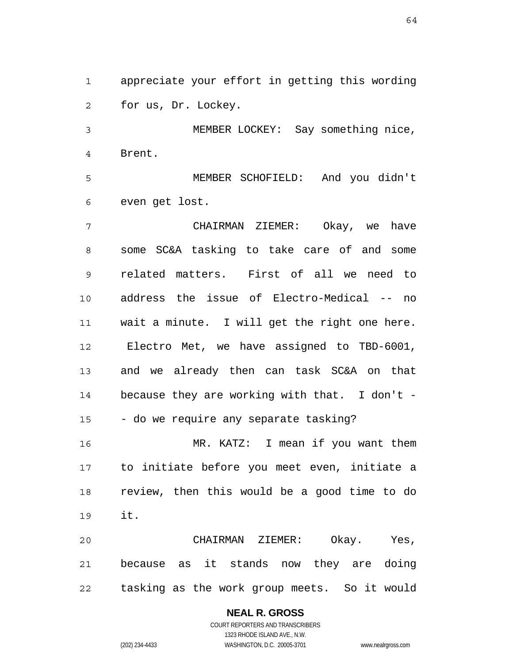1 2 appreciate your effort in getting this wording for us, Dr. Lockey.

3 4 MEMBER LOCKEY: Say something nice, Brent.

5 6 MEMBER SCHOFIELD: And you didn't even get lost.

7 8 9 10 11 12 13 14 15 16 17 18 19 20 CHAIRMAN ZIEMER: Okay, we have some SC&A tasking to take care of and some related matters. First of all we need to address the issue of Electro-Medical -- no wait a minute. I will get the right one here. Electro Met, we have assigned to TBD-6001, and we already then can task SC&A on that because they are working with that. I don't - - do we require any separate tasking? MR. KATZ: I mean if you want them to initiate before you meet even, initiate a review, then this would be a good time to do it. CHAIRMAN ZIEMER: Okay. Yes,

21 22 because as it stands now they are doing tasking as the work group meets. So it would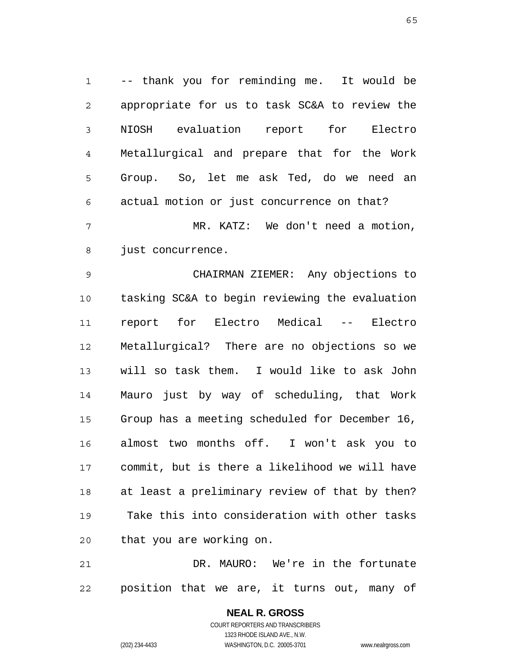1 2 3 4 5 6 7 8 -- thank you for reminding me. It would be appropriate for us to task SC&A to review the NIOSH evaluation report for Electro Metallurgical and prepare that for the Work Group. So, let me ask Ted, do we need an actual motion or just concurrence on that? MR. KATZ: We don't need a motion, just concurrence.

9 10 11 12 13 14 15 16 17 18 19 20 CHAIRMAN ZIEMER: Any objections to tasking SC&A to begin reviewing the evaluation report for Electro Medical -- Electro Metallurgical? There are no objections so we will so task them. I would like to ask John Mauro just by way of scheduling, that Work Group has a meeting scheduled for December 16, almost two months off. I won't ask you to commit, but is there a likelihood we will have at least a preliminary review of that by then? Take this into consideration with other tasks that you are working on.

21 22 DR. MAURO: We're in the fortunate position that we are, it turns out, many of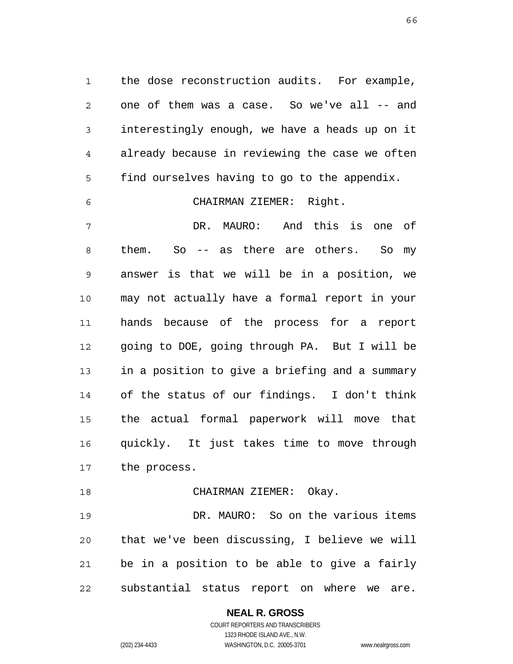1 2 3 4 5 the dose reconstruction audits. For example, one of them was a case. So we've all -- and interestingly enough, we have a heads up on it already because in reviewing the case we often find ourselves having to go to the appendix.

6 CHAIRMAN ZIEMER: Right.

7 8 9 10 11 12 13 14 15 16 17 DR. MAURO: And this is one of them. So -- as there are others. So my answer is that we will be in a position, we may not actually have a formal report in your hands because of the process for a report going to DOE, going through PA. But I will be in a position to give a briefing and a summary of the status of our findings. I don't think the actual formal paperwork will move that quickly. It just takes time to move through the process.

18 CHAIRMAN ZIEMER: Okay.

19 20 21 22 DR. MAURO: So on the various items that we've been discussing, I believe we will be in a position to be able to give a fairly substantial status report on where we are.

### **NEAL R. GROSS**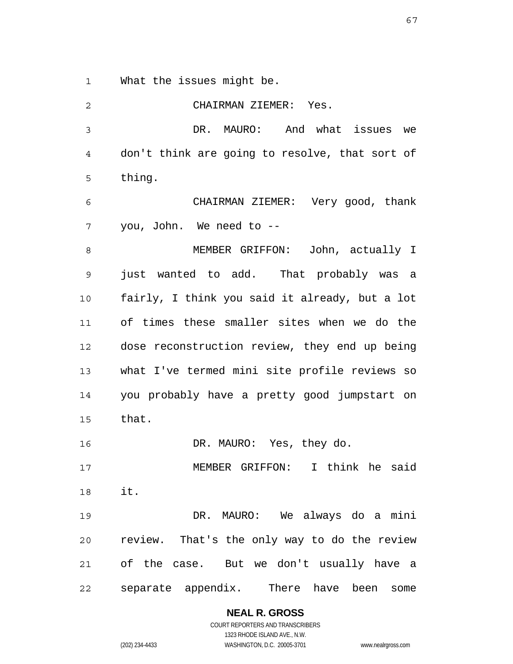1 What the issues might be.

2

3 4 5 6 7 8 9 10 11 12 13 14 15 16 17 18 19 20 21 22 DR. MAURO: And what issues we don't think are going to resolve, that sort of thing. CHAIRMAN ZIEMER: Very good, thank you, John. We need to -- MEMBER GRIFFON: John, actually I just wanted to add. That probably was a fairly, I think you said it already, but a lot of times these smaller sites when we do the dose reconstruction review, they end up being what I've termed mini site profile reviews so you probably have a pretty good jumpstart on that. DR. MAURO: Yes, they do. MEMBER GRIFFON: I think he said it. DR. MAURO: We always do a mini review. That's the only way to do the review of the case. But we don't usually have a separate appendix. There have been some

CHAIRMAN ZIEMER: Yes.

**NEAL R. GROSS** COURT REPORTERS AND TRANSCRIBERS

1323 RHODE ISLAND AVE., N.W. (202) 234-4433 WASHINGTON, D.C. 20005-3701 www.nealrgross.com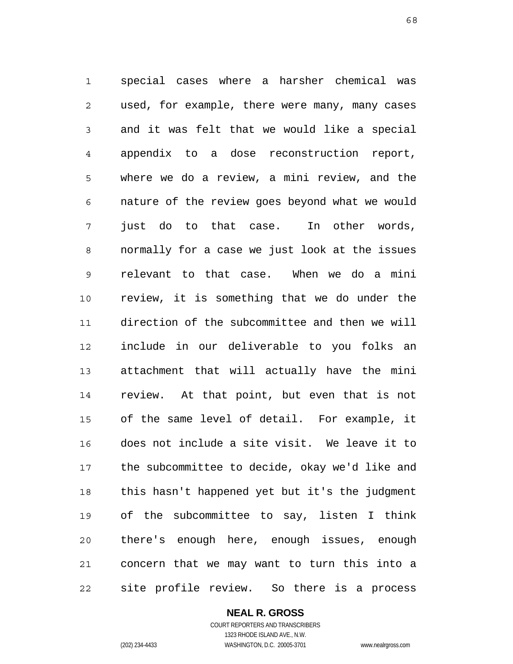1 2 3 4 5 6 7 8 9 10 11 12 13 14 15 16 17 18 19 20 21 22 special cases where a harsher chemical was used, for example, there were many, many cases and it was felt that we would like a special appendix to a dose reconstruction report, where we do a review, a mini review, and the nature of the review goes beyond what we would just do to that case. In other words, normally for a case we just look at the issues relevant to that case. When we do a mini review, it is something that we do under the direction of the subcommittee and then we will include in our deliverable to you folks an attachment that will actually have the mini review. At that point, but even that is not of the same level of detail. For example, it does not include a site visit. We leave it to the subcommittee to decide, okay we'd like and this hasn't happened yet but it's the judgment of the subcommittee to say, listen I think there's enough here, enough issues, enough concern that we may want to turn this into a site profile review. So there is a process

> **NEAL R. GROSS** COURT REPORTERS AND TRANSCRIBERS

> > 1323 RHODE ISLAND AVE., N.W.

(202) 234-4433 WASHINGTON, D.C. 20005-3701 www.nealrgross.com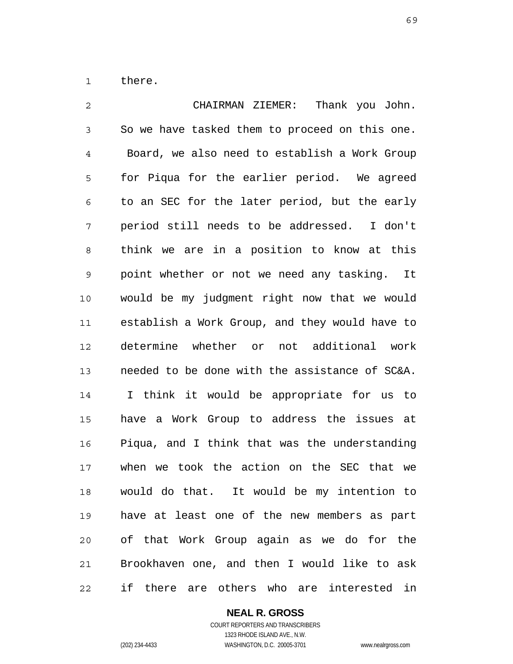1 there.

2 3 4 5 6 7 8 9 10 11 12 13 14 15 16 17 18 19 20 21 22 CHAIRMAN ZIEMER: Thank you John. So we have tasked them to proceed on this one. Board, we also need to establish a Work Group for Piqua for the earlier period. We agreed to an SEC for the later period, but the early period still needs to be addressed. I don't think we are in a position to know at this point whether or not we need any tasking. It would be my judgment right now that we would establish a Work Group, and they would have to determine whether or not additional work needed to be done with the assistance of SC&A. I think it would be appropriate for us to have a Work Group to address the issues at Piqua, and I think that was the understanding when we took the action on the SEC that we would do that. It would be my intention to have at least one of the new members as part of that Work Group again as we do for the Brookhaven one, and then I would like to ask if there are others who are interested in

### **NEAL R. GROSS**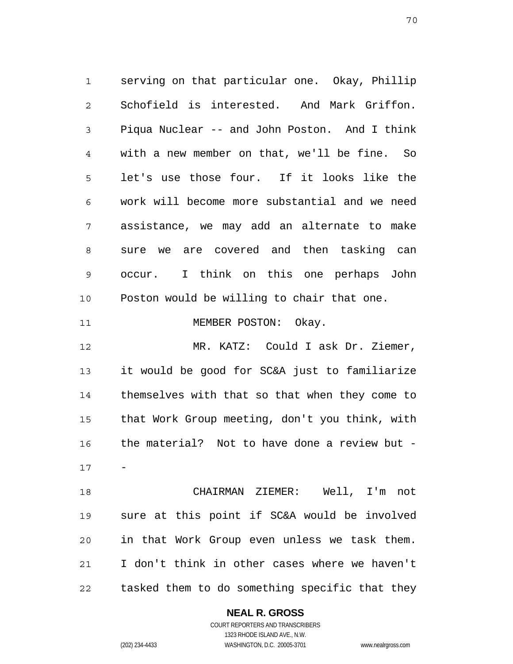1 2 3 4 5 6 7 8 9 10 11 12 13 14 15 16 17 18 19 20 21 22 serving on that particular one. Okay, Phillip Schofield is interested. And Mark Griffon. Piqua Nuclear -- and John Poston. And I think with a new member on that, we'll be fine. So let's use those four. If it looks like the work will become more substantial and we need assistance, we may add an alternate to make sure we are covered and then tasking can occur. I think on this one perhaps John Poston would be willing to chair that one. MEMBER POSTON: Okay. MR. KATZ: Could I ask Dr. Ziemer, it would be good for SC&A just to familiarize themselves with that so that when they come to that Work Group meeting, don't you think, with the material? Not to have done a review but - - CHAIRMAN ZIEMER: Well, I'm not sure at this point if SC&A would be involved in that Work Group even unless we task them. I don't think in other cases where we haven't tasked them to do something specific that they

#### **NEAL R. GROSS**

COURT REPORTERS AND TRANSCRIBERS 1323 RHODE ISLAND AVE., N.W. (202) 234-4433 WASHINGTON, D.C. 20005-3701 www.nealrgross.com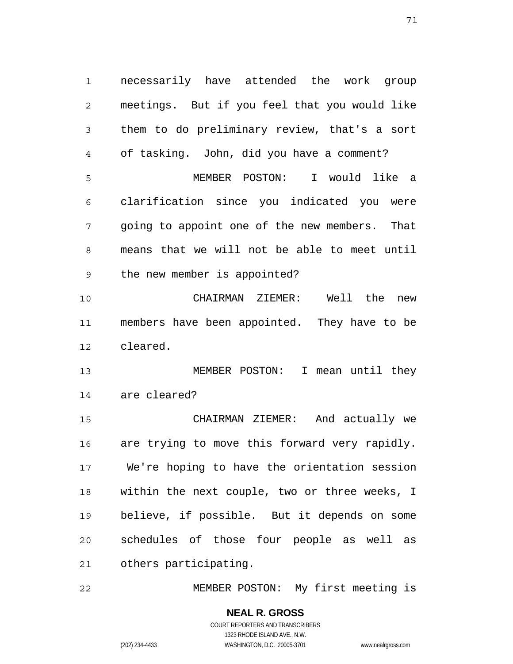1 2 3 4 5 6 7 8 9 10 11 12 13 14 15 16 17 18 19 necessarily have attended the work group meetings. But if you feel that you would like them to do preliminary review, that's a sort of tasking. John, did you have a comment? MEMBER POSTON: I would like a clarification since you indicated you were going to appoint one of the new members. That means that we will not be able to meet until the new member is appointed? CHAIRMAN ZIEMER: Well the new members have been appointed. They have to be cleared. MEMBER POSTON: I mean until they are cleared? CHAIRMAN ZIEMER: And actually we are trying to move this forward very rapidly. We're hoping to have the orientation session within the next couple, two or three weeks, I believe, if possible. But it depends on some

20 21 schedules of those four people as well as others participating.

22 MEMBER POSTON: My first meeting is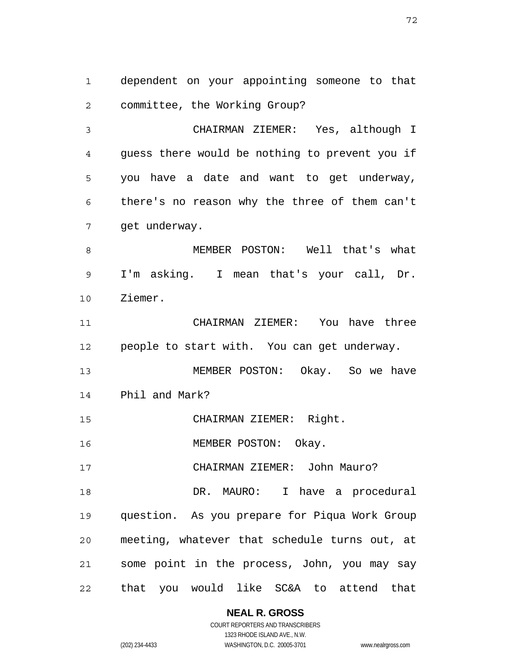1 2 dependent on your appointing someone to that committee, the Working Group?

3 4 5 6 7 CHAIRMAN ZIEMER: Yes, although I guess there would be nothing to prevent you if you have a date and want to get underway, there's no reason why the three of them can't get underway.

8 9 10 MEMBER POSTON: Well that's what I'm asking. I mean that's your call, Dr. Ziemer.

11 12 CHAIRMAN ZIEMER: You have three people to start with. You can get underway.

13 14 MEMBER POSTON: Okay. So we have Phil and Mark?

15 CHAIRMAN ZIEMER: Right.

16 MEMBER POSTON: Okay.

17 CHAIRMAN ZIEMER: John Mauro?

18 19 20 21 22 DR. MAURO: I have a procedural question. As you prepare for Piqua Work Group meeting, whatever that schedule turns out, at some point in the process, John, you may say that you would like SC&A to attend that

**NEAL R. GROSS**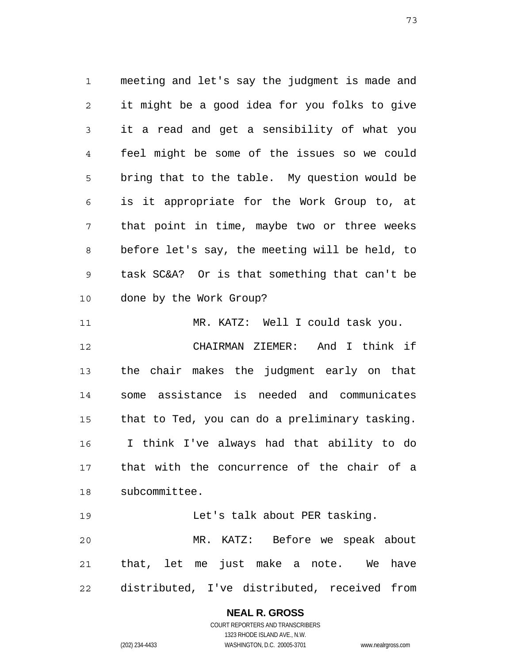1 2 3 4 5 6 7 8 9 10 11 12 13 14 15 16 17 18 meeting and let's say the judgment is made and it might be a good idea for you folks to give it a read and get a sensibility of what you feel might be some of the issues so we could bring that to the table. My question would be is it appropriate for the Work Group to, at that point in time, maybe two or three weeks before let's say, the meeting will be held, to task SC&A? Or is that something that can't be done by the Work Group? MR. KATZ: Well I could task you. CHAIRMAN ZIEMER: And I think if the chair makes the judgment early on that some assistance is needed and communicates that to Ted, you can do a preliminary tasking. I think I've always had that ability to do that with the concurrence of the chair of a subcommittee.

19 20 21 22 Let's talk about PER tasking. MR. KATZ: Before we speak about that, let me just make a note. We have distributed, I've distributed, received from

> **NEAL R. GROSS** COURT REPORTERS AND TRANSCRIBERS 1323 RHODE ISLAND AVE., N.W. (202) 234-4433 WASHINGTON, D.C. 20005-3701 www.nealrgross.com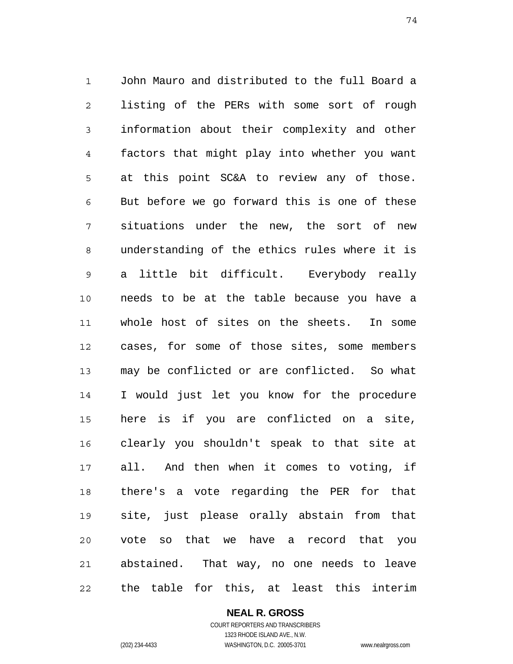1 2 3 4 5 6 7 8 9 10 11 12 13 14 15 16 17 18 19 20 21 22 John Mauro and distributed to the full Board a listing of the PERs with some sort of rough information about their complexity and other factors that might play into whether you want at this point SC&A to review any of those. But before we go forward this is one of these situations under the new, the sort of new understanding of the ethics rules where it is a little bit difficult. Everybody really needs to be at the table because you have a whole host of sites on the sheets. In some cases, for some of those sites, some members may be conflicted or are conflicted. So what I would just let you know for the procedure here is if you are conflicted on a site, clearly you shouldn't speak to that site at all. And then when it comes to voting, if there's a vote regarding the PER for that site, just please orally abstain from that vote so that we have a record that you abstained. That way, no one needs to leave the table for this, at least this interim

**NEAL R. GROSS**

COURT REPORTERS AND TRANSCRIBERS 1323 RHODE ISLAND AVE., N.W. (202) 234-4433 WASHINGTON, D.C. 20005-3701 www.nealrgross.com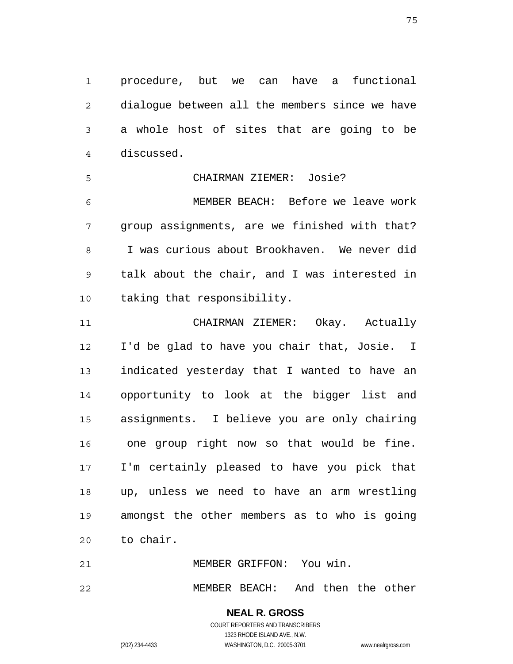1 2 3 4 procedure, but we can have a functional dialogue between all the members since we have a whole host of sites that are going to be discussed.

5 6 7 8 9 CHAIRMAN ZIEMER: Josie? MEMBER BEACH: Before we leave work group assignments, are we finished with that? I was curious about Brookhaven. We never did talk about the chair, and I was interested in

taking that responsibility.

11 12 13 14 15 16 17 18 19 20 CHAIRMAN ZIEMER: Okay. Actually I'd be glad to have you chair that, Josie. I indicated yesterday that I wanted to have an opportunity to look at the bigger list and assignments. I believe you are only chairing one group right now so that would be fine. I'm certainly pleased to have you pick that up, unless we need to have an arm wrestling amongst the other members as to who is going to chair.

22 MEMBER BEACH: And then the other

> **NEAL R. GROSS** COURT REPORTERS AND TRANSCRIBERS 1323 RHODE ISLAND AVE., N.W. (202) 234-4433 WASHINGTON, D.C. 20005-3701 www.nealrgross.com

MEMBER GRIFFON: You win.

10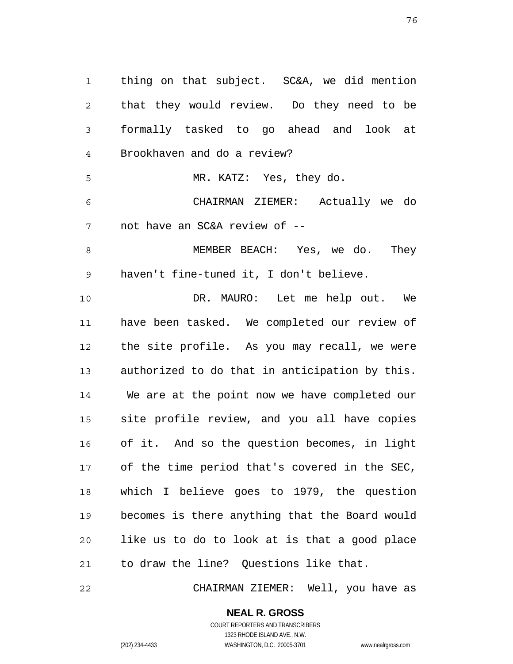1 2 3 4 5 6 7 8 9 10 11 12 13 14 15 16 17 18 19 20 21 thing on that subject. SC&A, we did mention that they would review. Do they need to be formally tasked to go ahead and look at Brookhaven and do a review? MR. KATZ: Yes, they do. CHAIRMAN ZIEMER: Actually we do not have an SC&A review of -- MEMBER BEACH: Yes, we do. They haven't fine-tuned it, I don't believe. DR. MAURO: Let me help out. We have been tasked. We completed our review of the site profile. As you may recall, we were authorized to do that in anticipation by this. We are at the point now we have completed our site profile review, and you all have copies of it. And so the question becomes, in light of the time period that's covered in the SEC, which I believe goes to 1979, the question becomes is there anything that the Board would like us to do to look at is that a good place to draw the line? Questions like that.

22 CHAIRMAN ZIEMER: Well, you have as

COURT REPORTERS AND TRANSCRIBERS 1323 RHODE ISLAND AVE., N.W. (202) 234-4433 WASHINGTON, D.C. 20005-3701 www.nealrgross.com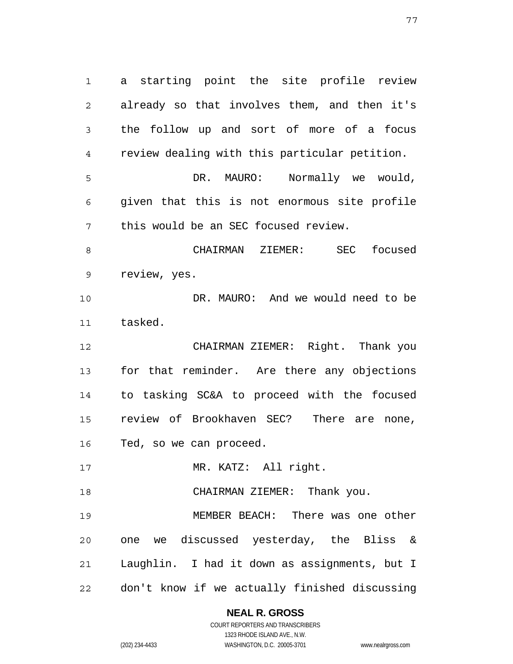1 2 3 4 5 6 7 8 9 10 11 12 13 14 15 16 17 18 19 20 21 22 a starting point the site profile review already so that involves them, and then it's the follow up and sort of more of a focus review dealing with this particular petition. DR. MAURO: Normally we would, given that this is not enormous site profile this would be an SEC focused review. CHAIRMAN ZIEMER: SEC focused review, yes. DR. MAURO: And we would need to be tasked. CHAIRMAN ZIEMER: Right. Thank you for that reminder. Are there any objections to tasking SC&A to proceed with the focused review of Brookhaven SEC? There are none, Ted, so we can proceed. MR. KATZ: All right. CHAIRMAN ZIEMER: Thank you. MEMBER BEACH: There was one other one we discussed yesterday, the Bliss & Laughlin. I had it down as assignments, but I don't know if we actually finished discussing

**NEAL R. GROSS**

COURT REPORTERS AND TRANSCRIBERS 1323 RHODE ISLAND AVE., N.W. (202) 234-4433 WASHINGTON, D.C. 20005-3701 www.nealrgross.com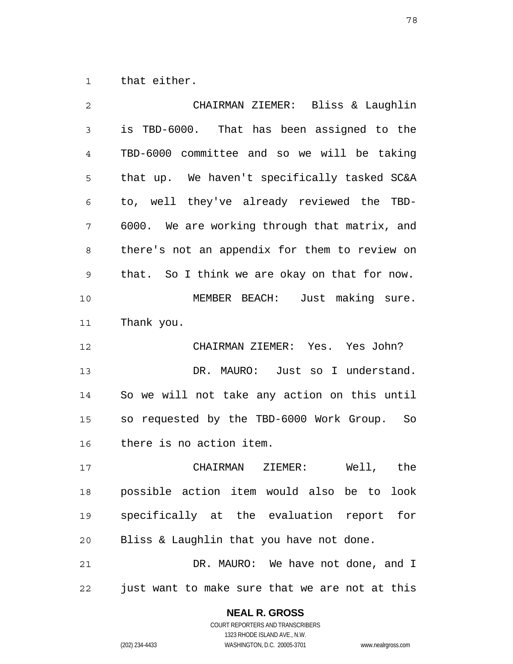1 that either.

| $\overline{2}$ | CHAIRMAN ZIEMER: Bliss & Laughlin              |
|----------------|------------------------------------------------|
| 3              | is TBD-6000. That has been assigned to the     |
| 4              | TBD-6000 committee and so we will be taking    |
| 5              | that up. We haven't specifically tasked SC&A   |
| 6              | to, well they've already reviewed the TBD-     |
| 7              | 6000. We are working through that matrix, and  |
| 8              | there's not an appendix for them to review on  |
| 9              | that. So I think we are okay on that for now.  |
| 10             | MEMBER BEACH: Just making sure.                |
| 11             | Thank you.                                     |
| 12             | CHAIRMAN ZIEMER: Yes. Yes John?                |
| 13             | DR. MAURO: Just so I understand.               |
| 14             | So we will not take any action on this until   |
| 15             | so requested by the TBD-6000 Work Group. So    |
| 16             | there is no action item.                       |
| 17             | CHAIRMAN ZIEMER:<br>Well, the                  |
| 18             | possible action item would also be to look     |
| 19             | specifically at the evaluation report for      |
| 20             | Bliss & Laughlin that you have not done.       |
| 21             | DR. MAURO: We have not done, and I             |
| 22             | just want to make sure that we are not at this |

**NEAL R. GROSS**

COURT REPORTERS AND TRANSCRIBERS 1323 RHODE ISLAND AVE., N.W. (202) 234-4433 WASHINGTON, D.C. 20005-3701 www.nealrgross.com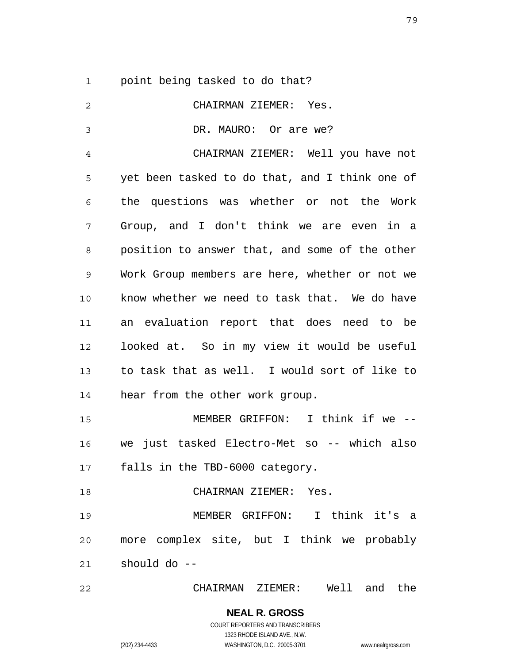1 point being tasked to do that?

| $\overline{c}$ | CHAIRMAN ZIEMER: Yes.                          |
|----------------|------------------------------------------------|
| 3              | DR. MAURO: Or are we?                          |
| 4              | CHAIRMAN ZIEMER: Well you have not             |
| 5              | yet been tasked to do that, and I think one of |
| 6              | the questions was whether or not the Work      |
| 7              | Group, and I don't think we are even in a      |
| 8              | position to answer that, and some of the other |
| $\mathsf 9$    | Work Group members are here, whether or not we |
| 10             | know whether we need to task that. We do have  |
| 11             | an evaluation report that does need to be      |
| 12             | looked at. So in my view it would be useful    |
| 13             | to task that as well. I would sort of like to  |
| 14             | hear from the other work group.                |
| 15             | MEMBER GRIFFON: I think if we --               |
| 16             | we just tasked Electro-Met so -- which also    |
| 17             | falls in the TBD-6000 category.                |
| 18             | CHAIRMAN ZIEMER: Yes.                          |
| 19             | MEMBER GRIFFON: I think it's a                 |
| 20             | more complex site, but I think we probably     |
| 21             | should do --                                   |
| 22             | CHAIRMAN ZIEMER: Well and the                  |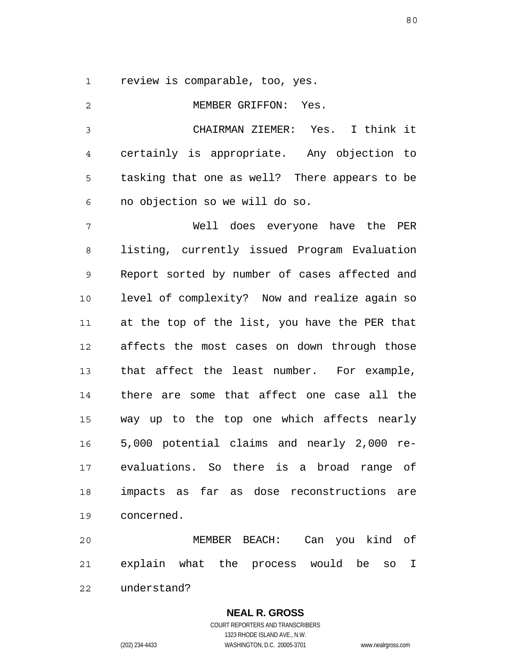1 review is comparable, too, yes.

| $\overline{c}$ | MEMBER GRIFFON: Yes.                            |
|----------------|-------------------------------------------------|
| 3              | CHAIRMAN ZIEMER: Yes. I think it                |
| 4              | certainly is appropriate. Any objection to      |
| 5              | tasking that one as well? There appears to be   |
| 6              | no objection so we will do so.                  |
| 7              | Well does everyone have the PER                 |
| 8              | listing, currently issued Program Evaluation    |
| 9              | Report sorted by number of cases affected and   |
| 10             | level of complexity? Now and realize again so   |
| 11             | at the top of the list, you have the PER that   |
| 12             | affects the most cases on down through those    |
| 13             | that affect the least number. For example,      |
| 14             | there are some that affect one case all the     |
| 15             | way up to the top one which affects nearly      |
| 16             | 5,000 potential claims and nearly 2,000 re-     |
| 17             | evaluations. So there is a broad range of       |
| 18             | impacts as far as dose reconstructions are      |
| 19             | concerned.                                      |
| 20             | Can you kind of<br>MEMBER BEACH:                |
| 21             | explain what the process would<br>be<br>I<br>SO |
| 22             | understand?                                     |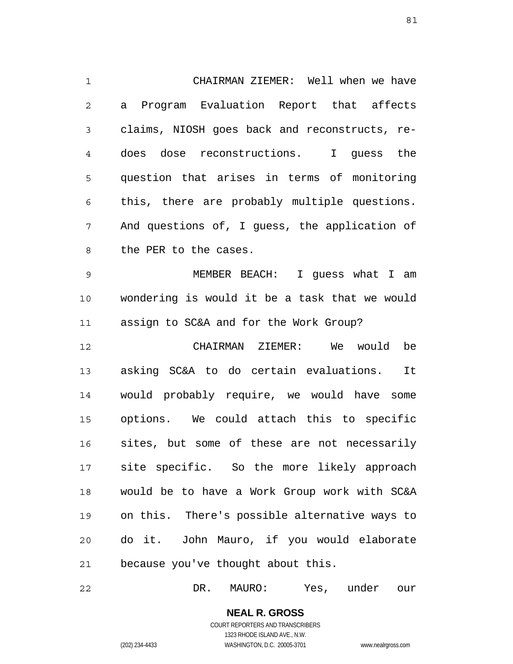1 2 3 4 5 6 7 8 9 10 11 12 13 14 15 16 CHAIRMAN ZIEMER: Well when we have a Program Evaluation Report that affects claims, NIOSH goes back and reconstructs, redoes dose reconstructions. I guess the question that arises in terms of monitoring this, there are probably multiple questions. And questions of, I guess, the application of the PER to the cases. MEMBER BEACH: I guess what I am wondering is would it be a task that we would assign to SC&A and for the Work Group? CHAIRMAN ZIEMER: We would be asking SC&A to do certain evaluations. It would probably require, we would have some options. We could attach this to specific sites, but some of these are not necessarily

17 18 19 20 21 site specific. So the more likely approach would be to have a Work Group work with SC&A on this. There's possible alternative ways to do it. John Mauro, if you would elaborate because you've thought about this.

22 DR. MAURO: Yes, under our

> **NEAL R. GROSS** COURT REPORTERS AND TRANSCRIBERS 1323 RHODE ISLAND AVE., N.W.

(202) 234-4433 WASHINGTON, D.C. 20005-3701 www.nealrgross.com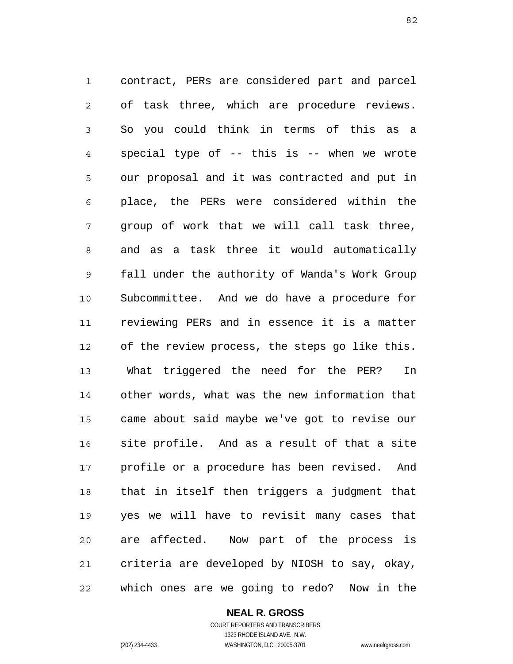1 2 3 4 5 6 7 8 9 10 11 12 13 14 15 16 17 18 19 20 21 22 contract, PERs are considered part and parcel of task three, which are procedure reviews. So you could think in terms of this as a special type of -- this is -- when we wrote our proposal and it was contracted and put in place, the PERs were considered within the group of work that we will call task three, and as a task three it would automatically fall under the authority of Wanda's Work Group Subcommittee. And we do have a procedure for reviewing PERs and in essence it is a matter of the review process, the steps go like this. What triggered the need for the PER? In other words, what was the new information that came about said maybe we've got to revise our site profile. And as a result of that a site profile or a procedure has been revised. And that in itself then triggers a judgment that yes we will have to revisit many cases that are affected. Now part of the process is criteria are developed by NIOSH to say, okay, which ones are we going to redo? Now in the

> **NEAL R. GROSS** COURT REPORTERS AND TRANSCRIBERS

> > 1323 RHODE ISLAND AVE., N.W.

(202) 234-4433 WASHINGTON, D.C. 20005-3701 www.nealrgross.com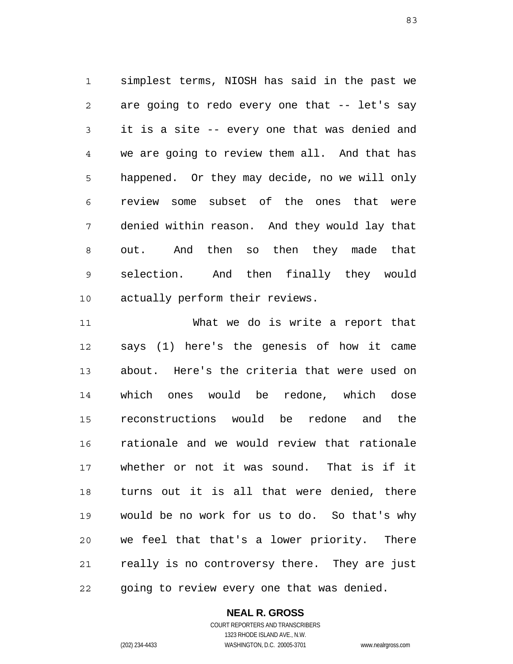1 2 3 4 5 6 7 8 9 10 simplest terms, NIOSH has said in the past we are going to redo every one that -- let's say it is a site -- every one that was denied and we are going to review them all. And that has happened. Or they may decide, no we will only review some subset of the ones that were denied within reason. And they would lay that out. And then so then they made that selection. And then finally they would actually perform their reviews.

11 12 13 14 15 16 17 18 19 20 21 22 What we do is write a report that says (1) here's the genesis of how it came about. Here's the criteria that were used on which ones would be redone, which dose reconstructions would be redone and the rationale and we would review that rationale whether or not it was sound. That is if it turns out it is all that were denied, there would be no work for us to do. So that's why we feel that that's a lower priority. There really is no controversy there. They are just going to review every one that was denied.

### **NEAL R. GROSS** COURT REPORTERS AND TRANSCRIBERS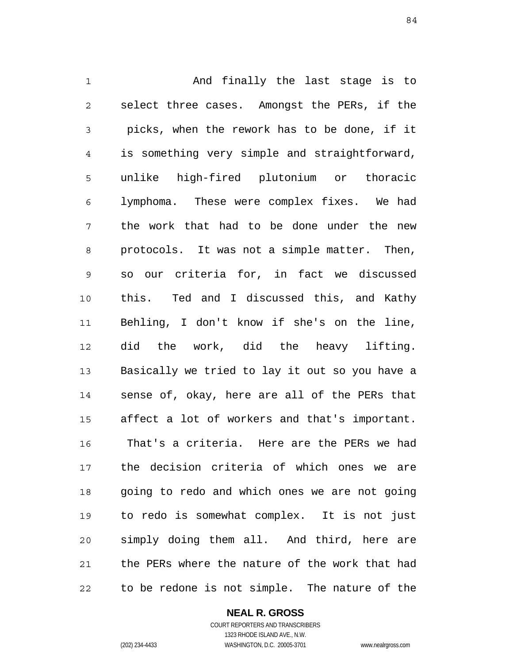1 2 3 4 5 6 7 8 9 10 11 12 13 14 15 16 17 18 19 20 21 22 And finally the last stage is to select three cases. Amongst the PERs, if the picks, when the rework has to be done, if it is something very simple and straightforward, unlike high-fired plutonium or thoracic lymphoma. These were complex fixes. We had the work that had to be done under the new protocols. It was not a simple matter. Then, so our criteria for, in fact we discussed this. Ted and I discussed this, and Kathy Behling, I don't know if she's on the line, did the work, did the heavy lifting. Basically we tried to lay it out so you have a sense of, okay, here are all of the PERs that affect a lot of workers and that's important. That's a criteria. Here are the PERs we had the decision criteria of which ones we are going to redo and which ones we are not going to redo is somewhat complex. It is not just simply doing them all. And third, here are the PERs where the nature of the work that had to be redone is not simple. The nature of the

**NEAL R. GROSS**

COURT REPORTERS AND TRANSCRIBERS 1323 RHODE ISLAND AVE., N.W. (202) 234-4433 WASHINGTON, D.C. 20005-3701 www.nealrgross.com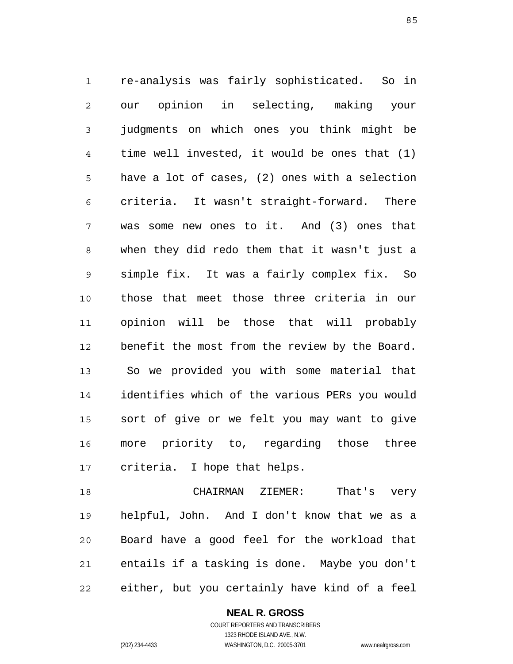1 2 3 4 5 6 7 8 9 10 11 12 13 14 15 16 17 re-analysis was fairly sophisticated. So in our opinion in selecting, making your judgments on which ones you think might be time well invested, it would be ones that (1) have a lot of cases, (2) ones with a selection criteria. It wasn't straight-forward. There was some new ones to it. And (3) ones that when they did redo them that it wasn't just a simple fix. It was a fairly complex fix. So those that meet those three criteria in our opinion will be those that will probably benefit the most from the review by the Board. So we provided you with some material that identifies which of the various PERs you would sort of give or we felt you may want to give more priority to, regarding those three criteria. I hope that helps.

18 19 20 21 22 CHAIRMAN ZIEMER: That's very helpful, John. And I don't know that we as a Board have a good feel for the workload that entails if a tasking is done. Maybe you don't either, but you certainly have kind of a feel

> **NEAL R. GROSS** COURT REPORTERS AND TRANSCRIBERS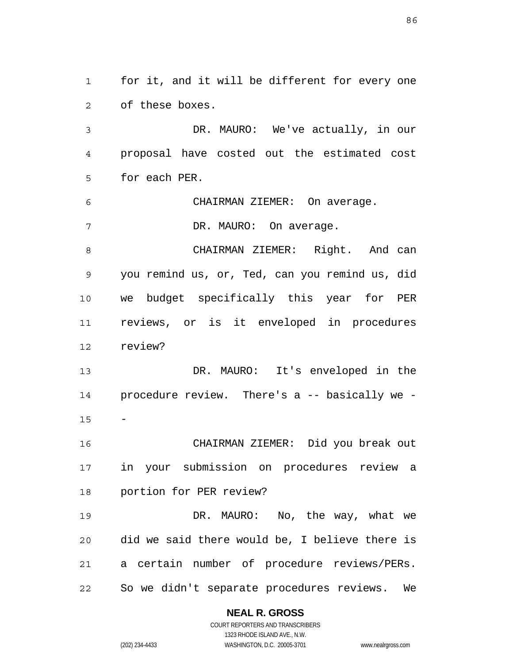1 2 for it, and it will be different for every one of these boxes.

3 4 5 DR. MAURO: We've actually, in our proposal have costed out the estimated cost for each PER.

6 CHAIRMAN ZIEMER: On average.

7 DR. MAURO: On average.

8 9 10 11 12 CHAIRMAN ZIEMER: Right. And can you remind us, or, Ted, can you remind us, did we budget specifically this year for PER reviews, or is it enveloped in procedures review?

13 14 15 DR. MAURO: It's enveloped in the procedure review. There's a -- basically we - -

16 17 18 CHAIRMAN ZIEMER: Did you break out in your submission on procedures review a portion for PER review?

19 20 21 22 DR. MAURO: No, the way, what we did we said there would be, I believe there is a certain number of procedure reviews/PERs. So we didn't separate procedures reviews. We

### **NEAL R. GROSS**

COURT REPORTERS AND TRANSCRIBERS 1323 RHODE ISLAND AVE., N.W. (202) 234-4433 WASHINGTON, D.C. 20005-3701 www.nealrgross.com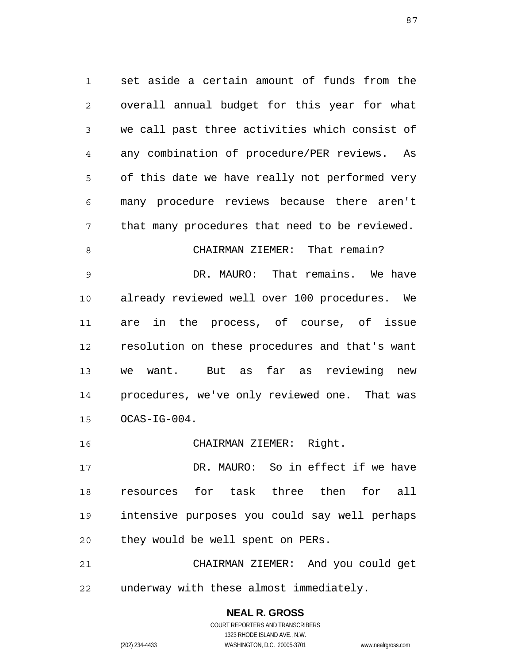1 2 3 4 5 6 7 8 9 10 11 12 13 14 15 set aside a certain amount of funds from the overall annual budget for this year for what we call past three activities which consist of any combination of procedure/PER reviews. As of this date we have really not performed very many procedure reviews because there aren't that many procedures that need to be reviewed. CHAIRMAN ZIEMER: That remain? DR. MAURO: That remains. We have already reviewed well over 100 procedures. We are in the process, of course, of issue resolution on these procedures and that's want we want. But as far as reviewing new procedures, we've only reviewed one. That was OCAS-IG-004.

16 CHAIRMAN ZIEMER: Right.

17 18 19 20 DR. MAURO: So in effect if we have resources for task three then for all intensive purposes you could say well perhaps they would be well spent on PERs.

21 22 CHAIRMAN ZIEMER: And you could get underway with these almost immediately.

> **NEAL R. GROSS** COURT REPORTERS AND TRANSCRIBERS 1323 RHODE ISLAND AVE., N.W. (202) 234-4433 WASHINGTON, D.C. 20005-3701 www.nealrgross.com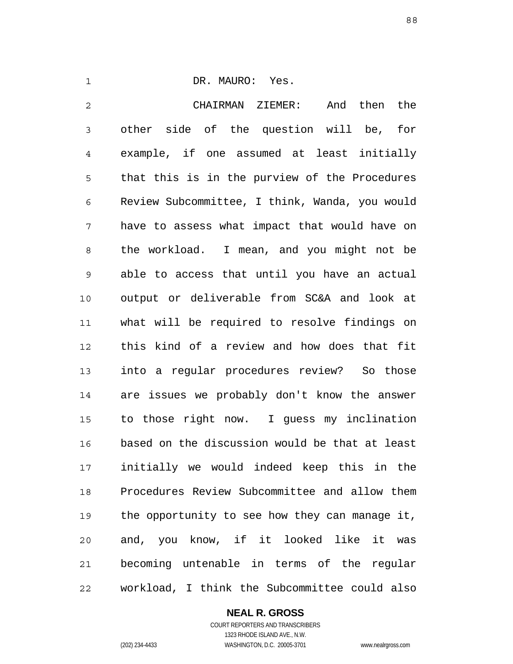1

### DR. MAURO: Yes.

2 3 4 5 6 7 8 9 10 11 12 13 14 15 16 17 18 19 20 21 22 CHAIRMAN ZIEMER: And then the other side of the question will be, for example, if one assumed at least initially that this is in the purview of the Procedures Review Subcommittee, I think, Wanda, you would have to assess what impact that would have on the workload. I mean, and you might not be able to access that until you have an actual output or deliverable from SC&A and look at what will be required to resolve findings on this kind of a review and how does that fit into a regular procedures review? So those are issues we probably don't know the answer to those right now. I guess my inclination based on the discussion would be that at least initially we would indeed keep this in the Procedures Review Subcommittee and allow them the opportunity to see how they can manage it, and, you know, if it looked like it was becoming untenable in terms of the regular workload, I think the Subcommittee could also

# **NEAL R. GROSS**

COURT REPORTERS AND TRANSCRIBERS 1323 RHODE ISLAND AVE., N.W. (202) 234-4433 WASHINGTON, D.C. 20005-3701 www.nealrgross.com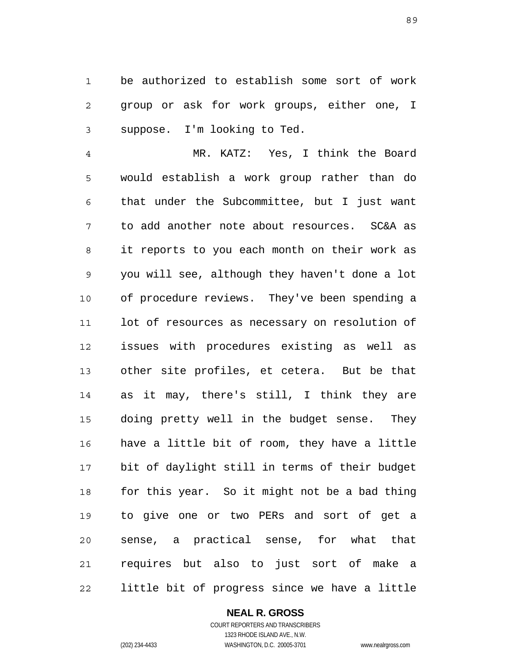1 2 3 be authorized to establish some sort of work group or ask for work groups, either one, I suppose. I'm looking to Ted.

4 5 6 7 8 9 10 11 12 13 14 15 16 17 18 19 20 21 22 MR. KATZ: Yes, I think the Board would establish a work group rather than do that under the Subcommittee, but I just want to add another note about resources. SC&A as it reports to you each month on their work as you will see, although they haven't done a lot of procedure reviews. They've been spending a lot of resources as necessary on resolution of issues with procedures existing as well as other site profiles, et cetera. But be that as it may, there's still, I think they are doing pretty well in the budget sense. They have a little bit of room, they have a little bit of daylight still in terms of their budget for this year. So it might not be a bad thing to give one or two PERs and sort of get a sense, a practical sense, for what that requires but also to just sort of make a little bit of progress since we have a little

# **NEAL R. GROSS**

COURT REPORTERS AND TRANSCRIBERS 1323 RHODE ISLAND AVE., N.W. (202) 234-4433 WASHINGTON, D.C. 20005-3701 www.nealrgross.com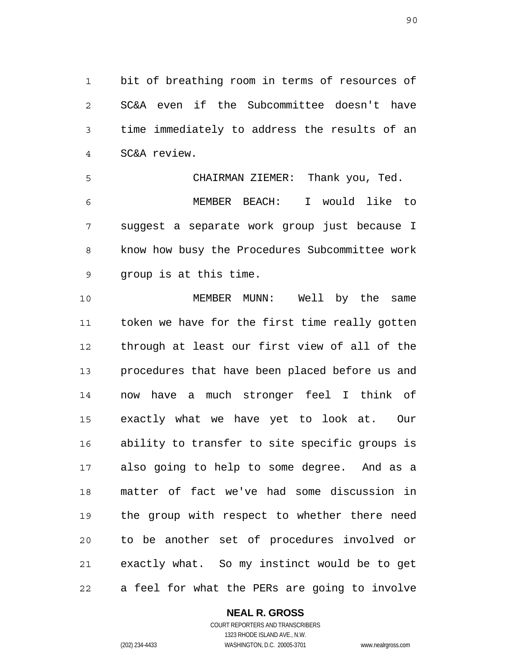1 2 3 4 bit of breathing room in terms of resources of SC&A even if the Subcommittee doesn't have time immediately to address the results of an SC&A review.

5 6 7 8 9 CHAIRMAN ZIEMER: Thank you, Ted. MEMBER BEACH: I would like to suggest a separate work group just because I know how busy the Procedures Subcommittee work group is at this time.

10 11 12 13 14 15 16 17 18 19 20 21 22 MEMBER MUNN: Well by the same token we have for the first time really gotten through at least our first view of all of the procedures that have been placed before us and now have a much stronger feel I think of exactly what we have yet to look at. Our ability to transfer to site specific groups is also going to help to some degree. And as a matter of fact we've had some discussion in the group with respect to whether there need to be another set of procedures involved or exactly what. So my instinct would be to get a feel for what the PERs are going to involve

**NEAL R. GROSS**

COURT REPORTERS AND TRANSCRIBERS 1323 RHODE ISLAND AVE., N.W. (202) 234-4433 WASHINGTON, D.C. 20005-3701 www.nealrgross.com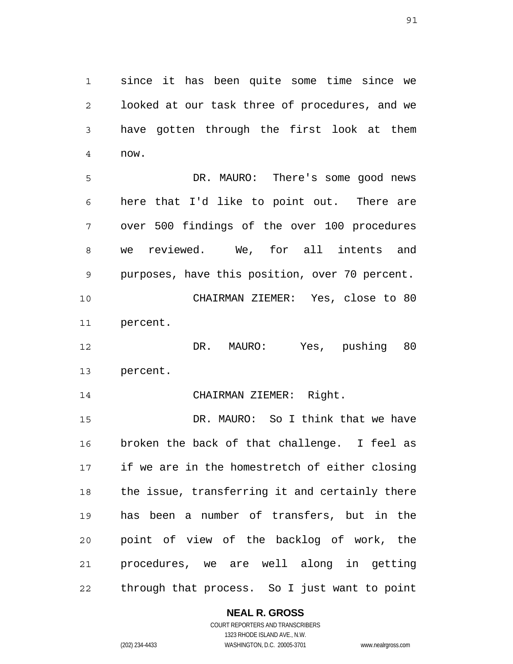1 2 3 4 since it has been quite some time since we looked at our task three of procedures, and we have gotten through the first look at them now.

5 6 7 8 9 10 11 DR. MAURO: There's some good news here that I'd like to point out. There are over 500 findings of the over 100 procedures we reviewed. We, for all intents and purposes, have this position, over 70 percent. CHAIRMAN ZIEMER: Yes, close to 80 percent.

12 13 DR. MAURO: Yes, pushing 80 percent.

14 CHAIRMAN ZIEMER: Right.

15 16 17 18 19 20 21 22 DR. MAURO: So I think that we have broken the back of that challenge. I feel as if we are in the homestretch of either closing the issue, transferring it and certainly there has been a number of transfers, but in the point of view of the backlog of work, the procedures, we are well along in getting through that process. So I just want to point

**NEAL R. GROSS**

COURT REPORTERS AND TRANSCRIBERS 1323 RHODE ISLAND AVE., N.W. (202) 234-4433 WASHINGTON, D.C. 20005-3701 www.nealrgross.com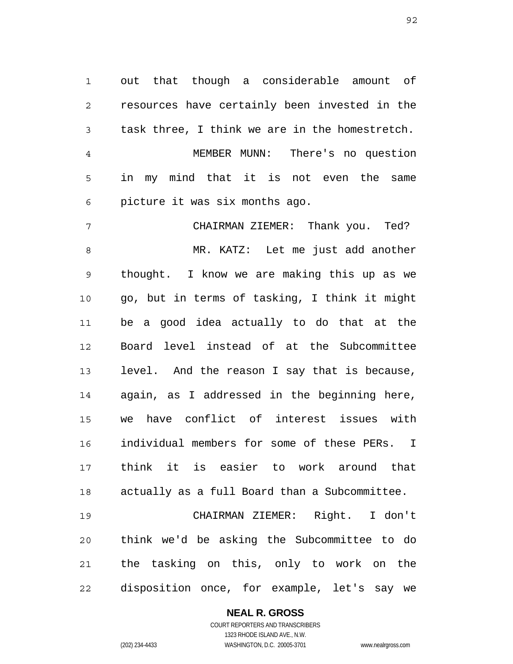1 2 3 4 out that though a considerable amount of resources have certainly been invested in the task three, I think we are in the homestretch. MEMBER MUNN: There's no question

5 6 in my mind that it is not even the same picture it was six months ago.

7 8 9 10 11 12 13 14 15 16 17 18 CHAIRMAN ZIEMER: Thank you. Ted? MR. KATZ: Let me just add another thought. I know we are making this up as we go, but in terms of tasking, I think it might be a good idea actually to do that at the Board level instead of at the Subcommittee level. And the reason I say that is because, again, as I addressed in the beginning here, we have conflict of interest issues with individual members for some of these PERs. I think it is easier to work around that actually as a full Board than a Subcommittee.

19 20 21 22 CHAIRMAN ZIEMER: Right. I don't think we'd be asking the Subcommittee to do the tasking on this, only to work on the disposition once, for example, let's say we

> **NEAL R. GROSS** COURT REPORTERS AND TRANSCRIBERS 1323 RHODE ISLAND AVE., N.W.

(202) 234-4433 WASHINGTON, D.C. 20005-3701 www.nealrgross.com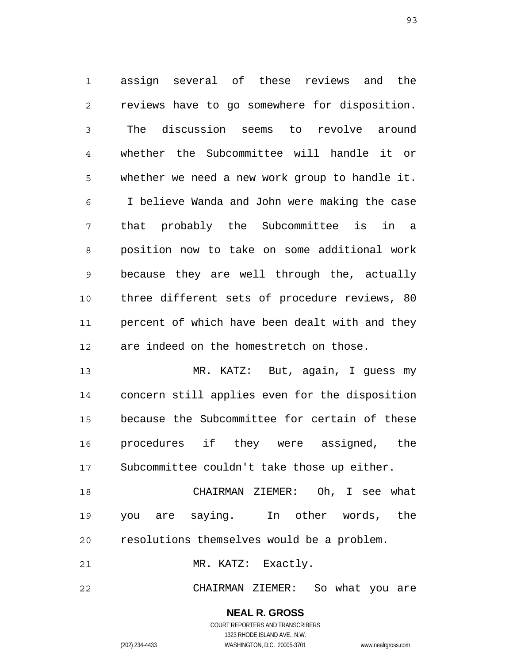1 2 3 4 5 6 7 8 9 10 11 12 assign several of these reviews and the reviews have to go somewhere for disposition. The discussion seems to revolve around whether the Subcommittee will handle it or whether we need a new work group to handle it. I believe Wanda and John were making the case that probably the Subcommittee is in a position now to take on some additional work because they are well through the, actually three different sets of procedure reviews, 80 percent of which have been dealt with and they are indeed on the homestretch on those.

13 14 15 16 17 MR. KATZ: But, again, I guess my concern still applies even for the disposition because the Subcommittee for certain of these procedures if they were assigned, the Subcommittee couldn't take those up either.

18 19 20 CHAIRMAN ZIEMER: Oh, I see what you are saying. In other words, the resolutions themselves would be a problem.

21 MR. KATZ: Exactly.

22 CHAIRMAN ZIEMER: So what you are

> **NEAL R. GROSS** COURT REPORTERS AND TRANSCRIBERS

1323 RHODE ISLAND AVE., N.W. (202) 234-4433 WASHINGTON, D.C. 20005-3701 www.nealrgross.com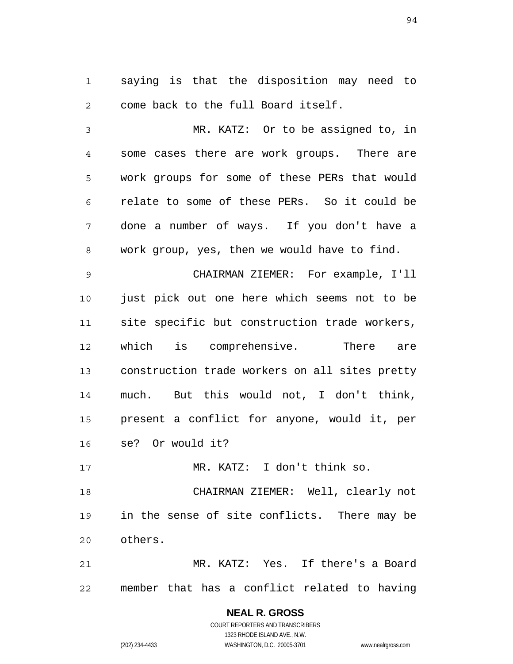1 2 saying is that the disposition may need to come back to the full Board itself.

3 4 5 6 7 8 MR. KATZ: Or to be assigned to, in some cases there are work groups. There are work groups for some of these PERs that would relate to some of these PERs. So it could be done a number of ways. If you don't have a work group, yes, then we would have to find.

9 10 11 12 13 14 15 16 CHAIRMAN ZIEMER: For example, I'll just pick out one here which seems not to be site specific but construction trade workers, which is comprehensive. There are construction trade workers on all sites pretty much. But this would not, I don't think, present a conflict for anyone, would it, per se? Or would it?

17 MR. KATZ: I don't think so.

18 19 20 CHAIRMAN ZIEMER: Well, clearly not in the sense of site conflicts. There may be others.

21 22 MR. KATZ: Yes. If there's a Board member that has a conflict related to having

# **NEAL R. GROSS**

COURT REPORTERS AND TRANSCRIBERS 1323 RHODE ISLAND AVE., N.W. (202) 234-4433 WASHINGTON, D.C. 20005-3701 www.nealrgross.com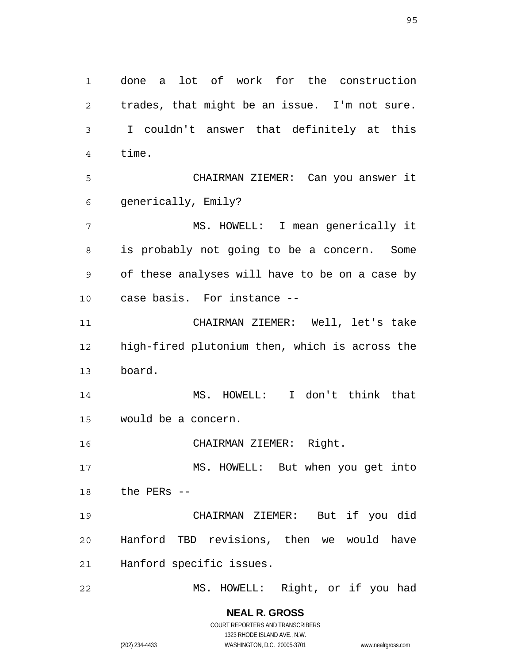1 2 3 4 5 6 7 8 9 10 11 12 13 14 15 16 17 18 19 20 21 22 done a lot of work for the construction trades, that might be an issue. I'm not sure. I couldn't answer that definitely at this time. CHAIRMAN ZIEMER: Can you answer it generically, Emily? MS. HOWELL: I mean generically it is probably not going to be a concern. Some of these analyses will have to be on a case by case basis. For instance -- CHAIRMAN ZIEMER: Well, let's take high-fired plutonium then, which is across the board. MS. HOWELL: I don't think that would be a concern. CHAIRMAN ZIEMER: Right. MS. HOWELL: But when you get into the PERs -- CHAIRMAN ZIEMER: But if you did Hanford TBD revisions, then we would have Hanford specific issues. MS. HOWELL: Right, or if you had

> **NEAL R. GROSS** COURT REPORTERS AND TRANSCRIBERS 1323 RHODE ISLAND AVE., N.W. (202) 234-4433 WASHINGTON, D.C. 20005-3701 www.nealrgross.com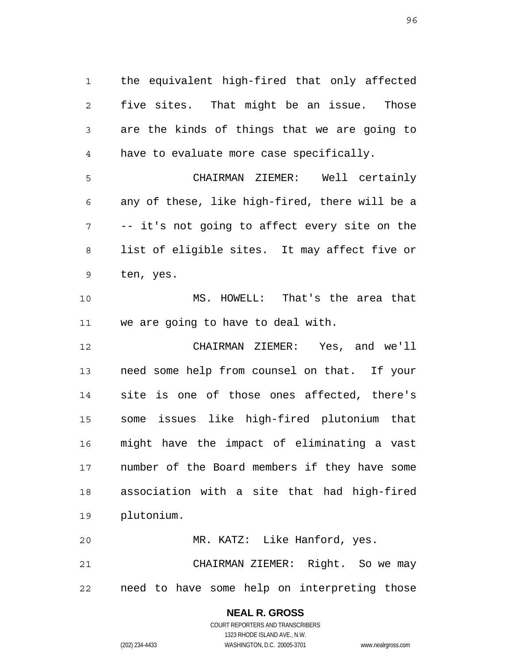1 2 3 4 the equivalent high-fired that only affected five sites. That might be an issue. Those are the kinds of things that we are going to have to evaluate more case specifically.

5 6 7 8 9 CHAIRMAN ZIEMER: Well certainly any of these, like high-fired, there will be a -- it's not going to affect every site on the list of eligible sites. It may affect five or ten, yes.

10 11 MS. HOWELL: That's the area that we are going to have to deal with.

12 13 14 15 16 17 18 19 CHAIRMAN ZIEMER: Yes, and we'll need some help from counsel on that. If your site is one of those ones affected, there's some issues like high-fired plutonium that might have the impact of eliminating a vast number of the Board members if they have some association with a site that had high-fired plutonium.

20 21 22 MR. KATZ: Like Hanford, yes. CHAIRMAN ZIEMER: Right. So we may need to have some help on interpreting those

## **NEAL R. GROSS** COURT REPORTERS AND TRANSCRIBERS

1323 RHODE ISLAND AVE., N.W.

(202) 234-4433 WASHINGTON, D.C. 20005-3701 www.nealrgross.com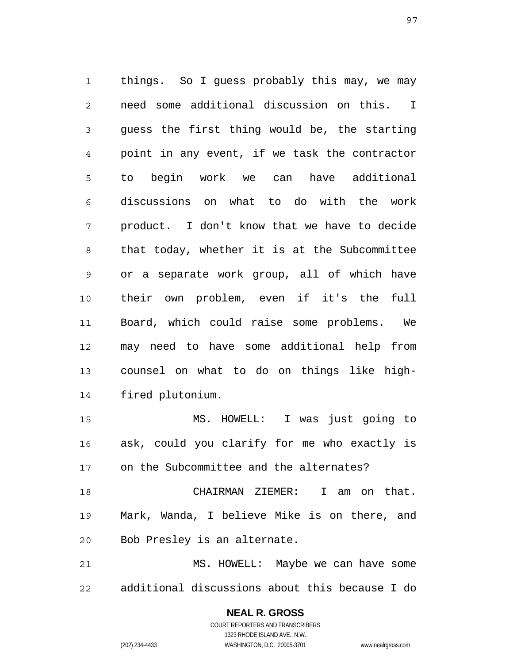1 2 3 4 5 6 7 8 9 10 11 12 13 14 things. So I guess probably this may, we may need some additional discussion on this. I guess the first thing would be, the starting point in any event, if we task the contractor to begin work we can have additional discussions on what to do with the work product. I don't know that we have to decide that today, whether it is at the Subcommittee or a separate work group, all of which have their own problem, even if it's the full Board, which could raise some problems. We may need to have some additional help from counsel on what to do on things like highfired plutonium.

15 16 17 MS. HOWELL: I was just going to ask, could you clarify for me who exactly is on the Subcommittee and the alternates?

18 19 20 CHAIRMAN ZIEMER: I am on that. Mark, Wanda, I believe Mike is on there, and Bob Presley is an alternate.

21 22 MS. HOWELL: Maybe we can have some additional discussions about this because I do

> **NEAL R. GROSS** COURT REPORTERS AND TRANSCRIBERS 1323 RHODE ISLAND AVE., N.W. (202) 234-4433 WASHINGTON, D.C. 20005-3701 www.nealrgross.com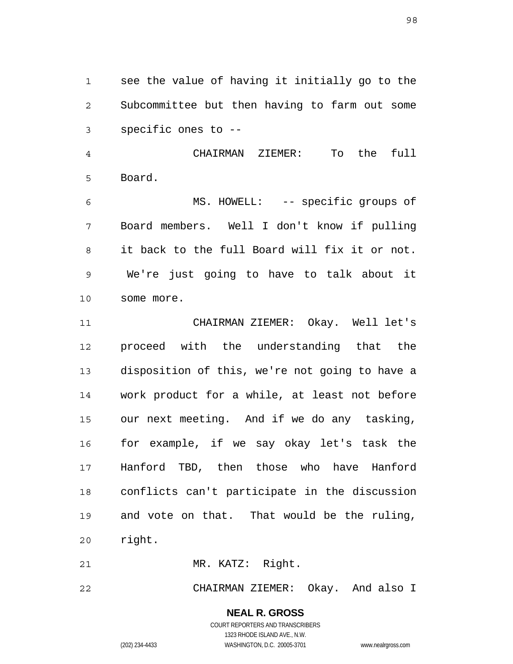1 2 3 see the value of having it initially go to the Subcommittee but then having to farm out some specific ones to --

4 5 CHAIRMAN ZIEMER: To the full Board.

6 7 8 9 10 MS. HOWELL: -- specific groups of Board members. Well I don't know if pulling it back to the full Board will fix it or not. We're just going to have to talk about it some more.

11 12 13 14 15 16 17 18 19 20 CHAIRMAN ZIEMER: Okay. Well let's proceed with the understanding that the disposition of this, we're not going to have a work product for a while, at least not before our next meeting. And if we do any tasking, for example, if we say okay let's task the Hanford TBD, then those who have Hanford conflicts can't participate in the discussion and vote on that. That would be the ruling, right.

21 MR. KATZ: Right.

22 CHAIRMAN ZIEMER: Okay. And also I

> **NEAL R. GROSS** COURT REPORTERS AND TRANSCRIBERS

> > 1323 RHODE ISLAND AVE., N.W.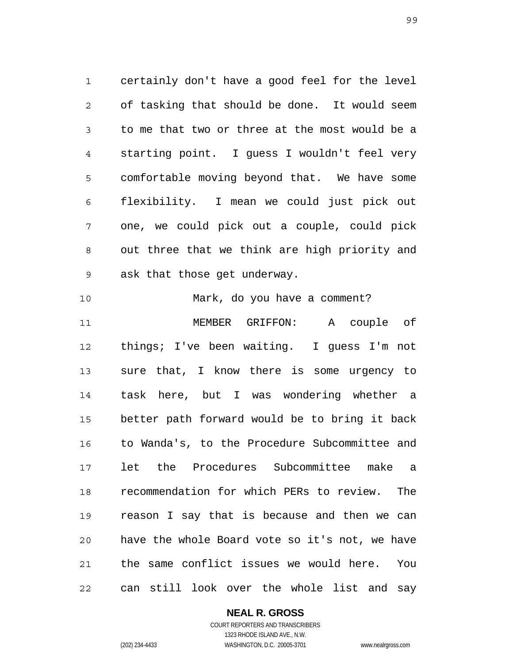1 2 3 4 5 6 7 8 9 certainly don't have a good feel for the level of tasking that should be done. It would seem to me that two or three at the most would be a starting point. I guess I wouldn't feel very comfortable moving beyond that. We have some flexibility. I mean we could just pick out one, we could pick out a couple, could pick out three that we think are high priority and ask that those get underway.

10 11 12 13 14 15 16 17 18 19 20 21 22 Mark, do you have a comment? MEMBER GRIFFON: A couple of things; I've been waiting. I guess I'm not sure that, I know there is some urgency to task here, but I was wondering whether a better path forward would be to bring it back to Wanda's, to the Procedure Subcommittee and let the Procedures Subcommittee make a recommendation for which PERs to review. The reason I say that is because and then we can have the whole Board vote so it's not, we have the same conflict issues we would here. You can still look over the whole list and say

# **NEAL R. GROSS**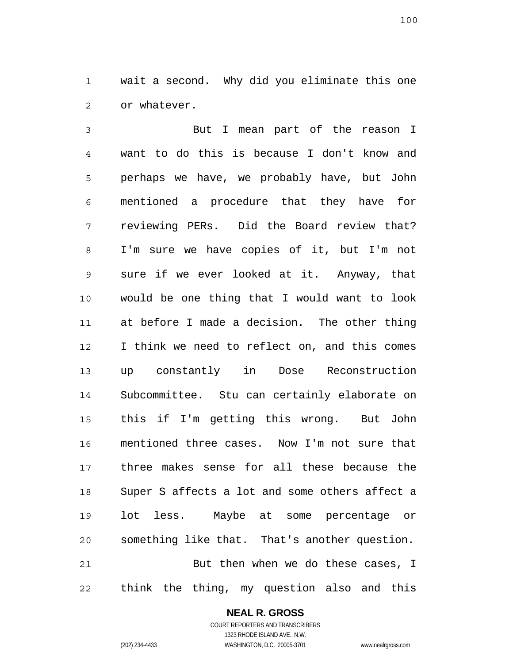1 2 wait a second. Why did you eliminate this one or whatever.

3 4 5 6 7 8 9 10 11 12 13 14 15 16 17 18 19 20 21 22 But I mean part of the reason I want to do this is because I don't know and perhaps we have, we probably have, but John mentioned a procedure that they have for reviewing PERs. Did the Board review that? I'm sure we have copies of it, but I'm not sure if we ever looked at it. Anyway, that would be one thing that I would want to look at before I made a decision. The other thing I think we need to reflect on, and this comes up constantly in Dose Reconstruction Subcommittee. Stu can certainly elaborate on this if I'm getting this wrong. But John mentioned three cases. Now I'm not sure that three makes sense for all these because the Super S affects a lot and some others affect a lot less. Maybe at some percentage or something like that. That's another question. But then when we do these cases, I think the thing, my question also and this

**NEAL R. GROSS**

COURT REPORTERS AND TRANSCRIBERS 1323 RHODE ISLAND AVE., N.W. (202) 234-4433 WASHINGTON, D.C. 20005-3701 www.nealrgross.com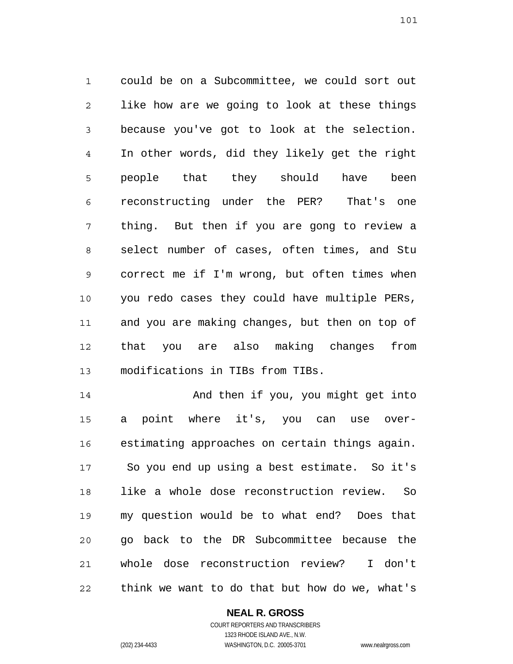1 2 3 4 5 6 7 8 9 10 11 12 13 could be on a Subcommittee, we could sort out like how are we going to look at these things because you've got to look at the selection. In other words, did they likely get the right people that they should have been reconstructing under the PER? That's one thing. But then if you are gong to review a select number of cases, often times, and Stu correct me if I'm wrong, but often times when you redo cases they could have multiple PERs, and you are making changes, but then on top of that you are also making changes from modifications in TIBs from TIBs.

14 15 16 17 18 19 20 21 22 And then if you, you might get into a point where it's, you can use overestimating approaches on certain things again. So you end up using a best estimate. So it's like a whole dose reconstruction review. So my question would be to what end? Does that go back to the DR Subcommittee because the whole dose reconstruction review? I don't think we want to do that but how do we, what's

# **NEAL R. GROSS**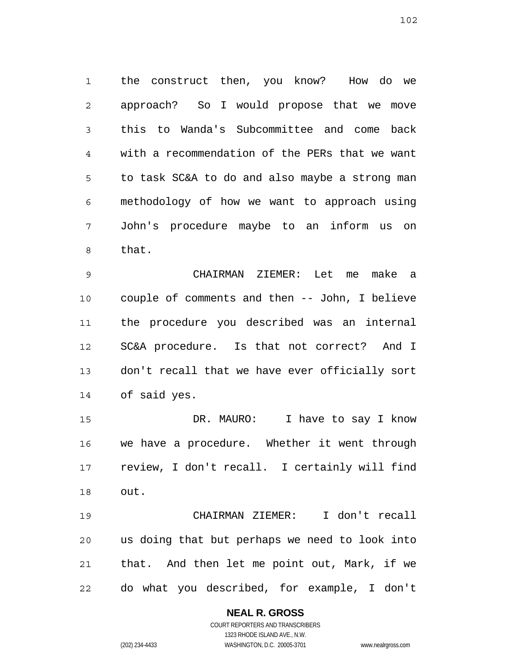1 2 3 4 5 6 7 8 the construct then, you know? How do we approach? So I would propose that we move this to Wanda's Subcommittee and come back with a recommendation of the PERs that we want to task SC&A to do and also maybe a strong man methodology of how we want to approach using John's procedure maybe to an inform us on that.

9 10 11 12 13 14 CHAIRMAN ZIEMER: Let me make a couple of comments and then -- John, I believe the procedure you described was an internal SC&A procedure. Is that not correct? And I don't recall that we have ever officially sort of said yes.

15 16 17 18 DR. MAURO: I have to say I know we have a procedure. Whether it went through review, I don't recall. I certainly will find out.

19 20 21 22 CHAIRMAN ZIEMER: I don't recall us doing that but perhaps we need to look into that. And then let me point out, Mark, if we do what you described, for example, I don't

# **NEAL R. GROSS**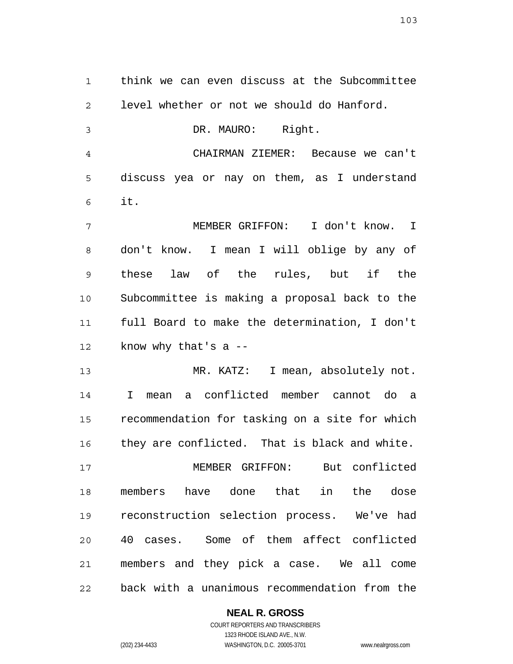1 2 3 4 5 6 7 8 9 10 11 12 13 14 15 16 17 18 19 20 21 think we can even discuss at the Subcommittee level whether or not we should do Hanford. DR. MAURO: Right. CHAIRMAN ZIEMER: Because we can't discuss yea or nay on them, as I understand it. MEMBER GRIFFON: I don't know. I don't know. I mean I will oblige by any of these law of the rules, but if the Subcommittee is making a proposal back to the full Board to make the determination, I don't know why that's  $a$  --MR. KATZ: I mean, absolutely not. I mean a conflicted member cannot do a recommendation for tasking on a site for which they are conflicted. That is black and white. MEMBER GRIFFON: But conflicted members have done that in the dose reconstruction selection process. We've had 40 cases. Some of them affect conflicted members and they pick a case. We all come

22 back with a unanimous recommendation from the

> **NEAL R. GROSS** COURT REPORTERS AND TRANSCRIBERS

> > 1323 RHODE ISLAND AVE., N.W.

(202) 234-4433 WASHINGTON, D.C. 20005-3701 www.nealrgross.com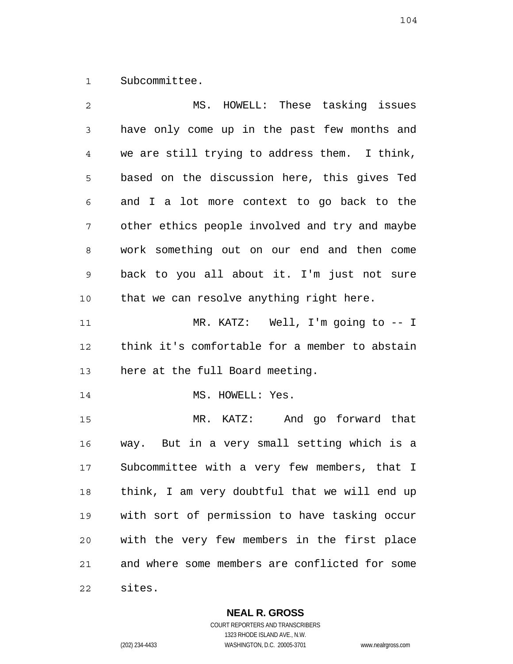1 Subcommittee.

| 2           | MS. HOWELL: These tasking issues               |
|-------------|------------------------------------------------|
| 3           | have only come up in the past few months and   |
| 4           | we are still trying to address them. I think,  |
| 5           | based on the discussion here, this gives Ted   |
| 6           | and I a lot more context to go back to the     |
| 7           | other ethics people involved and try and maybe |
| 8           | work something out on our end and then come    |
| $\mathsf 9$ | back to you all about it. I'm just not sure    |
| 10          | that we can resolve anything right here.       |
| 11          | MR. KATZ: Well, I'm going to $-1$              |
| 12          | think it's comfortable for a member to abstain |
| 13          | here at the full Board meeting.                |
| 14          | MS. HOWELL: Yes.                               |
| 15          | MR. KATZ: And go forward that                  |
| 16          | way. But in a very small setting which is a    |
| 17          | Subcommittee with a very few members, that I   |
| 18          | think, I am very doubtful that we will end up  |
| 19          | with sort of permission to have tasking occur  |
| 20          | with the very few members in the first place   |
| 21          | and where some members are conflicted for some |
| 22          | sites.                                         |

**NEAL R. GROSS**

COURT REPORTERS AND TRANSCRIBERS 1323 RHODE ISLAND AVE., N.W. (202) 234-4433 WASHINGTON, D.C. 20005-3701 www.nealrgross.com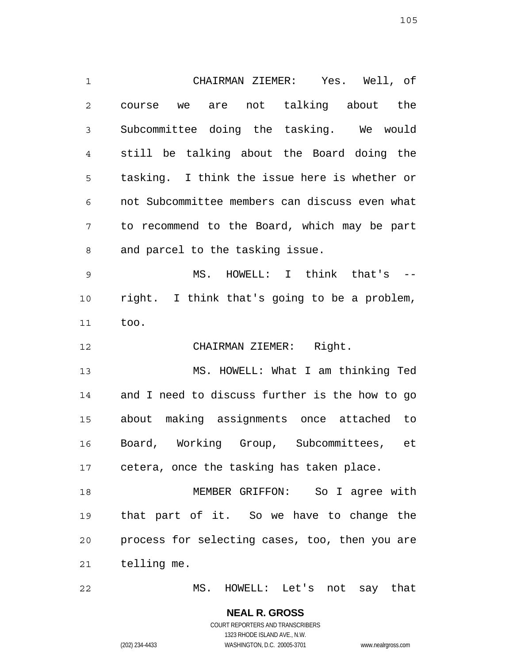1 2 3 4 5 6 7 8 9 10 11 12 13 14 15 16 17 18 19 20 21 CHAIRMAN ZIEMER: Yes. Well, of course we are not talking about the Subcommittee doing the tasking. We would still be talking about the Board doing the tasking. I think the issue here is whether or not Subcommittee members can discuss even what to recommend to the Board, which may be part and parcel to the tasking issue. MS. HOWELL: I think that's - right. I think that's going to be a problem, too. CHAIRMAN ZIEMER: Right. MS. HOWELL: What I am thinking Ted and I need to discuss further is the how to go about making assignments once attached to Board, Working Group, Subcommittees, et cetera, once the tasking has taken place. MEMBER GRIFFON: So I agree with that part of it. So we have to change the process for selecting cases, too, then you are telling me.

22 MS. HOWELL: Let's not say that

> **NEAL R. GROSS** COURT REPORTERS AND TRANSCRIBERS 1323 RHODE ISLAND AVE., N.W. (202) 234-4433 WASHINGTON, D.C. 20005-3701 www.nealrgross.com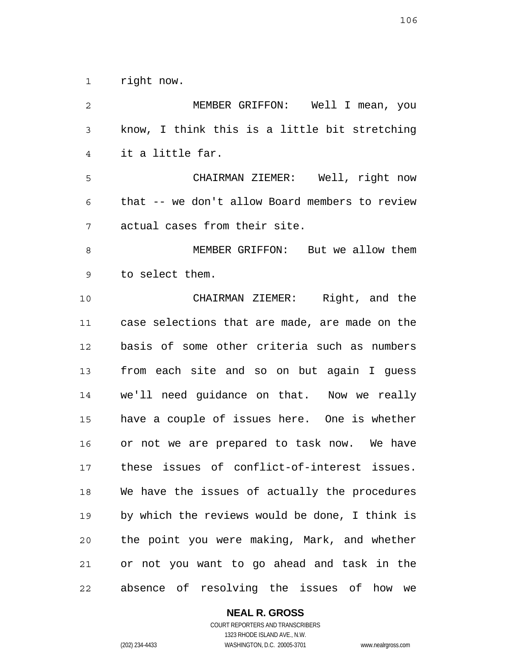1 right now.

| $\overline{2}$ | MEMBER GRIFFON: Well I mean, you               |
|----------------|------------------------------------------------|
| 3              | know, I think this is a little bit stretching  |
| 4              | it a little far.                               |
| 5              | CHAIRMAN ZIEMER: Well, right now               |
| 6              | that -- we don't allow Board members to review |
| 7              | actual cases from their site.                  |
| 8              | MEMBER GRIFFON: But we allow them              |
| 9              | to select them.                                |
| 10             | CHAIRMAN ZIEMER: Right, and the                |
| 11             | case selections that are made, are made on the |
| 12             | basis of some other criteria such as numbers   |
| 13             | from each site and so on but again I guess     |
| 14             | we'll need guidance on that. Now we really     |
| 15             | have a couple of issues here. One is whether   |
| 16             | or not we are prepared to task now. We have    |
| 17             | these issues of conflict-of-interest issues.   |
| 18             | We have the issues of actually the procedures  |
| 19             | by which the reviews would be done, I think is |
| 20             | the point you were making, Mark, and whether   |
| 21             | or not you want to go ahead and task in the    |
| 22             | absence of resolving the issues of how<br>we   |

# **NEAL R. GROSS**

COURT REPORTERS AND TRANSCRIBERS 1323 RHODE ISLAND AVE., N.W. (202) 234-4433 WASHINGTON, D.C. 20005-3701 www.nealrgross.com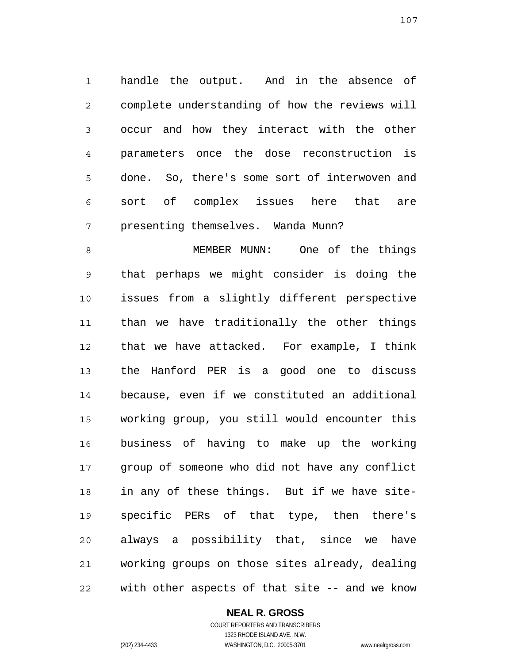1 2 3 4 5 6 7 handle the output. And in the absence of complete understanding of how the reviews will occur and how they interact with the other parameters once the dose reconstruction is done. So, there's some sort of interwoven and sort of complex issues here that are presenting themselves. Wanda Munn?

8 9 10 11 12 13 14 15 16 17 18 19 20 21 22 MEMBER MUNN: One of the things that perhaps we might consider is doing the issues from a slightly different perspective than we have traditionally the other things that we have attacked. For example, I think the Hanford PER is a good one to discuss because, even if we constituted an additional working group, you still would encounter this business of having to make up the working group of someone who did not have any conflict in any of these things. But if we have sitespecific PERs of that type, then there's always a possibility that, since we have working groups on those sites already, dealing with other aspects of that site -- and we know

# **NEAL R. GROSS**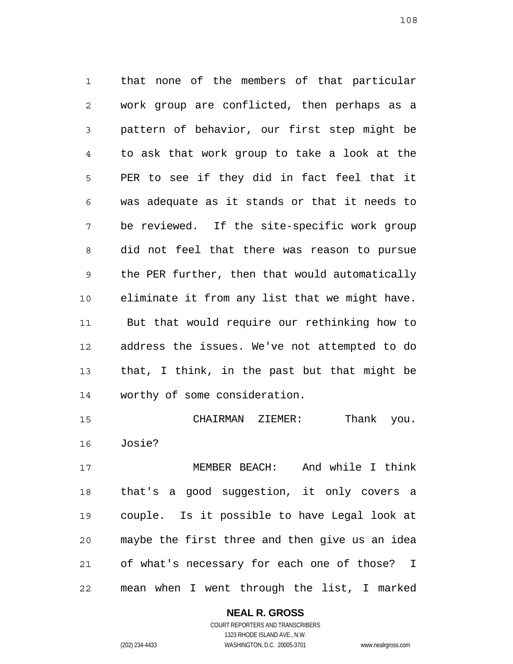1 2 3 4 5 6 7 8 9 10 11 12 13 14 that none of the members of that particular work group are conflicted, then perhaps as a pattern of behavior, our first step might be to ask that work group to take a look at the PER to see if they did in fact feel that it was adequate as it stands or that it needs to be reviewed. If the site-specific work group did not feel that there was reason to pursue the PER further, then that would automatically eliminate it from any list that we might have. But that would require our rethinking how to address the issues. We've not attempted to do that, I think, in the past but that might be worthy of some consideration.

15 16 CHAIRMAN ZIEMER: Thank you. Josie?

17 18 19 20 21 22 MEMBER BEACH: And while I think that's a good suggestion, it only covers a couple. Is it possible to have Legal look at maybe the first three and then give us an idea of what's necessary for each one of those? I mean when I went through the list, I marked

> **NEAL R. GROSS** COURT REPORTERS AND TRANSCRIBERS

1323 RHODE ISLAND AVE., N.W. (202) 234-4433 WASHINGTON, D.C. 20005-3701 www.nealrgross.com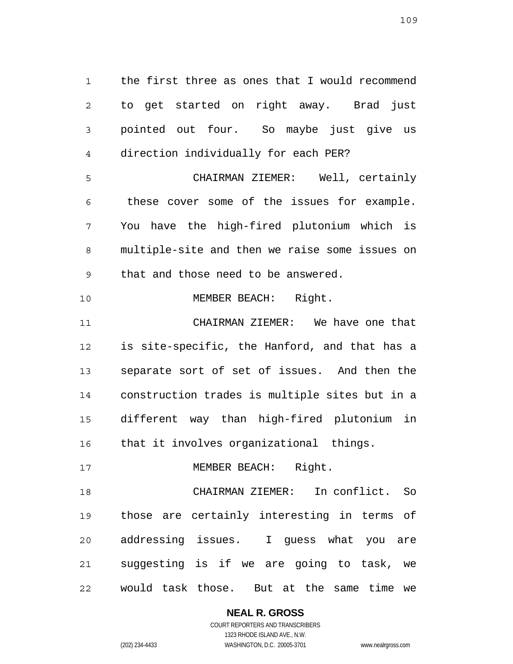1 2 3 4 5 6 7 8 9 10 the first three as ones that I would recommend to get started on right away. Brad just pointed out four. So maybe just give us direction individually for each PER? CHAIRMAN ZIEMER: Well, certainly these cover some of the issues for example. You have the high-fired plutonium which is multiple-site and then we raise some issues on that and those need to be answered. MEMBER BEACH: Right.

11 12 13 14 15 16 CHAIRMAN ZIEMER: We have one that is site-specific, the Hanford, and that has a separate sort of set of issues. And then the construction trades is multiple sites but in a different way than high-fired plutonium in that it involves organizational things.

17 MEMBER BEACH: Right.

18 19 20 21 22 CHAIRMAN ZIEMER: In conflict. So those are certainly interesting in terms of addressing issues. I guess what you are suggesting is if we are going to task, we would task those. But at the same time we

> **NEAL R. GROSS** COURT REPORTERS AND TRANSCRIBERS 1323 RHODE ISLAND AVE., N.W. (202) 234-4433 WASHINGTON, D.C. 20005-3701 www.nealrgross.com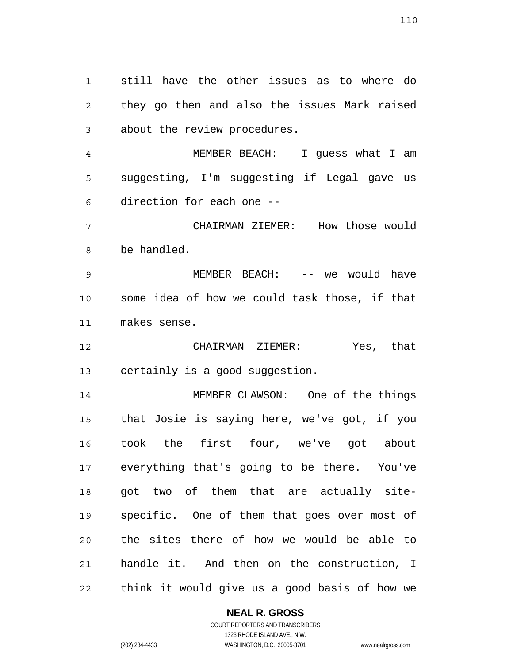1 2 3 still have the other issues as to where do they go then and also the issues Mark raised about the review procedures.

4 5 6 MEMBER BEACH: I guess what I am suggesting, I'm suggesting if Legal gave us direction for each one --

7 8 CHAIRMAN ZIEMER: How those would be handled.

9 10 11 MEMBER BEACH: -- we would have some idea of how we could task those, if that makes sense.

12 13 CHAIRMAN ZIEMER: Yes, that certainly is a good suggestion.

14 15 16 17 18 19 20 21 22 MEMBER CLAWSON: One of the things that Josie is saying here, we've got, if you took the first four, we've got about everything that's going to be there. You've got two of them that are actually sitespecific. One of them that goes over most of the sites there of how we would be able to handle it. And then on the construction, I think it would give us a good basis of how we

#### **NEAL R. GROSS** COURT REPORTERS AND TRANSCRIBERS

1323 RHODE ISLAND AVE., N.W. (202) 234-4433 WASHINGTON, D.C. 20005-3701 www.nealrgross.com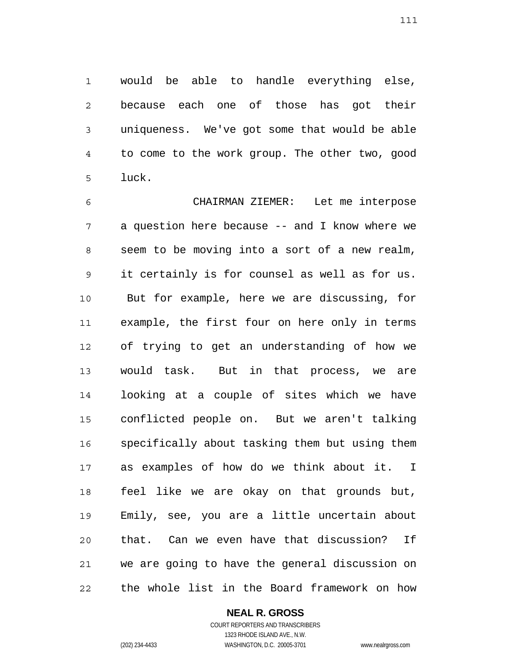1 2 3 4 5 would be able to handle everything else, because each one of those has got their uniqueness. We've got some that would be able to come to the work group. The other two, good luck.

6 7 8 9 10 11 12 13 14 15 16 17 18 19 20 21 22 CHAIRMAN ZIEMER: Let me interpose a question here because -- and I know where we seem to be moving into a sort of a new realm, it certainly is for counsel as well as for us. But for example, here we are discussing, for example, the first four on here only in terms of trying to get an understanding of how we would task. But in that process, we are looking at a couple of sites which we have conflicted people on. But we aren't talking specifically about tasking them but using them as examples of how do we think about it. I feel like we are okay on that grounds but, Emily, see, you are a little uncertain about that. Can we even have that discussion? If we are going to have the general discussion on the whole list in the Board framework on how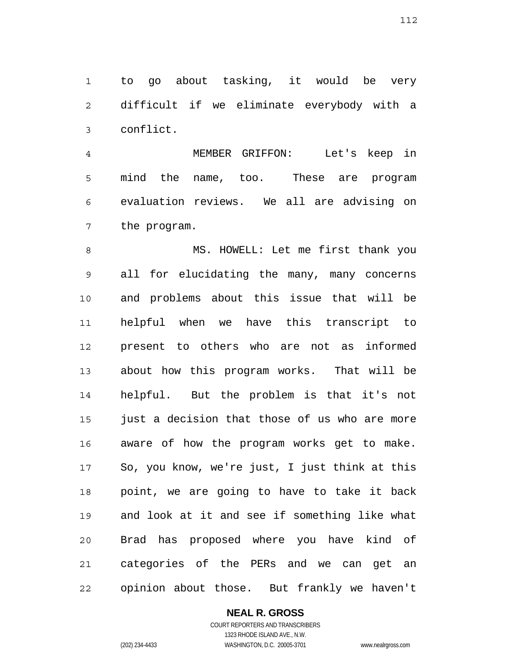1 2 3 to go about tasking, it would be very difficult if we eliminate everybody with a conflict.

4 5 6 7 MEMBER GRIFFON: Let's keep in mind the name, too. These are program evaluation reviews. We all are advising on the program.

8 9 10 11 12 13 14 15 16 17 18 19 20 21 22 MS. HOWELL: Let me first thank you all for elucidating the many, many concerns and problems about this issue that will be helpful when we have this transcript to present to others who are not as informed about how this program works. That will be helpful. But the problem is that it's not just a decision that those of us who are more aware of how the program works get to make. So, you know, we're just, I just think at this point, we are going to have to take it back and look at it and see if something like what Brad has proposed where you have kind of categories of the PERs and we can get an opinion about those. But frankly we haven't

# **NEAL R. GROSS**

COURT REPORTERS AND TRANSCRIBERS 1323 RHODE ISLAND AVE., N.W. (202) 234-4433 WASHINGTON, D.C. 20005-3701 www.nealrgross.com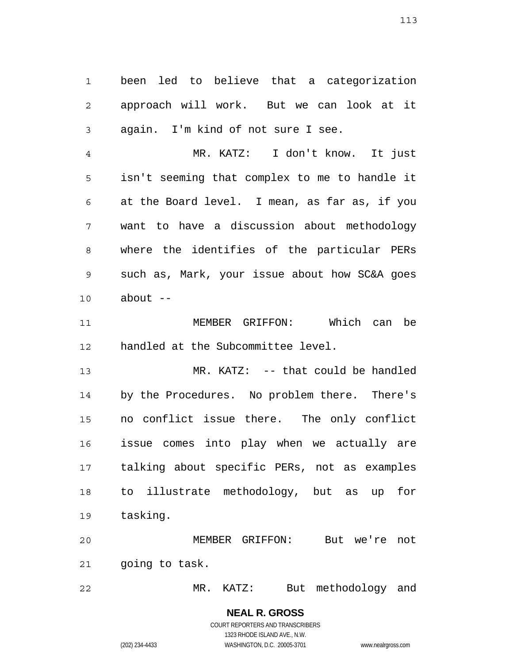1 2 3 been led to believe that a categorization approach will work. But we can look at it again. I'm kind of not sure I see.

4 5 6 7 8 9 10 MR. KATZ: I don't know. It just isn't seeming that complex to me to handle it at the Board level. I mean, as far as, if you want to have a discussion about methodology where the identifies of the particular PERs such as, Mark, your issue about how SC&A goes about  $--$ 

11 12 MEMBER GRIFFON: Which can be handled at the Subcommittee level.

13 14 15 16 17 18 19 MR. KATZ: -- that could be handled by the Procedures. No problem there. There's no conflict issue there. The only conflict issue comes into play when we actually are talking about specific PERs, not as examples to illustrate methodology, but as up for tasking.

20 21 MEMBER GRIFFON: But we're not going to task.

22 MR. KATZ: But methodology and

> **NEAL R. GROSS** COURT REPORTERS AND TRANSCRIBERS 1323 RHODE ISLAND AVE., N.W.

(202) 234-4433 WASHINGTON, D.C. 20005-3701 www.nealrgross.com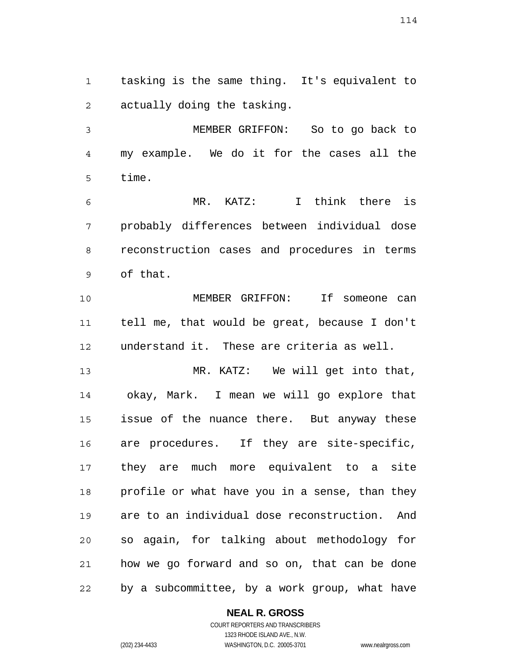1 2 tasking is the same thing. It's equivalent to actually doing the tasking.

3 4 5 MEMBER GRIFFON: So to go back to my example. We do it for the cases all the time.

6 7 8 9 MR. KATZ: I think there is probably differences between individual dose reconstruction cases and procedures in terms of that.

10 11 12 MEMBER GRIFFON: If someone can tell me, that would be great, because I don't understand it. These are criteria as well.

13 14 15 16 17 18 19 20 21 22 MR. KATZ: We will get into that, okay, Mark. I mean we will go explore that issue of the nuance there. But anyway these are procedures. If they are site-specific, they are much more equivalent to a site profile or what have you in a sense, than they are to an individual dose reconstruction. And so again, for talking about methodology for how we go forward and so on, that can be done by a subcommittee, by a work group, what have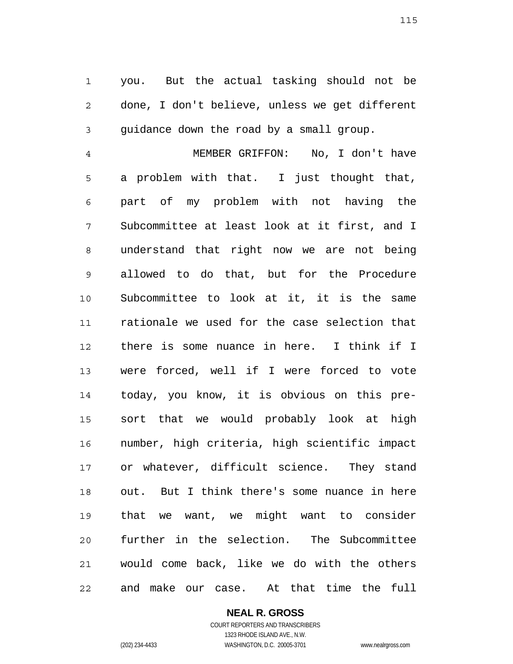1 2 3 you. But the actual tasking should not be done, I don't believe, unless we get different guidance down the road by a small group.

4 5 6 7 8 9 10 11 12 13 14 15 16 17 18 19 20 21 22 MEMBER GRIFFON: No, I don't have a problem with that. I just thought that, part of my problem with not having the Subcommittee at least look at it first, and I understand that right now we are not being allowed to do that, but for the Procedure Subcommittee to look at it, it is the same rationale we used for the case selection that there is some nuance in here. I think if I were forced, well if I were forced to vote today, you know, it is obvious on this presort that we would probably look at high number, high criteria, high scientific impact or whatever, difficult science. They stand out. But I think there's some nuance in here that we want, we might want to consider further in the selection. The Subcommittee would come back, like we do with the others and make our case. At that time the full

> **NEAL R. GROSS** COURT REPORTERS AND TRANSCRIBERS 1323 RHODE ISLAND AVE., N.W.

(202) 234-4433 WASHINGTON, D.C. 20005-3701 www.nealrgross.com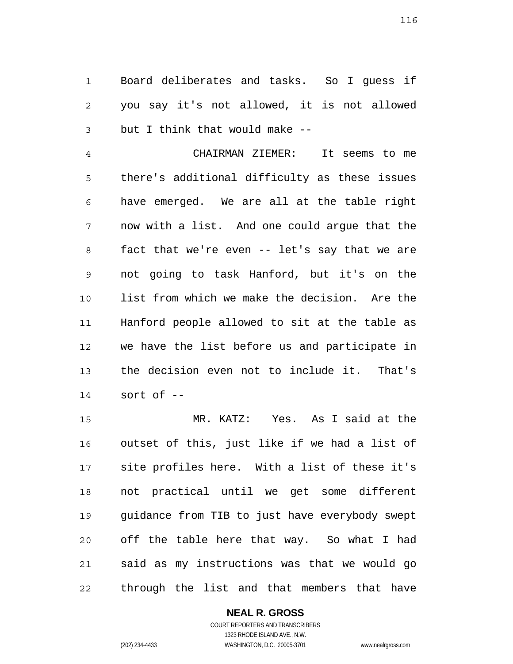1 2 3 Board deliberates and tasks. So I guess if you say it's not allowed, it is not allowed but I think that would make --

4 5 6 7 8 9 10 11 12 13 14 CHAIRMAN ZIEMER: It seems to me there's additional difficulty as these issues have emerged. We are all at the table right now with a list. And one could argue that the fact that we're even -- let's say that we are not going to task Hanford, but it's on the list from which we make the decision. Are the Hanford people allowed to sit at the table as we have the list before us and participate in the decision even not to include it. That's sort of --

15 16 17 18 19 20 21 22 MR. KATZ: Yes. As I said at the outset of this, just like if we had a list of site profiles here. With a list of these it's not practical until we get some different guidance from TIB to just have everybody swept off the table here that way. So what I had said as my instructions was that we would go through the list and that members that have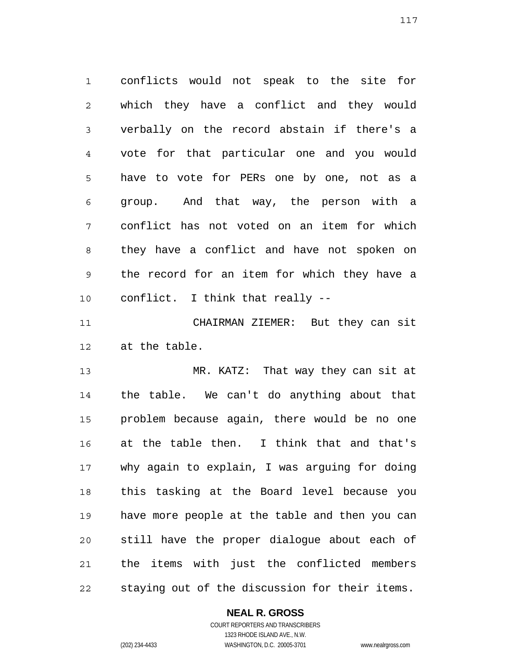1 2 3 4 5 6 7 8 9 10 conflicts would not speak to the site for which they have a conflict and they would verbally on the record abstain if there's a vote for that particular one and you would have to vote for PERs one by one, not as a group. And that way, the person with a conflict has not voted on an item for which they have a conflict and have not spoken on the record for an item for which they have a conflict. I think that really --

11 12 CHAIRMAN ZIEMER: But they can sit at the table.

13 14 15 16 17 18 19 20 21 22 MR. KATZ: That way they can sit at the table. We can't do anything about that problem because again, there would be no one at the table then. I think that and that's why again to explain, I was arguing for doing this tasking at the Board level because you have more people at the table and then you can still have the proper dialogue about each of the items with just the conflicted members staying out of the discussion for their items.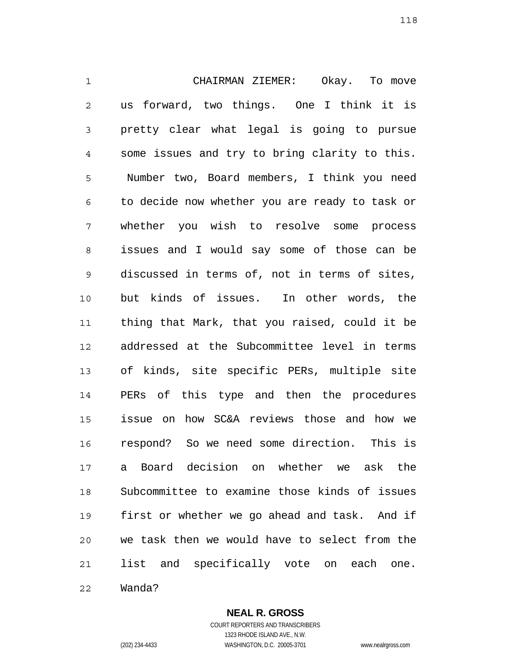1 2 3 4 5 6 7 8 9 10 11 12 13 14 15 16 17 18 19 20 21 CHAIRMAN ZIEMER: Okay. To move us forward, two things. One I think it is pretty clear what legal is going to pursue some issues and try to bring clarity to this. Number two, Board members, I think you need to decide now whether you are ready to task or whether you wish to resolve some process issues and I would say some of those can be discussed in terms of, not in terms of sites, but kinds of issues. In other words, the thing that Mark, that you raised, could it be addressed at the Subcommittee level in terms of kinds, site specific PERs, multiple site PERs of this type and then the procedures issue on how SC&A reviews those and how we respond? So we need some direction. This is a Board decision on whether we ask the Subcommittee to examine those kinds of issues first or whether we go ahead and task. And if we task then we would have to select from the list and specifically vote on each one.

22 Wanda?

**NEAL R. GROSS**

COURT REPORTERS AND TRANSCRIBERS 1323 RHODE ISLAND AVE., N.W. (202) 234-4433 WASHINGTON, D.C. 20005-3701 www.nealrgross.com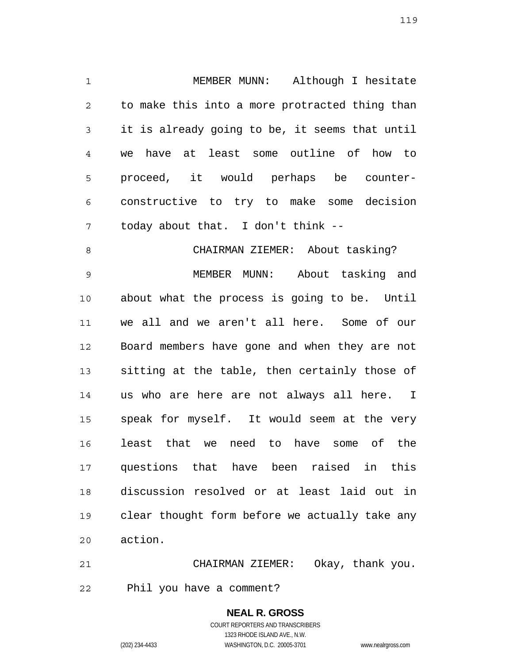1 2 3 4 5 6 7 MEMBER MUNN: Although I hesitate to make this into a more protracted thing than it is already going to be, it seems that until we have at least some outline of how to proceed, it would perhaps be counterconstructive to try to make some decision today about that. I don't think --

8 9 10 11 12 13 14 15 16 17 18 19 20 CHAIRMAN ZIEMER: About tasking? MEMBER MUNN: About tasking and about what the process is going to be. Until we all and we aren't all here. Some of our Board members have gone and when they are not sitting at the table, then certainly those of us who are here are not always all here. I speak for myself. It would seem at the very least that we need to have some of the questions that have been raised in this discussion resolved or at least laid out in clear thought form before we actually take any action.

21 22 CHAIRMAN ZIEMER: Okay, thank you. Phil you have a comment?

> **NEAL R. GROSS** COURT REPORTERS AND TRANSCRIBERS 1323 RHODE ISLAND AVE., N.W. (202) 234-4433 WASHINGTON, D.C. 20005-3701 www.nealrgross.com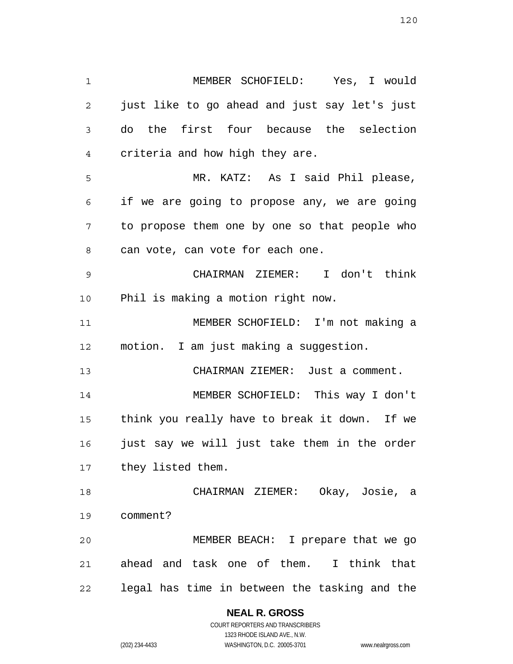1 2 3 4 5 6 7 8 9 10 11 12 13 14 15 16 17 18 19 20 21 22 MEMBER SCHOFIELD: Yes, I would just like to go ahead and just say let's just do the first four because the selection criteria and how high they are. MR. KATZ: As I said Phil please, if we are going to propose any, we are going to propose them one by one so that people who can vote, can vote for each one. CHAIRMAN ZIEMER: I don't think Phil is making a motion right now. MEMBER SCHOFIELD: I'm not making a motion. I am just making a suggestion. CHAIRMAN ZIEMER: Just a comment. MEMBER SCHOFIELD: This way I don't think you really have to break it down. If we just say we will just take them in the order they listed them. CHAIRMAN ZIEMER: Okay, Josie, a comment? MEMBER BEACH: I prepare that we go ahead and task one of them. I think that legal has time in between the tasking and the

> **NEAL R. GROSS** COURT REPORTERS AND TRANSCRIBERS

> > 1323 RHODE ISLAND AVE., N.W.

(202) 234-4433 WASHINGTON, D.C. 20005-3701 www.nealrgross.com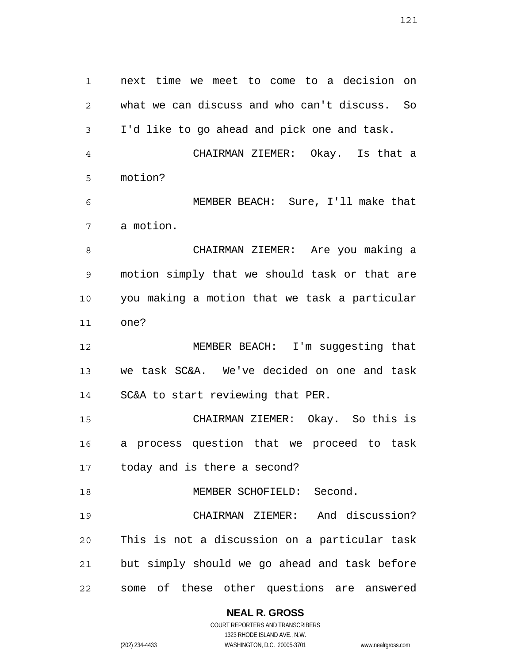1 2 3 4 5 6 7 8 9 10 11 12 13 14 15 16 17 18 19 20 21 22 next time we meet to come to a decision on what we can discuss and who can't discuss. So I'd like to go ahead and pick one and task. CHAIRMAN ZIEMER: Okay. Is that a motion? MEMBER BEACH: Sure, I'll make that a motion. CHAIRMAN ZIEMER: Are you making a motion simply that we should task or that are you making a motion that we task a particular one? MEMBER BEACH: I'm suggesting that we task SC&A. We've decided on one and task SC&A to start reviewing that PER. CHAIRMAN ZIEMER: Okay. So this is a process question that we proceed to task today and is there a second? MEMBER SCHOFIELD: Second. CHAIRMAN ZIEMER: And discussion? This is not a discussion on a particular task but simply should we go ahead and task before some of these other questions are answered

> **NEAL R. GROSS** COURT REPORTERS AND TRANSCRIBERS

1323 RHODE ISLAND AVE., N.W. (202) 234-4433 WASHINGTON, D.C. 20005-3701 www.nealrgross.com

121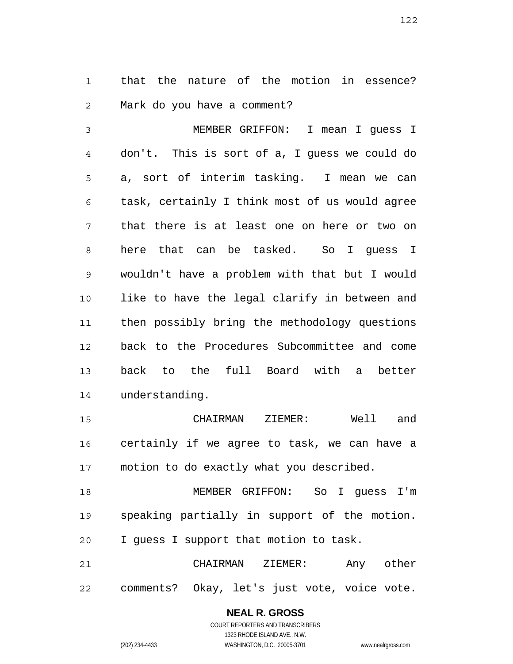1 2 that the nature of the motion in essence? Mark do you have a comment?

3 4 5 6 7 8 9 10 11 12 13 14 MEMBER GRIFFON: I mean I guess I don't. This is sort of a, I guess we could do a, sort of interim tasking. I mean we can task, certainly I think most of us would agree that there is at least one on here or two on here that can be tasked. So I guess I wouldn't have a problem with that but I would like to have the legal clarify in between and then possibly bring the methodology questions back to the Procedures Subcommittee and come back to the full Board with a better understanding.

15 16 17 CHAIRMAN ZIEMER: Well and certainly if we agree to task, we can have a motion to do exactly what you described.

18 19 20 MEMBER GRIFFON: So I guess I'm speaking partially in support of the motion. I guess I support that motion to task.

21 22 CHAIRMAN ZIEMER: Any other comments? Okay, let's just vote, voice vote.

**NEAL R. GROSS**

COURT REPORTERS AND TRANSCRIBERS 1323 RHODE ISLAND AVE., N.W. (202) 234-4433 WASHINGTON, D.C. 20005-3701 www.nealrgross.com

122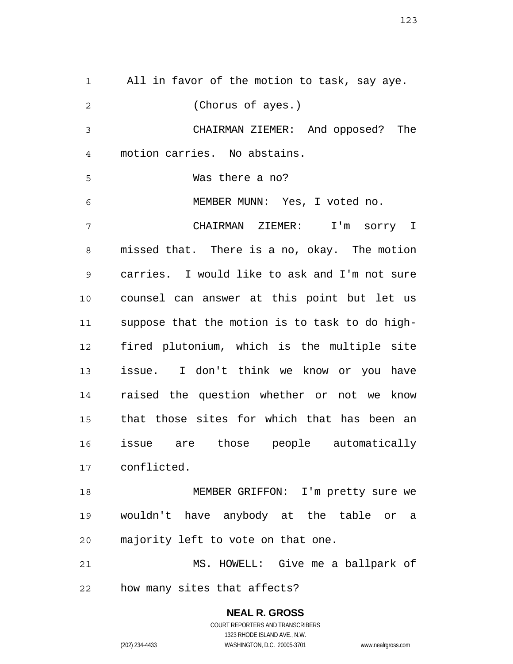1 2 3 4 5 6 7 8 9 10 11 12 13 14 15 16 17 18 19 20 All in favor of the motion to task, say aye. (Chorus of ayes.) CHAIRMAN ZIEMER: And opposed? The motion carries. No abstains. Was there a no? MEMBER MUNN: Yes, I voted no. CHAIRMAN ZIEMER: I'm sorry I missed that. There is a no, okay. The motion carries. I would like to ask and I'm not sure counsel can answer at this point but let us suppose that the motion is to task to do highfired plutonium, which is the multiple site issue. I don't think we know or you have raised the question whether or not we know that those sites for which that has been an issue are those people automatically conflicted. MEMBER GRIFFON: I'm pretty sure we wouldn't have anybody at the table or a majority left to vote on that one.

21 22 MS. HOWELL: Give me a ballpark of how many sites that affects?

> **NEAL R. GROSS** COURT REPORTERS AND TRANSCRIBERS 1323 RHODE ISLAND AVE., N.W. (202) 234-4433 WASHINGTON, D.C. 20005-3701 www.nealrgross.com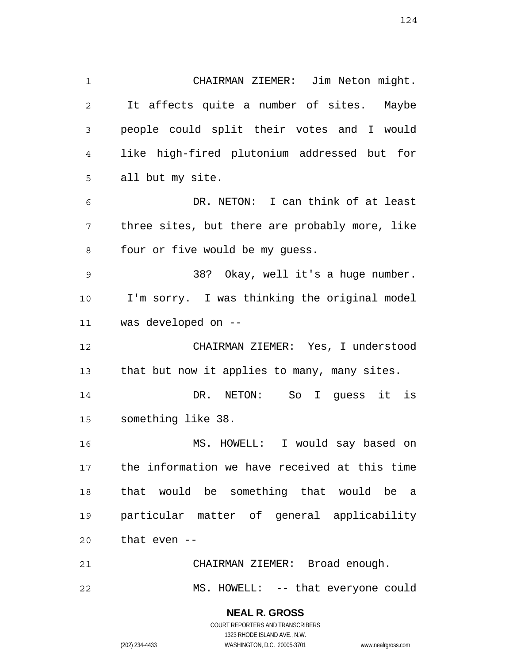124

1 2 3 4 5 6 7 8 9 10 11 12 13 14 15 16 17 18 19 20 21 22 CHAIRMAN ZIEMER: Jim Neton might. It affects quite a number of sites. Maybe people could split their votes and I would like high-fired plutonium addressed but for all but my site. DR. NETON: I can think of at least three sites, but there are probably more, like four or five would be my guess. 38? Okay, well it's a huge number. I'm sorry. I was thinking the original model was developed on -- CHAIRMAN ZIEMER: Yes, I understood that but now it applies to many, many sites. DR. NETON: So I guess it is something like 38. MS. HOWELL: I would say based on the information we have received at this time that would be something that would be a particular matter of general applicability that even -- CHAIRMAN ZIEMER: Broad enough. MS. HOWELL: -- that everyone could

> **NEAL R. GROSS** COURT REPORTERS AND TRANSCRIBERS

> > 1323 RHODE ISLAND AVE., N.W.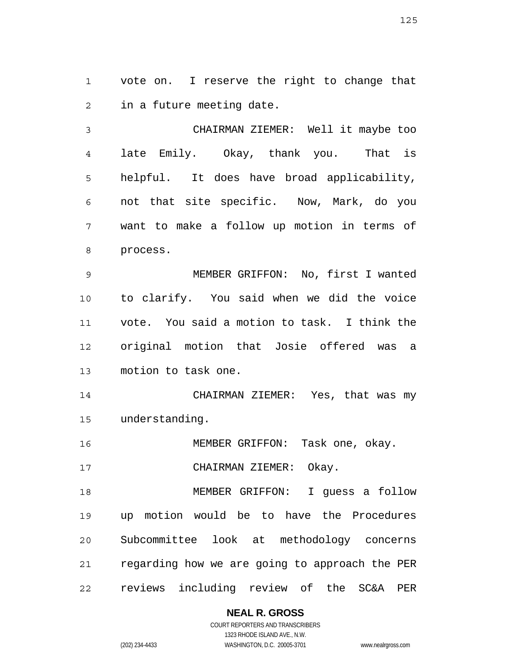1 2 vote on. I reserve the right to change that in a future meeting date.

3 4 5 6 7 8 CHAIRMAN ZIEMER: Well it maybe too late Emily. Okay, thank you. That is helpful. It does have broad applicability, not that site specific. Now, Mark, do you want to make a follow up motion in terms of process.

9 10 11 12 13 MEMBER GRIFFON: No, first I wanted to clarify. You said when we did the voice vote. You said a motion to task. I think the original motion that Josie offered was a motion to task one.

14 15 CHAIRMAN ZIEMER: Yes, that was my understanding.

16 MEMBER GRIFFON: Task one, okay.

17 CHAIRMAN ZIEMER: Okay.

18 19 20 21 22 MEMBER GRIFFON: I guess a follow up motion would be to have the Procedures Subcommittee look at methodology concerns regarding how we are going to approach the PER reviews including review of the SC&A PER

**NEAL R. GROSS**

COURT REPORTERS AND TRANSCRIBERS 1323 RHODE ISLAND AVE., N.W. (202) 234-4433 WASHINGTON, D.C. 20005-3701 www.nealrgross.com

125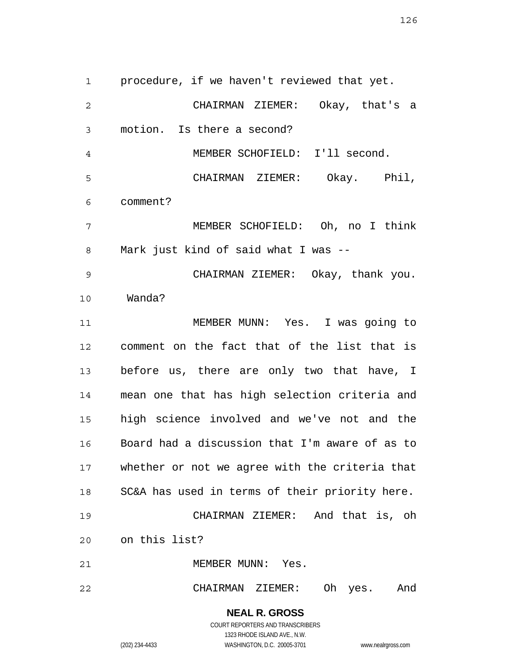1 2 3 4 5 6 7 8 9 10 11 12 13 14 15 16 17 18 19 20 21 22 procedure, if we haven't reviewed that yet. CHAIRMAN ZIEMER: Okay, that's a motion. Is there a second? MEMBER SCHOFIELD: I'll second. CHAIRMAN ZIEMER: Okay. Phil, comment? MEMBER SCHOFIELD: Oh, no I think Mark just kind of said what I was -- CHAIRMAN ZIEMER: Okay, thank you. Wanda? MEMBER MUNN: Yes. I was going to comment on the fact that of the list that is before us, there are only two that have, I mean one that has high selection criteria and high science involved and we've not and the Board had a discussion that I'm aware of as to whether or not we agree with the criteria that SC&A has used in terms of their priority here. CHAIRMAN ZIEMER: And that is, oh on this list? MEMBER MUNN: Yes. CHAIRMAN ZIEMER: Oh yes. And

> **NEAL R. GROSS** COURT REPORTERS AND TRANSCRIBERS 1323 RHODE ISLAND AVE., N.W. (202) 234-4433 WASHINGTON, D.C. 20005-3701 www.nealrgross.com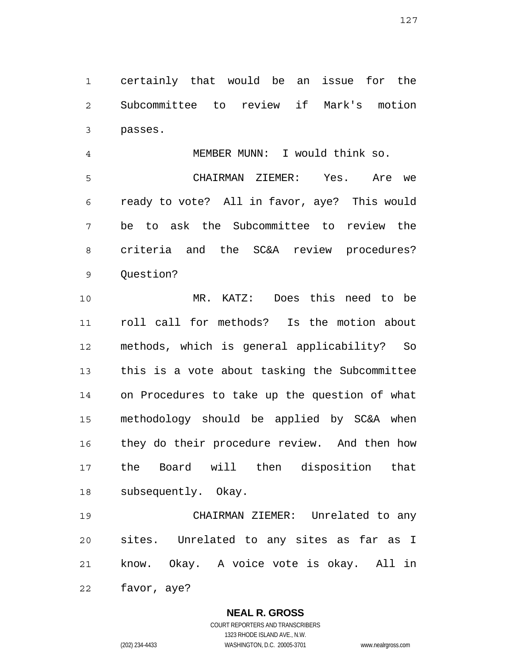1 2 3 certainly that would be an issue for the Subcommittee to review if Mark's motion passes.

4 5 6 7 8 9 MEMBER MUNN: I would think so. CHAIRMAN ZIEMER: Yes. Are we ready to vote? All in favor, aye? This would be to ask the Subcommittee to review the criteria and the SC&A review procedures? Question?

10 11 12 13 14 15 16 17 18 MR. KATZ: Does this need to be roll call for methods? Is the motion about methods, which is general applicability? So this is a vote about tasking the Subcommittee on Procedures to take up the question of what methodology should be applied by SC&A when they do their procedure review. And then how the Board will then disposition that subsequently. Okay.

19 20 21 22 CHAIRMAN ZIEMER: Unrelated to any sites. Unrelated to any sites as far as I know. Okay. A voice vote is okay. All in favor, aye?

> **NEAL R. GROSS** COURT REPORTERS AND TRANSCRIBERS

1323 RHODE ISLAND AVE., N.W. (202) 234-4433 WASHINGTON, D.C. 20005-3701 www.nealrgross.com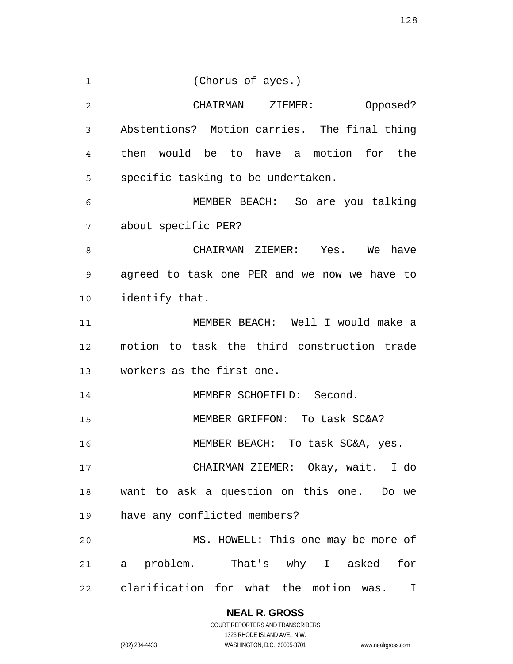1 2 3 4 5 6 7 8 9 10 11 12 13 14 15 16 17 18 19 20 21 22 (Chorus of ayes.) CHAIRMAN ZIEMER: Opposed? Abstentions? Motion carries. The final thing then would be to have a motion for the specific tasking to be undertaken. MEMBER BEACH: So are you talking about specific PER? CHAIRMAN ZIEMER: Yes. We have agreed to task one PER and we now we have to identify that. MEMBER BEACH: Well I would make a motion to task the third construction trade workers as the first one. MEMBER SCHOFIELD: Second. MEMBER GRIFFON: To task SC&A? MEMBER BEACH: To task SC&A, yes. CHAIRMAN ZIEMER: Okay, wait. I do want to ask a question on this one. Do we have any conflicted members? MS. HOWELL: This one may be more of a problem. That's why I asked for clarification for what the motion was. I

**NEAL R. GROSS**

COURT REPORTERS AND TRANSCRIBERS 1323 RHODE ISLAND AVE., N.W. (202) 234-4433 WASHINGTON, D.C. 20005-3701 www.nealrgross.com

128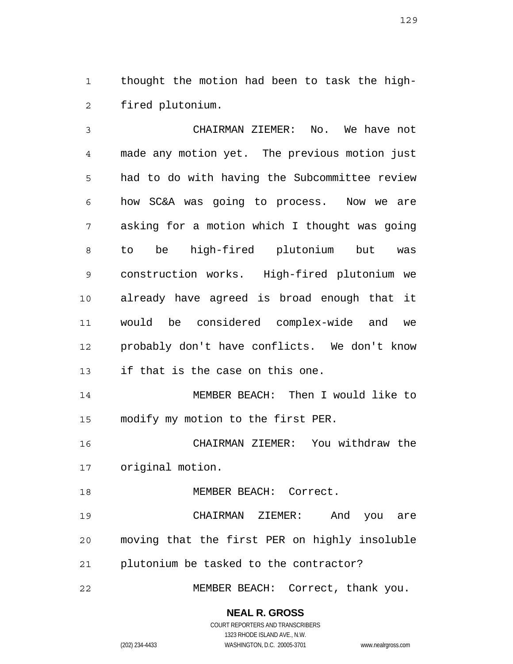1 2 thought the motion had been to task the highfired plutonium.

3 4 5 6 7 8 9 10 11 12 13 14 15 CHAIRMAN ZIEMER: No. We have not made any motion yet. The previous motion just had to do with having the Subcommittee review how SC&A was going to process. Now we are asking for a motion which I thought was going to be high-fired plutonium but was construction works. High-fired plutonium we already have agreed is broad enough that it would be considered complex-wide and we probably don't have conflicts. We don't know if that is the case on this one. MEMBER BEACH: Then I would like to modify my motion to the first PER.

16 17 CHAIRMAN ZIEMER: You withdraw the original motion.

18 19 20 21 MEMBER BEACH: Correct. CHAIRMAN ZIEMER: And you are moving that the first PER on highly insoluble plutonium be tasked to the contractor?

22 MEMBER BEACH: Correct, thank you.

1323 RHODE ISLAND AVE., N.W.

(202) 234-4433 WASHINGTON, D.C. 20005-3701 www.nealrgross.com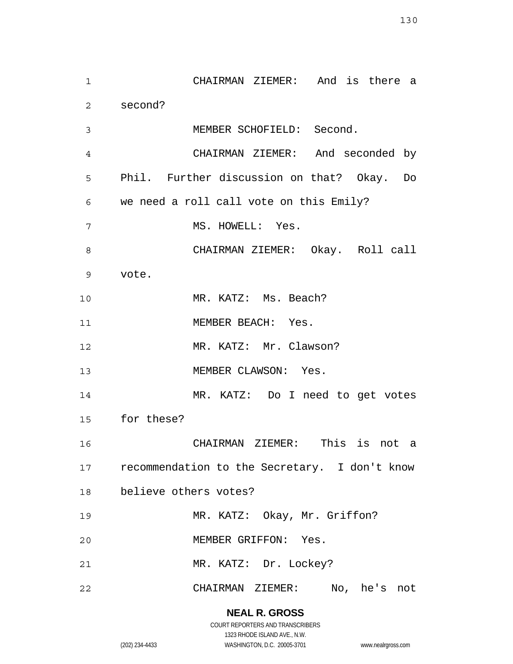1 2 3 4 5 6 7 8 9 10 11 12 13 14 15 16 17 18 19 20 21 22 CHAIRMAN ZIEMER: And is there a second? MEMBER SCHOFIELD: Second. CHAIRMAN ZIEMER: And seconded by Phil. Further discussion on that? Okay. Do we need a roll call vote on this Emily? MS. HOWELL: Yes. CHAIRMAN ZIEMER: Okay. Roll call vote. MR. KATZ: Ms. Beach? MEMBER BEACH: Yes. MR. KATZ: Mr. Clawson? MEMBER CLAWSON: Yes. MR. KATZ: Do I need to get votes for these? CHAIRMAN ZIEMER: This is not a recommendation to the Secretary. I don't know believe others votes? MR. KATZ: Okay, Mr. Griffon? MEMBER GRIFFON: Yes. MR. KATZ: Dr. Lockey? CHAIRMAN ZIEMER: No, he's not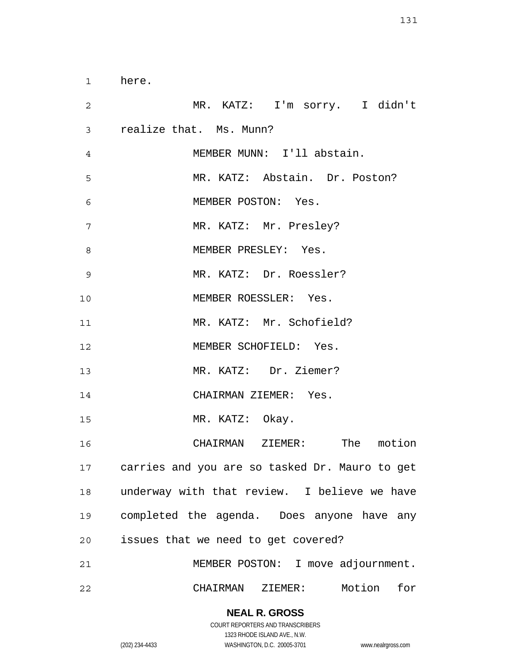1 2 3 4 5 6 7 8 9 10 11 12 13 14 15 16 17 18 19 20 21 22 here. MR. KATZ: I'm sorry. I didn't realize that. Ms. Munn? MEMBER MUNN: I'll abstain. MR. KATZ: Abstain. Dr. Poston? MEMBER POSTON: Yes. MR. KATZ: Mr. Presley? MEMBER PRESLEY: Yes. MR. KATZ: Dr. Roessler? MEMBER ROESSLER: Yes. MR. KATZ: Mr. Schofield? MEMBER SCHOFIELD: Yes. MR. KATZ: Dr. Ziemer? CHAIRMAN ZIEMER: Yes. MR. KATZ: Okay. CHAIRMAN ZIEMER: The motion carries and you are so tasked Dr. Mauro to get underway with that review. I believe we have completed the agenda. Does anyone have any issues that we need to get covered? MEMBER POSTON: I move adjournment. CHAIRMAN ZIEMER: Motion for

> **NEAL R. GROSS** COURT REPORTERS AND TRANSCRIBERS

> > 1323 RHODE ISLAND AVE., N.W.

(202) 234-4433 WASHINGTON, D.C. 20005-3701 www.nealrgross.com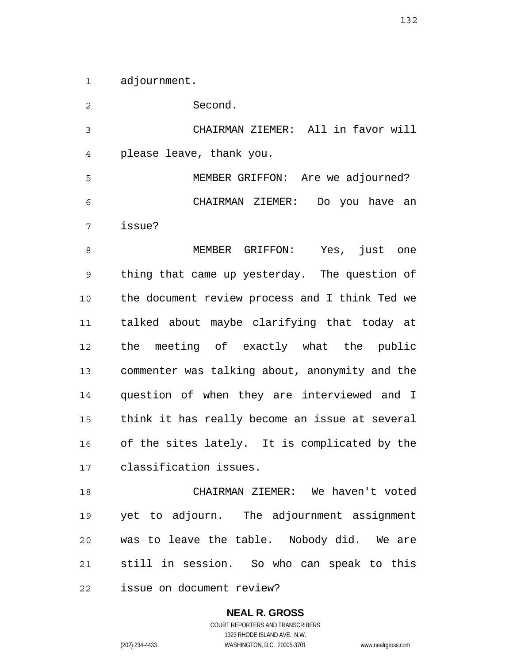1 adjournment.

2 3 4 5 6 7 8 9 10 11 12 13 14 15 16 17 18 19 20 21 Second. CHAIRMAN ZIEMER: All in favor will please leave, thank you. MEMBER GRIFFON: Are we adjourned? CHAIRMAN ZIEMER: Do you have an issue? MEMBER GRIFFON: Yes, just one thing that came up yesterday. The question of the document review process and I think Ted we talked about maybe clarifying that today at the meeting of exactly what the public commenter was talking about, anonymity and the question of when they are interviewed and I think it has really become an issue at several of the sites lately. It is complicated by the classification issues. CHAIRMAN ZIEMER: We haven't voted yet to adjourn. The adjournment assignment was to leave the table. Nobody did. We are still in session. So who can speak to this

22 issue on document review?

> **NEAL R. GROSS** COURT REPORTERS AND TRANSCRIBERS 1323 RHODE ISLAND AVE., N.W. (202) 234-4433 WASHINGTON, D.C. 20005-3701 www.nealrgross.com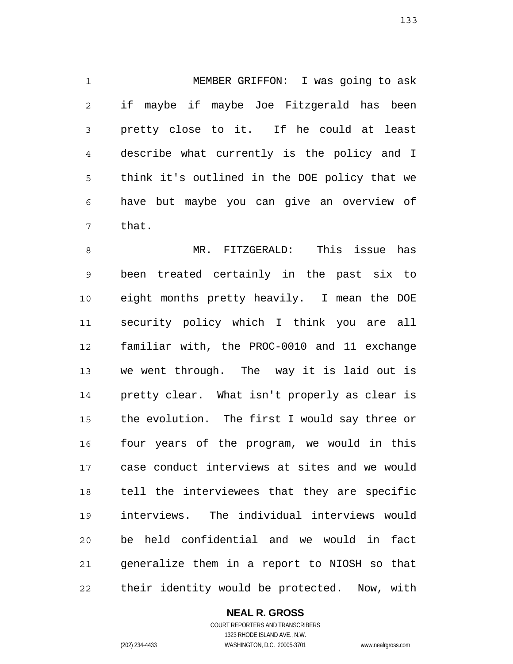1 2 3 4 5 6 7 MEMBER GRIFFON: I was going to ask if maybe if maybe Joe Fitzgerald has been pretty close to it. If he could at least describe what currently is the policy and I think it's outlined in the DOE policy that we have but maybe you can give an overview of that.

8 9 10 11 12 13 14 15 16 17 18 19 20 21 22 MR. FITZGERALD: This issue has been treated certainly in the past six to eight months pretty heavily. I mean the DOE security policy which I think you are all familiar with, the PROC-0010 and 11 exchange we went through. The way it is laid out is pretty clear. What isn't properly as clear is the evolution. The first I would say three or four years of the program, we would in this case conduct interviews at sites and we would tell the interviewees that they are specific interviews. The individual interviews would be held confidential and we would in fact generalize them in a report to NIOSH so that their identity would be protected. Now, with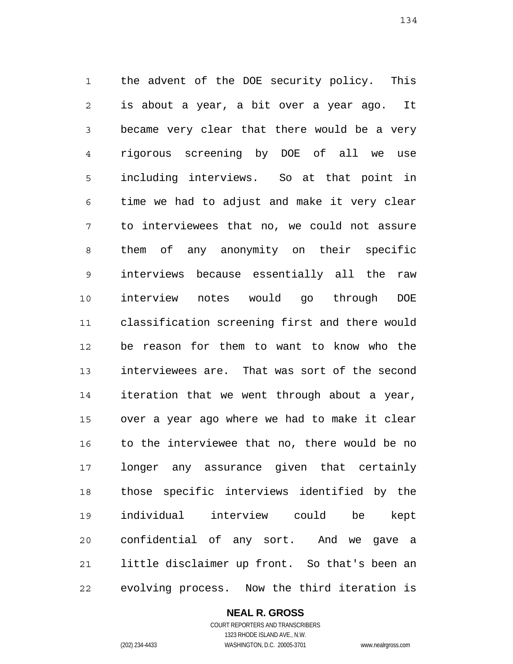1 2 3 4 5 6 7 8 9 10 11 12 13 14 15 16 17 18 19 20 21 22 the advent of the DOE security policy. This is about a year, a bit over a year ago. It became very clear that there would be a very rigorous screening by DOE of all we use including interviews. So at that point in time we had to adjust and make it very clear to interviewees that no, we could not assure them of any anonymity on their specific interviews because essentially all the raw interview notes would go through DOE classification screening first and there would be reason for them to want to know who the interviewees are. That was sort of the second iteration that we went through about a year, over a year ago where we had to make it clear to the interviewee that no, there would be no longer any assurance given that certainly those specific interviews identified by the individual interview could be kept confidential of any sort. And we gave a little disclaimer up front. So that's been an evolving process. Now the third iteration is

> **NEAL R. GROSS** COURT REPORTERS AND TRANSCRIBERS 1323 RHODE ISLAND AVE., N.W.

(202) 234-4433 WASHINGTON, D.C. 20005-3701 www.nealrgross.com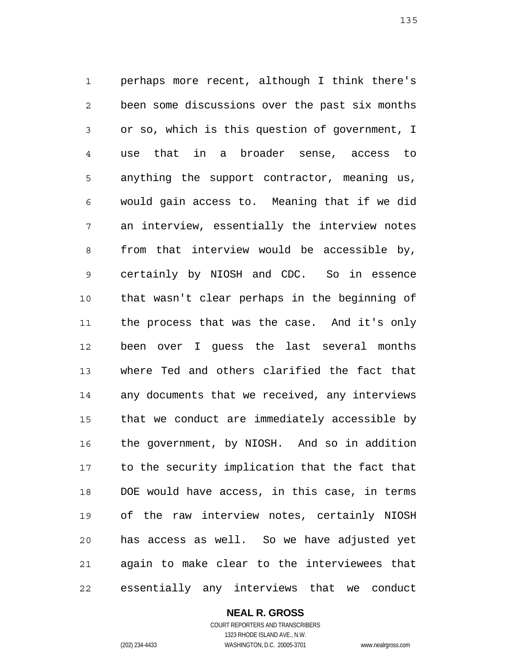1 2 3 4 5 6 7 8 9 10 11 12 13 14 15 16 17 18 19 20 21 22 perhaps more recent, although I think there's been some discussions over the past six months or so, which is this question of government, I use that in a broader sense, access to anything the support contractor, meaning us, would gain access to. Meaning that if we did an interview, essentially the interview notes from that interview would be accessible by, certainly by NIOSH and CDC. So in essence that wasn't clear perhaps in the beginning of the process that was the case. And it's only been over I guess the last several months where Ted and others clarified the fact that any documents that we received, any interviews that we conduct are immediately accessible by the government, by NIOSH. And so in addition to the security implication that the fact that DOE would have access, in this case, in terms of the raw interview notes, certainly NIOSH has access as well. So we have adjusted yet again to make clear to the interviewees that essentially any interviews that we conduct

**NEAL R. GROSS**

COURT REPORTERS AND TRANSCRIBERS 1323 RHODE ISLAND AVE., N.W. (202) 234-4433 WASHINGTON, D.C. 20005-3701 www.nealrgross.com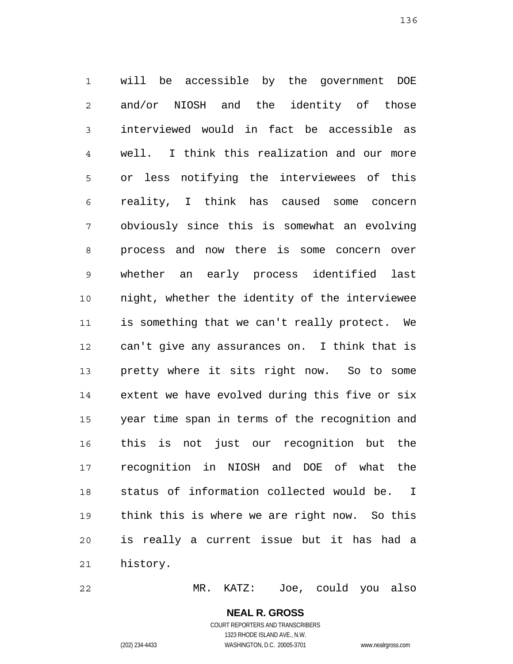1 2 3 4 5 6 7 8 9 10 11 12 13 14 15 16 17 18 19 20 21 will be accessible by the government DOE and/or NIOSH and the identity of those interviewed would in fact be accessible as well. I think this realization and our more or less notifying the interviewees of this reality, I think has caused some concern obviously since this is somewhat an evolving process and now there is some concern over whether an early process identified last night, whether the identity of the interviewee is something that we can't really protect. We can't give any assurances on. I think that is pretty where it sits right now. So to some extent we have evolved during this five or six year time span in terms of the recognition and this is not just our recognition but the recognition in NIOSH and DOE of what the status of information collected would be. I think this is where we are right now. So this is really a current issue but it has had a history.

22 MR. KATZ: Joe, could you also

> **NEAL R. GROSS** COURT REPORTERS AND TRANSCRIBERS 1323 RHODE ISLAND AVE., N.W.

(202) 234-4433 WASHINGTON, D.C. 20005-3701 www.nealrgross.com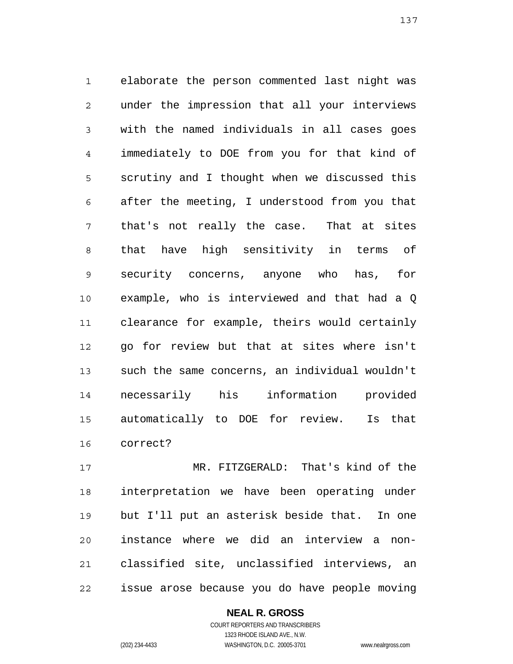1 2 3 4 5 6 7 8 9 10 11 12 13 14 15 16 elaborate the person commented last night was under the impression that all your interviews with the named individuals in all cases goes immediately to DOE from you for that kind of scrutiny and I thought when we discussed this after the meeting, I understood from you that that's not really the case. That at sites that have high sensitivity in terms of security concerns, anyone who has, for example, who is interviewed and that had a Q clearance for example, theirs would certainly go for review but that at sites where isn't such the same concerns, an individual wouldn't necessarily his information provided automatically to DOE for review. Is that correct?

17 18 19 20 21 22 MR. FITZGERALD: That's kind of the interpretation we have been operating under but I'll put an asterisk beside that. In one instance where we did an interview a nonclassified site, unclassified interviews, an issue arose because you do have people moving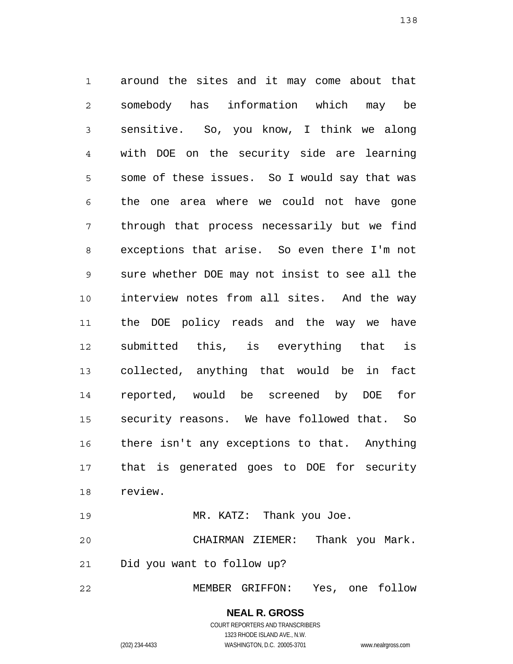1 2 3 4 5 6 7 8 9 10 11 12 13 14 15 16 17 18 around the sites and it may come about that somebody has information which may be sensitive. So, you know, I think we along with DOE on the security side are learning some of these issues. So I would say that was the one area where we could not have gone through that process necessarily but we find exceptions that arise. So even there I'm not sure whether DOE may not insist to see all the interview notes from all sites. And the way the DOE policy reads and the way we have submitted this, is everything that is collected, anything that would be in fact reported, would be screened by DOE for security reasons. We have followed that. So there isn't any exceptions to that. Anything that is generated goes to DOE for security review.

19 MR. KATZ: Thank you Joe.

20 21 CHAIRMAN ZIEMER: Thank you Mark. Did you want to follow up?

22 MEMBER GRIFFON: Yes, one follow

> **NEAL R. GROSS** COURT REPORTERS AND TRANSCRIBERS 1323 RHODE ISLAND AVE., N.W.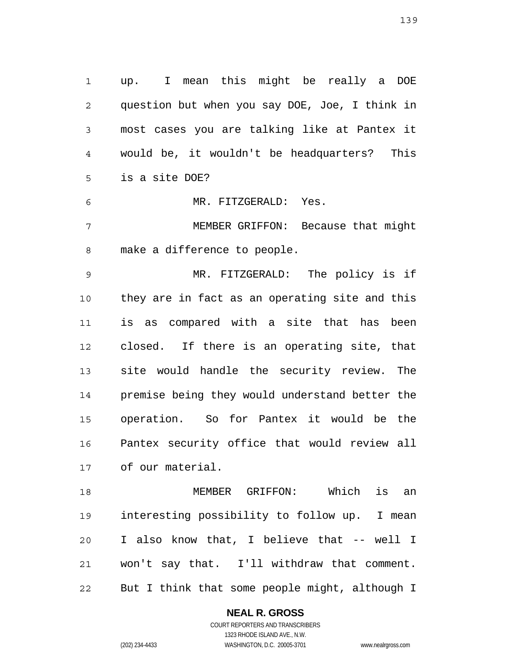1 2 3 4 5 up. I mean this might be really a DOE question but when you say DOE, Joe, I think in most cases you are talking like at Pantex it would be, it wouldn't be headquarters? This is a site DOE?

6 MR. FITZGERALD: Yes.

7 8 MEMBER GRIFFON: Because that might make a difference to people.

9 10 11 12 13 14 15 16 17 MR. FITZGERALD: The policy is if they are in fact as an operating site and this is as compared with a site that has been closed. If there is an operating site, that site would handle the security review. The premise being they would understand better the operation. So for Pantex it would be the Pantex security office that would review all of our material.

18 19 20 21 22 MEMBER GRIFFON: Which is an interesting possibility to follow up. I mean I also know that, I believe that -- well I won't say that. I'll withdraw that comment. But I think that some people might, although I

**NEAL R. GROSS**

COURT REPORTERS AND TRANSCRIBERS 1323 RHODE ISLAND AVE., N.W. (202) 234-4433 WASHINGTON, D.C. 20005-3701 www.nealrgross.com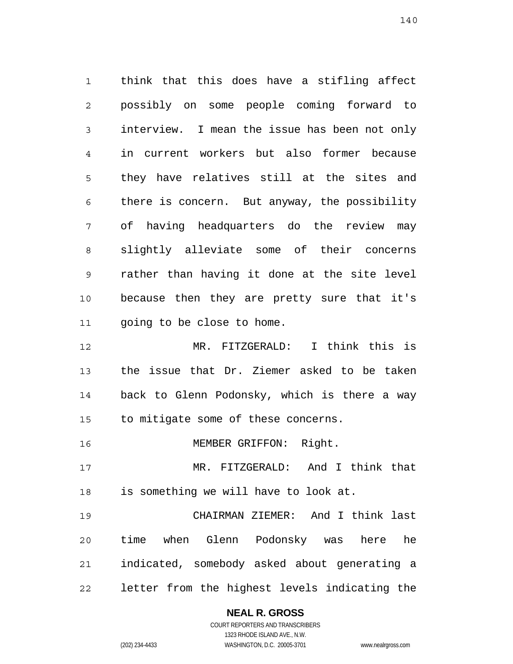1 2 3 4 5 6 7 8 9 10 11 think that this does have a stifling affect possibly on some people coming forward to interview. I mean the issue has been not only in current workers but also former because they have relatives still at the sites and there is concern. But anyway, the possibility of having headquarters do the review may slightly alleviate some of their concerns rather than having it done at the site level because then they are pretty sure that it's going to be close to home.

12 13 14 15 MR. FITZGERALD: I think this is the issue that Dr. Ziemer asked to be taken back to Glenn Podonsky, which is there a way to mitigate some of these concerns.

16 MEMBER GRIFFON: Right.

17 18 MR. FITZGERALD: And I think that is something we will have to look at.

19 20 21 22 CHAIRMAN ZIEMER: And I think last time when Glenn Podonsky was here he indicated, somebody asked about generating a letter from the highest levels indicating the

# **NEAL R. GROSS**

COURT REPORTERS AND TRANSCRIBERS 1323 RHODE ISLAND AVE., N.W. (202) 234-4433 WASHINGTON, D.C. 20005-3701 www.nealrgross.com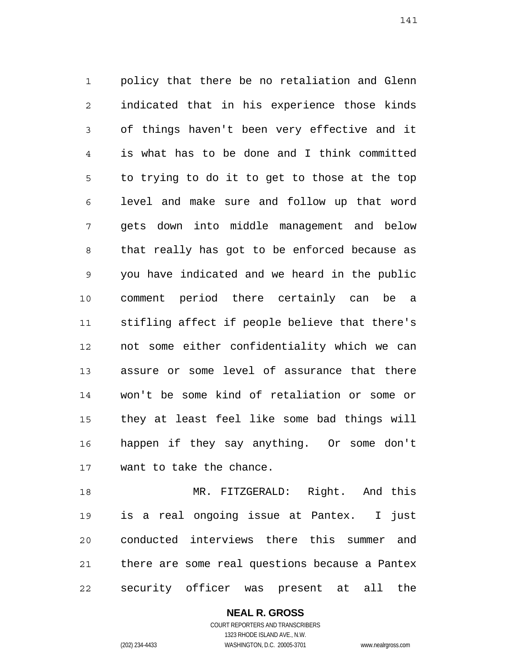1 2 3 4 5 6 7 8 9 10 11 12 13 14 15 16 17 policy that there be no retaliation and Glenn indicated that in his experience those kinds of things haven't been very effective and it is what has to be done and I think committed to trying to do it to get to those at the top level and make sure and follow up that word gets down into middle management and below that really has got to be enforced because as you have indicated and we heard in the public comment period there certainly can be a stifling affect if people believe that there's not some either confidentiality which we can assure or some level of assurance that there won't be some kind of retaliation or some or they at least feel like some bad things will happen if they say anything. Or some don't want to take the chance.

18 19 20 21 22 MR. FITZGERALD: Right. And this is a real ongoing issue at Pantex. I just conducted interviews there this summer and there are some real questions because a Pantex security officer was present at all the

> **NEAL R. GROSS** COURT REPORTERS AND TRANSCRIBERS 1323 RHODE ISLAND AVE., N.W. (202) 234-4433 WASHINGTON, D.C. 20005-3701 www.nealrgross.com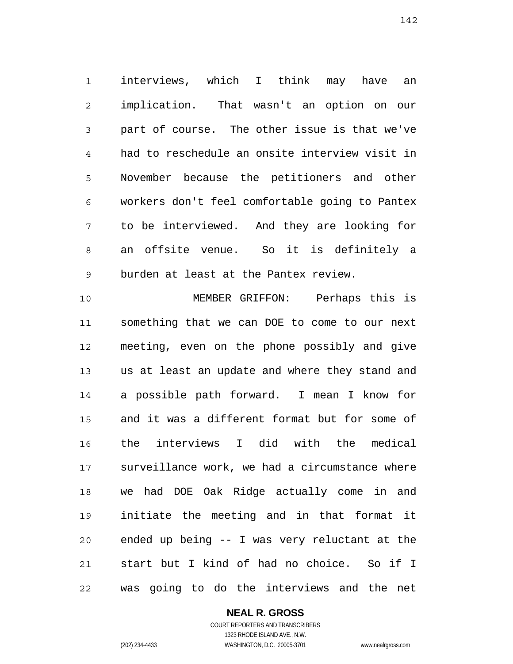1 2 3 4 5 6 7 8 9 interviews, which I think may have an implication. That wasn't an option on our part of course. The other issue is that we've had to reschedule an onsite interview visit in November because the petitioners and other workers don't feel comfortable going to Pantex to be interviewed. And they are looking for an offsite venue. So it is definitely a burden at least at the Pantex review.

10 11 12 13 14 15 16 17 18 19 20 21 22 MEMBER GRIFFON: Perhaps this is something that we can DOE to come to our next meeting, even on the phone possibly and give us at least an update and where they stand and a possible path forward. I mean I know for and it was a different format but for some of the interviews I did with the medical surveillance work, we had a circumstance where we had DOE Oak Ridge actually come in and initiate the meeting and in that format it ended up being -- I was very reluctant at the start but I kind of had no choice. So if I was going to do the interviews and the net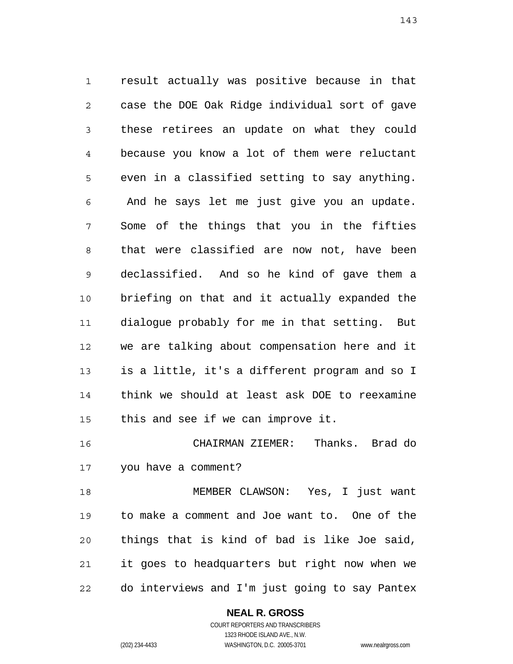1 2 3 4 5 6 7 8 9 10 11 12 13 14 15 result actually was positive because in that case the DOE Oak Ridge individual sort of gave these retirees an update on what they could because you know a lot of them were reluctant even in a classified setting to say anything. And he says let me just give you an update. Some of the things that you in the fifties that were classified are now not, have been declassified. And so he kind of gave them a briefing on that and it actually expanded the dialogue probably for me in that setting. But we are talking about compensation here and it is a little, it's a different program and so I think we should at least ask DOE to reexamine this and see if we can improve it.

16 17 CHAIRMAN ZIEMER: Thanks. Brad do you have a comment?

18 19 20 21 22 MEMBER CLAWSON: Yes, I just want to make a comment and Joe want to. One of the things that is kind of bad is like Joe said, it goes to headquarters but right now when we do interviews and I'm just going to say Pantex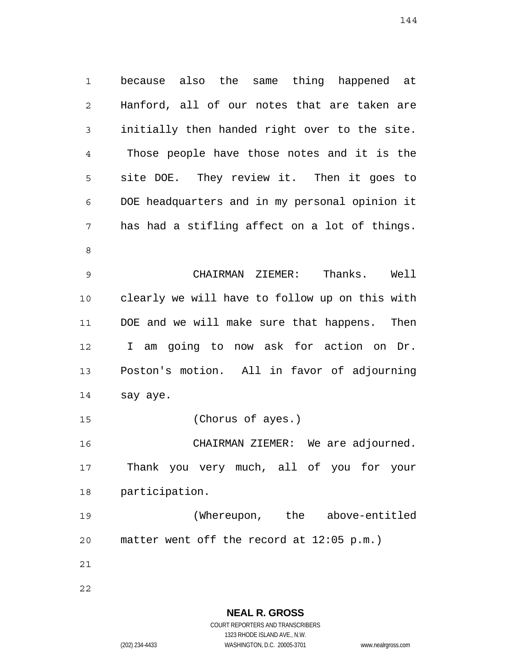1 2 3 4 5 6 7 8 because also the same thing happened at Hanford, all of our notes that are taken are initially then handed right over to the site. Those people have those notes and it is the site DOE. They review it. Then it goes to DOE headquarters and in my personal opinion it has had a stifling affect on a lot of things.

9 10 11 12 13 14 CHAIRMAN ZIEMER: Thanks. Well clearly we will have to follow up on this with DOE and we will make sure that happens. Then I am going to now ask for action on Dr. Poston's motion. All in favor of adjourning say aye.

15 (Chorus of ayes.)

16 17 18 CHAIRMAN ZIEMER: We are adjourned. Thank you very much, all of you for your participation.

19 20 (Whereupon, the above-entitled matter went off the record at 12:05 p.m.)

21

22